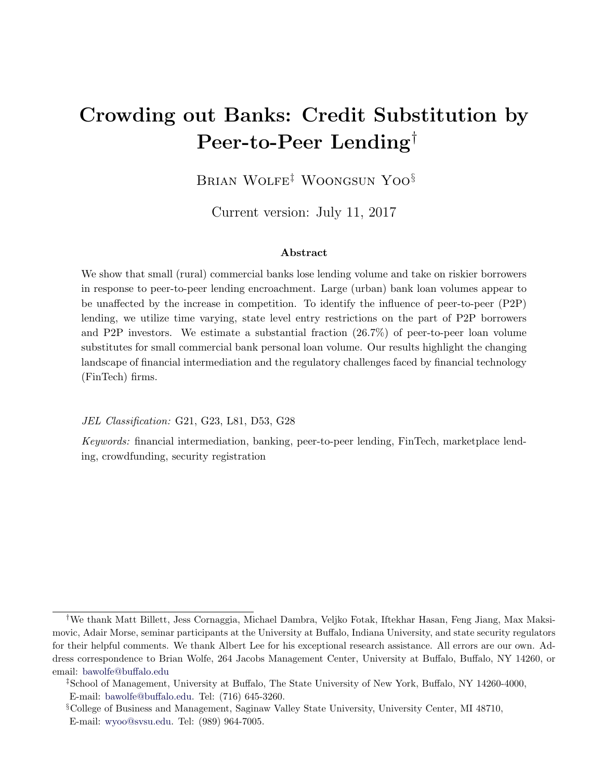# <span id="page-0-0"></span>Crowding out Banks: Credit Substitution by Peer-to-Peer Lending†

Brian Wolfe‡ Woongsun Yoo§

Current version: July 11, 2017

### Abstract

We show that small (rural) commercial banks lose lending volume and take on riskier borrowers in response to peer-to-peer lending encroachment. Large (urban) bank loan volumes appear to be unaffected by the increase in competition. To identify the influence of peer-to-peer (P2P) lending, we utilize time varying, state level entry restrictions on the part of P2P borrowers and P2P investors. We estimate a substantial fraction (26.7%) of peer-to-peer loan volume substitutes for small commercial bank personal loan volume. Our results highlight the changing landscape of financial intermediation and the regulatory challenges faced by financial technology (FinTech) firms.

JEL Classification: G21, G23, L81, D53, G28

Keywords: financial intermediation, banking, peer-to-peer lending, FinTech, marketplace lending, crowdfunding, security registration

<sup>†</sup>We thank Matt Billett, Jess Cornaggia, Michael Dambra, Veljko Fotak, Iftekhar Hasan, Feng Jiang, Max Maksimovic, Adair Morse, seminar participants at the University at Buffalo, Indiana University, and state security regulators for their helpful comments. We thank Albert Lee for his exceptional research assistance. All errors are our own. Address correspondence to Brian Wolfe, 264 Jacobs Management Center, University at Buffalo, Buffalo, NY 14260, or email: [bawolfe@buffalo.edu](mailto:bawolfe@buffalo.edu)

<sup>‡</sup>School of Management, University at Buffalo, The State University of New York, Buffalo, NY 14260-4000, E-mail: [bawolfe@buffalo.edu.](mailto:bawolfe@buffalo.edu) Tel: (716) 645-3260.

<sup>§</sup>College of Business and Management, Saginaw Valley State University, University Center, MI 48710, E-mail: [wyoo@svsu.edu.](mailto:wyoo@svsu.edu) Tel: (989) 964-7005.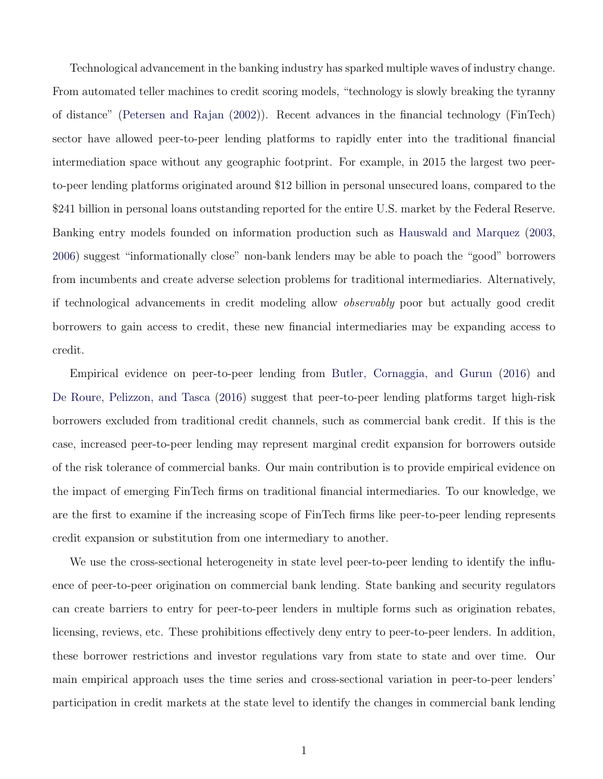Technological advancement in the banking industry has sparked multiple waves of industry change. From automated teller machines to credit scoring models, "technology is slowly breaking the tyranny of distance" [\(Petersen and Rajan](#page-38-0) [\(2002\)](#page-38-0)). Recent advances in the financial technology (FinTech) sector have allowed peer-to-peer lending platforms to rapidly enter into the traditional financial intermediation space without any geographic footprint. For example, in 2015 the largest two peerto-peer lending platforms originated around \$12 billion in personal unsecured loans, compared to the \$241 billion in personal loans outstanding reported for the entire U.S. market by the Federal Reserve. Banking entry models founded on information production such as [Hauswald and Marquez](#page-37-0) [\(2003,](#page-37-0) [2006\)](#page-37-1) suggest "informationally close" non-bank lenders may be able to poach the "good" borrowers from incumbents and create adverse selection problems for traditional intermediaries. Alternatively, if technological advancements in credit modeling allow observably poor but actually good credit borrowers to gain access to credit, these new financial intermediaries may be expanding access to credit.

Empirical evidence on peer-to-peer lending from [Butler, Cornaggia, and Gurun](#page-35-0) [\(2016\)](#page-35-0) and [De Roure, Pelizzon, and Tasca](#page-36-0) [\(2016\)](#page-36-0) suggest that peer-to-peer lending platforms target high-risk borrowers excluded from traditional credit channels, such as commercial bank credit. If this is the case, increased peer-to-peer lending may represent marginal credit expansion for borrowers outside of the risk tolerance of commercial banks. Our main contribution is to provide empirical evidence on the impact of emerging FinTech firms on traditional financial intermediaries. To our knowledge, we are the first to examine if the increasing scope of FinTech firms like peer-to-peer lending represents credit expansion or substitution from one intermediary to another.

We use the cross-sectional heterogeneity in state level peer-to-peer lending to identify the influence of peer-to-peer origination on commercial bank lending. State banking and security regulators can create barriers to entry for peer-to-peer lenders in multiple forms such as origination rebates, licensing, reviews, etc. These prohibitions effectively deny entry to peer-to-peer lenders. In addition, these borrower restrictions and investor regulations vary from state to state and over time. Our main empirical approach uses the time series and cross-sectional variation in peer-to-peer lenders' participation in credit markets at the state level to identify the changes in commercial bank lending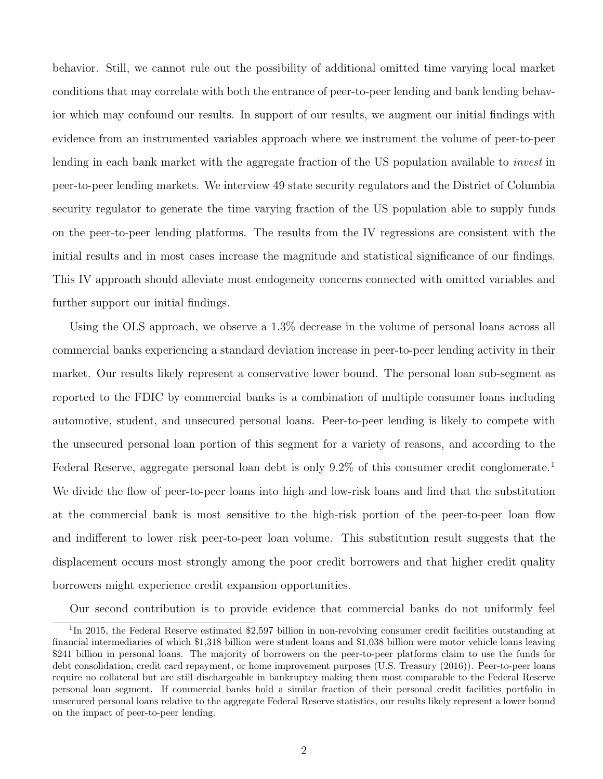behavior. Still, we cannot rule out the possibility of additional omitted time varying local market conditions that may correlate with both the entrance of peer-to-peer lending and bank lending behavior which may confound our results. In support of our results, we augment our initial findings with evidence from an instrumented variables approach where we instrument the volume of peer-to-peer lending in each bank market with the aggregate fraction of the US population available to *invest* in peer-to-peer lending markets. We interview 49 state security regulators and the District of Columbia security regulator to generate the time varying fraction of the US population able to supply funds on the peer-to-peer lending platforms. The results from the IV regressions are consistent with the initial results and in most cases increase the magnitude and statistical significance of our findings. This IV approach should alleviate most endogeneity concerns connected with omitted variables and further support our initial findings.

Using the OLS approach, we observe a 1.3% decrease in the volume of personal loans across all commercial banks experiencing a standard deviation increase in peer-to-peer lending activity in their market. Our results likely represent a conservative lower bound. The personal loan sub-segment as reported to the FDIC by commercial banks is a combination of multiple consumer loans including automotive, student, and unsecured personal loans. Peer-to-peer lending is likely to compete with the unsecured personal loan portion of this segment for a variety of reasons, and according to the Federal Reserve, aggregate personal loan debt is only 9.2% of this consumer credit conglomerate.<sup>[1](#page-0-0)</sup> We divide the flow of peer-to-peer loans into high and low-risk loans and find that the substitution at the commercial bank is most sensitive to the high-risk portion of the peer-to-peer loan flow and indifferent to lower risk peer-to-peer loan volume. This substitution result suggests that the displacement occurs most strongly among the poor credit borrowers and that higher credit quality borrowers might experience credit expansion opportunities.

Our second contribution is to provide evidence that commercial banks do not uniformly feel

<sup>&</sup>lt;sup>1</sup>In 2015, the Federal Reserve estimated \$2,597 billion in non-revolving consumer credit facilities outstanding at financial intermediaries of which \$1,318 billion were student loans and \$1,038 billion were motor vehicle loans leaving \$241 billion in personal loans. The majority of borrowers on the peer-to-peer platforms claim to use the funds for debt consolidation, credit card repayment, or home improvement purposes (U.S. Treasury (2016)). Peer-to-peer loans require no collateral but are still dischargeable in bankruptcy making them most comparable to the Federal Reserve personal loan segment. If commercial banks hold a similar fraction of their personal credit facilities portfolio in unsecured personal loans relative to the aggregate Federal Reserve statistics, our results likely represent a lower bound on the impact of peer-to-peer lending.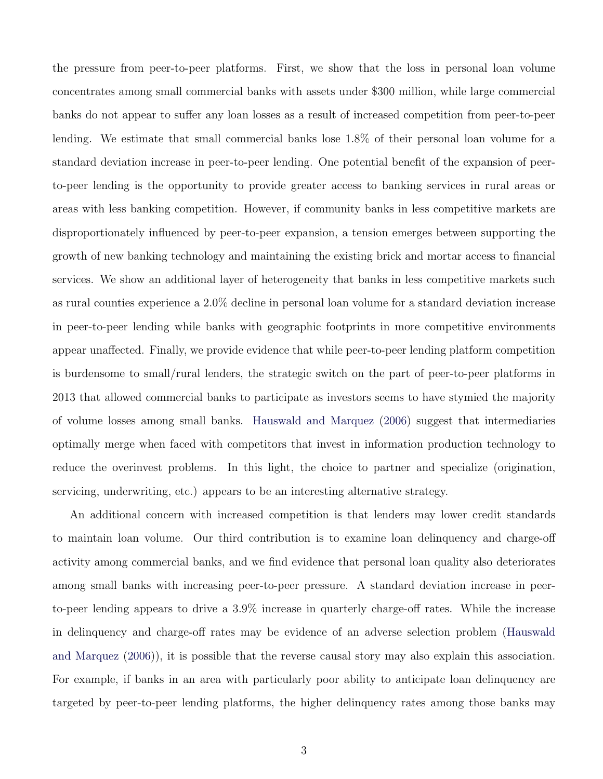the pressure from peer-to-peer platforms. First, we show that the loss in personal loan volume concentrates among small commercial banks with assets under \$300 million, while large commercial banks do not appear to suffer any loan losses as a result of increased competition from peer-to-peer lending. We estimate that small commercial banks lose 1.8% of their personal loan volume for a standard deviation increase in peer-to-peer lending. One potential benefit of the expansion of peerto-peer lending is the opportunity to provide greater access to banking services in rural areas or areas with less banking competition. However, if community banks in less competitive markets are disproportionately influenced by peer-to-peer expansion, a tension emerges between supporting the growth of new banking technology and maintaining the existing brick and mortar access to financial services. We show an additional layer of heterogeneity that banks in less competitive markets such as rural counties experience a 2.0% decline in personal loan volume for a standard deviation increase in peer-to-peer lending while banks with geographic footprints in more competitive environments appear unaffected. Finally, we provide evidence that while peer-to-peer lending platform competition is burdensome to small/rural lenders, the strategic switch on the part of peer-to-peer platforms in 2013 that allowed commercial banks to participate as investors seems to have stymied the majority of volume losses among small banks. [Hauswald and Marquez](#page-37-1) [\(2006\)](#page-37-1) suggest that intermediaries optimally merge when faced with competitors that invest in information production technology to reduce the overinvest problems. In this light, the choice to partner and specialize (origination, servicing, underwriting, etc.) appears to be an interesting alternative strategy.

An additional concern with increased competition is that lenders may lower credit standards to maintain loan volume. Our third contribution is to examine loan delinquency and charge-off activity among commercial banks, and we find evidence that personal loan quality also deteriorates among small banks with increasing peer-to-peer pressure. A standard deviation increase in peerto-peer lending appears to drive a 3.9% increase in quarterly charge-off rates. While the increase in delinquency and charge-off rates may be evidence of an adverse selection problem [\(Hauswald](#page-37-1) [and Marquez](#page-37-1) [\(2006\)](#page-37-1)), it is possible that the reverse causal story may also explain this association. For example, if banks in an area with particularly poor ability to anticipate loan delinquency are targeted by peer-to-peer lending platforms, the higher delinquency rates among those banks may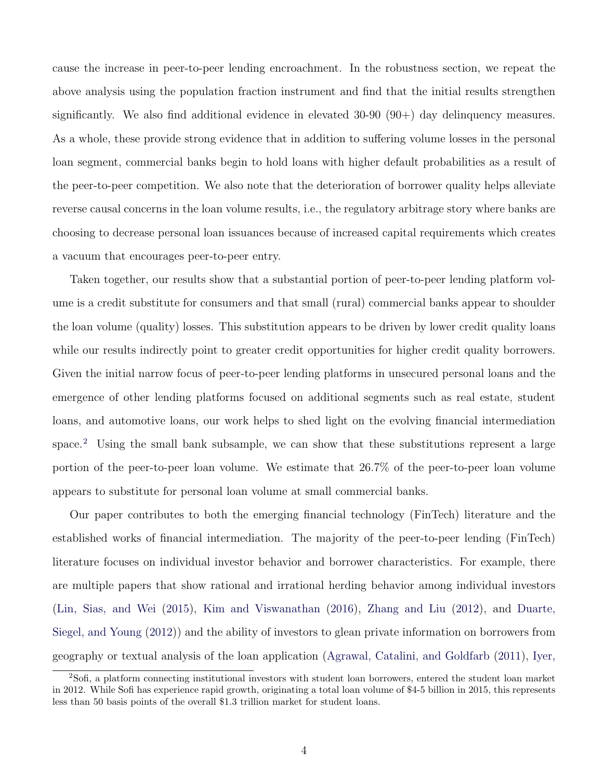cause the increase in peer-to-peer lending encroachment. In the robustness section, we repeat the above analysis using the population fraction instrument and find that the initial results strengthen significantly. We also find additional evidence in elevated  $30-90(90+)$  day delinquency measures. As a whole, these provide strong evidence that in addition to suffering volume losses in the personal loan segment, commercial banks begin to hold loans with higher default probabilities as a result of the peer-to-peer competition. We also note that the deterioration of borrower quality helps alleviate reverse causal concerns in the loan volume results, i.e., the regulatory arbitrage story where banks are choosing to decrease personal loan issuances because of increased capital requirements which creates a vacuum that encourages peer-to-peer entry.

Taken together, our results show that a substantial portion of peer-to-peer lending platform volume is a credit substitute for consumers and that small (rural) commercial banks appear to shoulder the loan volume (quality) losses. This substitution appears to be driven by lower credit quality loans while our results indirectly point to greater credit opportunities for higher credit quality borrowers. Given the initial narrow focus of peer-to-peer lending platforms in unsecured personal loans and the emergence of other lending platforms focused on additional segments such as real estate, student loans, and automotive loans, our work helps to shed light on the evolving financial intermediation space.<sup>[2](#page-0-0)</sup> Using the small bank subsample, we can show that these substitutions represent a large portion of the peer-to-peer loan volume. We estimate that 26.7% of the peer-to-peer loan volume appears to substitute for personal loan volume at small commercial banks.

Our paper contributes to both the emerging financial technology (FinTech) literature and the established works of financial intermediation. The majority of the peer-to-peer lending (FinTech) literature focuses on individual investor behavior and borrower characteristics. For example, there are multiple papers that show rational and irrational herding behavior among individual investors [\(Lin, Sias, and Wei](#page-38-1) [\(2015\)](#page-38-1), [Kim and Viswanathan](#page-38-2) [\(2016\)](#page-38-2), [Zhang and Liu](#page-39-0) [\(2012\)](#page-39-0), and [Duarte,](#page-36-1) [Siegel, and Young](#page-36-1) [\(2012\)](#page-36-1)) and the ability of investors to glean private information on borrowers from geography or textual analysis of the loan application [\(Agrawal, Catalini, and Goldfarb](#page-35-1) [\(2011\)](#page-35-1), [Iyer,](#page-37-2)

<sup>2</sup>[Sofi, a platform connecting institutional investors with student loan borrowers, entered the student loan market](#page-37-2) [in 2012. While Sofi has experience rapid growth, originating a total loan volume of \\$4-5 billion in 2015, this represents](#page-37-2) [less than 50 basis points of the overall \\$1.3 trillion market for student loans.](#page-37-2)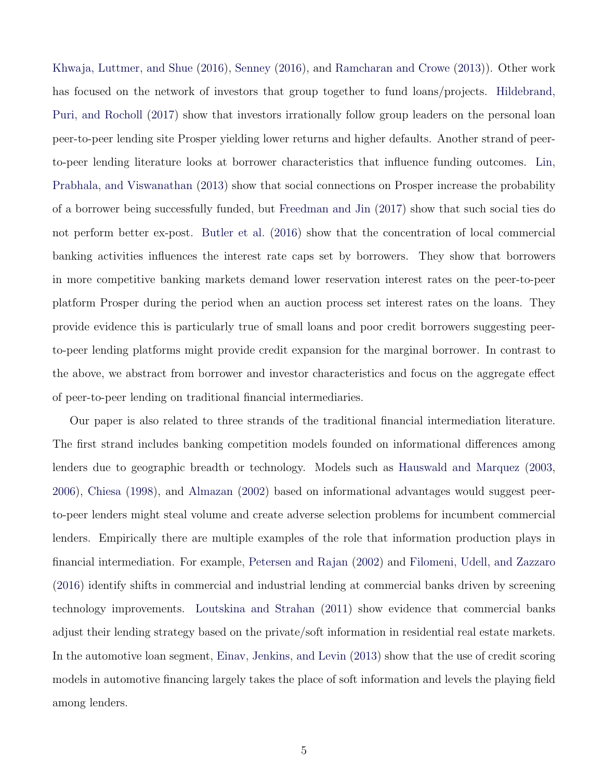[Khwaja, Luttmer, and Shue](#page-37-2) [\(2016\)](#page-37-2), [Senney](#page-39-1) [\(2016\)](#page-39-1), and [Ramcharan and Crowe](#page-39-2) [\(2013\)](#page-39-2)). Other work has focused on the network of investors that group together to fund loans/projects. [Hildebrand,](#page-37-3) [Puri, and Rocholl](#page-37-3) [\(2017\)](#page-37-3) show that investors irrationally follow group leaders on the personal loan peer-to-peer lending site Prosper yielding lower returns and higher defaults. Another strand of peerto-peer lending literature looks at borrower characteristics that influence funding outcomes. [Lin,](#page-38-3) [Prabhala, and Viswanathan](#page-38-3) [\(2013\)](#page-38-3) show that social connections on Prosper increase the probability of a borrower being successfully funded, but [Freedman and Jin](#page-37-4) [\(2017\)](#page-37-4) show that such social ties do not perform better ex-post. [Butler et al.](#page-35-0) [\(2016\)](#page-35-0) show that the concentration of local commercial banking activities influences the interest rate caps set by borrowers. They show that borrowers in more competitive banking markets demand lower reservation interest rates on the peer-to-peer platform Prosper during the period when an auction process set interest rates on the loans. They provide evidence this is particularly true of small loans and poor credit borrowers suggesting peerto-peer lending platforms might provide credit expansion for the marginal borrower. In contrast to the above, we abstract from borrower and investor characteristics and focus on the aggregate effect of peer-to-peer lending on traditional financial intermediaries.

Our paper is also related to three strands of the traditional financial intermediation literature. The first strand includes banking competition models founded on informational differences among lenders due to geographic breadth or technology. Models such as [Hauswald and Marquez](#page-37-0) [\(2003,](#page-37-0) [2006\)](#page-37-1), [Chiesa](#page-36-2) [\(1998\)](#page-36-2), and [Almazan](#page-35-2) [\(2002\)](#page-35-2) based on informational advantages would suggest peerto-peer lenders might steal volume and create adverse selection problems for incumbent commercial lenders. Empirically there are multiple examples of the role that information production plays in financial intermediation. For example, [Petersen and Rajan](#page-38-0) [\(2002\)](#page-38-0) and [Filomeni, Udell, and Zazzaro](#page-36-3) [\(2016\)](#page-36-3) identify shifts in commercial and industrial lending at commercial banks driven by screening technology improvements. [Loutskina and Strahan](#page-38-4) [\(2011\)](#page-38-4) show evidence that commercial banks adjust their lending strategy based on the private/soft information in residential real estate markets. In the automotive loan segment, [Einav, Jenkins, and Levin](#page-36-4) [\(2013\)](#page-36-4) show that the use of credit scoring models in automotive financing largely takes the place of soft information and levels the playing field among lenders.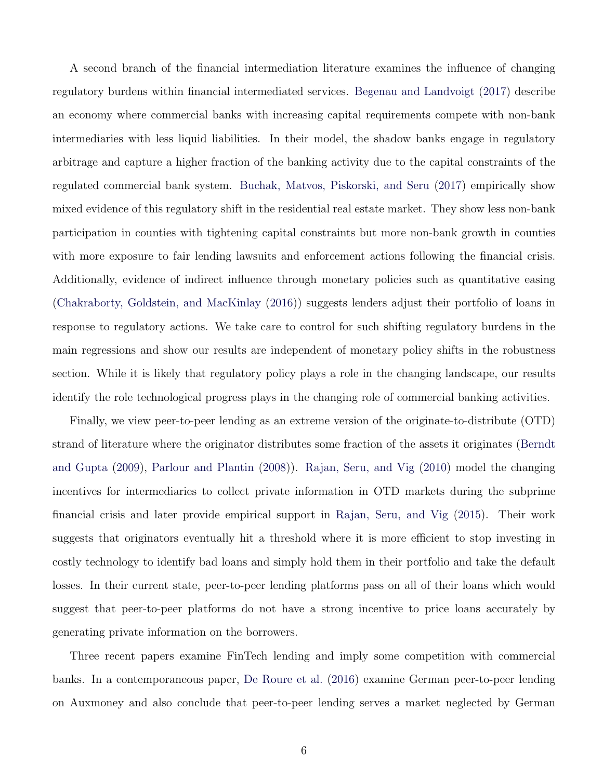A second branch of the financial intermediation literature examines the influence of changing regulatory burdens within financial intermediated services. [Begenau and Landvoigt](#page-35-3) [\(2017\)](#page-35-3) describe an economy where commercial banks with increasing capital requirements compete with non-bank intermediaries with less liquid liabilities. In their model, the shadow banks engage in regulatory arbitrage and capture a higher fraction of the banking activity due to the capital constraints of the regulated commercial bank system. [Buchak, Matvos, Piskorski, and Seru](#page-35-4) [\(2017\)](#page-35-4) empirically show mixed evidence of this regulatory shift in the residential real estate market. They show less non-bank participation in counties with tightening capital constraints but more non-bank growth in counties with more exposure to fair lending lawsuits and enforcement actions following the financial crisis. Additionally, evidence of indirect influence through monetary policies such as quantitative easing [\(Chakraborty, Goldstein, and MacKinlay](#page-36-5) [\(2016\)](#page-36-5)) suggests lenders adjust their portfolio of loans in response to regulatory actions. We take care to control for such shifting regulatory burdens in the main regressions and show our results are independent of monetary policy shifts in the robustness section. While it is likely that regulatory policy plays a role in the changing landscape, our results identify the role technological progress plays in the changing role of commercial banking activities.

Finally, we view peer-to-peer lending as an extreme version of the originate-to-distribute (OTD) strand of literature where the originator distributes some fraction of the assets it originates [\(Berndt](#page-35-5) [and Gupta](#page-35-5) [\(2009\)](#page-35-5), [Parlour and Plantin](#page-38-5) [\(2008\)](#page-38-5)). [Rajan, Seru, and Vig](#page-38-6) [\(2010\)](#page-38-6) model the changing incentives for intermediaries to collect private information in OTD markets during the subprime financial crisis and later provide empirical support in [Rajan, Seru, and Vig](#page-38-7) [\(2015\)](#page-38-7). Their work suggests that originators eventually hit a threshold where it is more efficient to stop investing in costly technology to identify bad loans and simply hold them in their portfolio and take the default losses. In their current state, peer-to-peer lending platforms pass on all of their loans which would suggest that peer-to-peer platforms do not have a strong incentive to price loans accurately by generating private information on the borrowers.

Three recent papers examine FinTech lending and imply some competition with commercial banks. In a contemporaneous paper, [De Roure et al.](#page-36-0) [\(2016\)](#page-36-0) examine German peer-to-peer lending on Auxmoney and also conclude that peer-to-peer lending serves a market neglected by German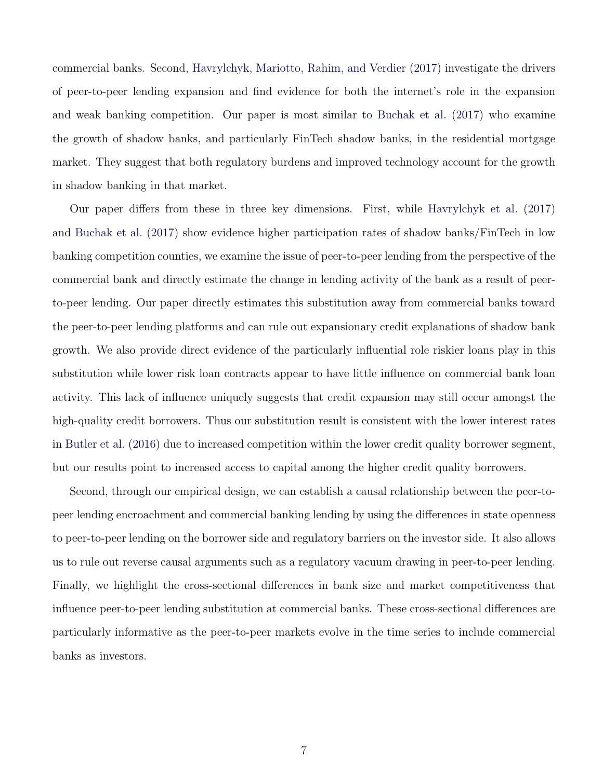commercial banks. Second, [Havrylchyk, Mariotto, Rahim, and Verdier](#page-37-5) [\(2017\)](#page-37-5) investigate the drivers of peer-to-peer lending expansion and find evidence for both the internet's role in the expansion and weak banking competition. Our paper is most similar to [Buchak et al.](#page-35-4) [\(2017\)](#page-35-4) who examine the growth of shadow banks, and particularly FinTech shadow banks, in the residential mortgage market. They suggest that both regulatory burdens and improved technology account for the growth in shadow banking in that market.

Our paper differs from these in three key dimensions. First, while [Havrylchyk et al.](#page-37-5) [\(2017\)](#page-37-5) and [Buchak et al.](#page-35-4) [\(2017\)](#page-35-4) show evidence higher participation rates of shadow banks/FinTech in low banking competition counties, we examine the issue of peer-to-peer lending from the perspective of the commercial bank and directly estimate the change in lending activity of the bank as a result of peerto-peer lending. Our paper directly estimates this substitution away from commercial banks toward the peer-to-peer lending platforms and can rule out expansionary credit explanations of shadow bank growth. We also provide direct evidence of the particularly influential role riskier loans play in this substitution while lower risk loan contracts appear to have little influence on commercial bank loan activity. This lack of influence uniquely suggests that credit expansion may still occur amongst the high-quality credit borrowers. Thus our substitution result is consistent with the lower interest rates in [Butler et al.](#page-35-0) [\(2016\)](#page-35-0) due to increased competition within the lower credit quality borrower segment, but our results point to increased access to capital among the higher credit quality borrowers.

Second, through our empirical design, we can establish a causal relationship between the peer-topeer lending encroachment and commercial banking lending by using the differences in state openness to peer-to-peer lending on the borrower side and regulatory barriers on the investor side. It also allows us to rule out reverse causal arguments such as a regulatory vacuum drawing in peer-to-peer lending. Finally, we highlight the cross-sectional differences in bank size and market competitiveness that influence peer-to-peer lending substitution at commercial banks. These cross-sectional differences are particularly informative as the peer-to-peer markets evolve in the time series to include commercial banks as investors.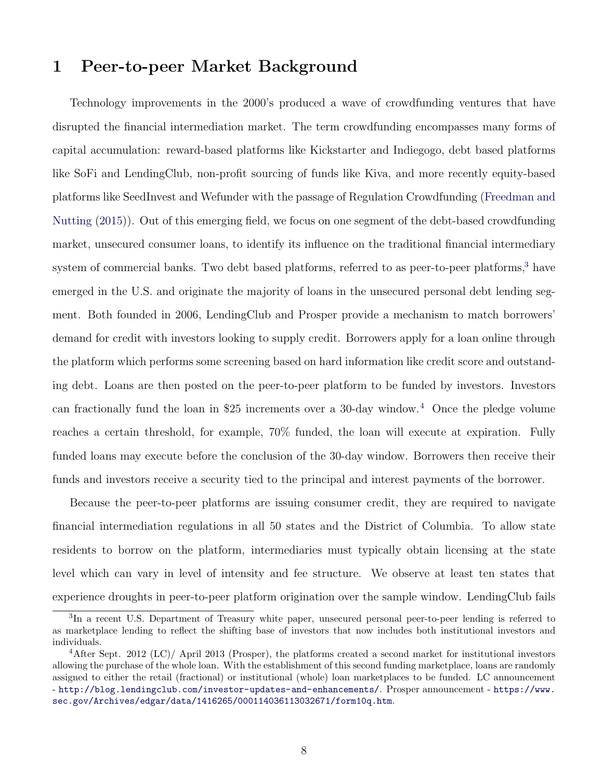# 1 Peer-to-peer Market Background

Technology improvements in the 2000's produced a wave of crowdfunding ventures that have disrupted the financial intermediation market. The term crowdfunding encompasses many forms of capital accumulation: reward-based platforms like Kickstarter and Indiegogo, debt based platforms like SoFi and LendingClub, non-profit sourcing of funds like Kiva, and more recently equity-based platforms like SeedInvest and Wefunder with the passage of Regulation Crowdfunding [\(Freedman and](#page-37-6) [Nutting](#page-37-6) [\(2015\)](#page-37-6)). Out of this emerging field, we focus on one segment of the debt-based crowdfunding market, unsecured consumer loans, to identify its influence on the traditional financial intermediary system of commercial banks. Two debt based platforms, referred to as peer-to-peer platforms,<sup>[3](#page-0-0)</sup> have emerged in the U.S. and originate the majority of loans in the unsecured personal debt lending segment. Both founded in 2006, LendingClub and Prosper provide a mechanism to match borrowers' demand for credit with investors looking to supply credit. Borrowers apply for a loan online through the platform which performs some screening based on hard information like credit score and outstanding debt. Loans are then posted on the peer-to-peer platform to be funded by investors. Investors can fractionally fund the loan in \$25 increments over a 30-day window.<sup>[4](#page-0-0)</sup> Once the pledge volume reaches a certain threshold, for example, 70% funded, the loan will execute at expiration. Fully funded loans may execute before the conclusion of the 30-day window. Borrowers then receive their funds and investors receive a security tied to the principal and interest payments of the borrower.

Because the peer-to-peer platforms are issuing consumer credit, they are required to navigate financial intermediation regulations in all 50 states and the District of Columbia. To allow state residents to borrow on the platform, intermediaries must typically obtain licensing at the state level which can vary in level of intensity and fee structure. We observe at least ten states that experience droughts in peer-to-peer platform origination over the sample window. LendingClub fails

<sup>&</sup>lt;sup>3</sup>In a recent U.S. Department of Treasury white paper, unsecured personal peer-to-peer lending is referred to as marketplace lending to reflect the shifting base of investors that now includes both institutional investors and individuals.

<sup>&</sup>lt;sup>4</sup>After Sept. 2012 (LC)/ April 2013 (Prosper), the platforms created a second market for institutional investors allowing the purchase of the whole loan. With the establishment of this second funding marketplace, loans are randomly assigned to either the retail (fractional) or institutional (whole) loan marketplaces to be funded. LC announcement - <http://blog.lendingclub.com/investor-updates-and-enhancements/>. Prosper announcement - [https://www.](https://www.sec.gov/Archives/edgar/data/1416265/000114036113032671/form10q.htm) [sec.gov/Archives/edgar/data/1416265/000114036113032671/form10q.htm](https://www.sec.gov/Archives/edgar/data/1416265/000114036113032671/form10q.htm).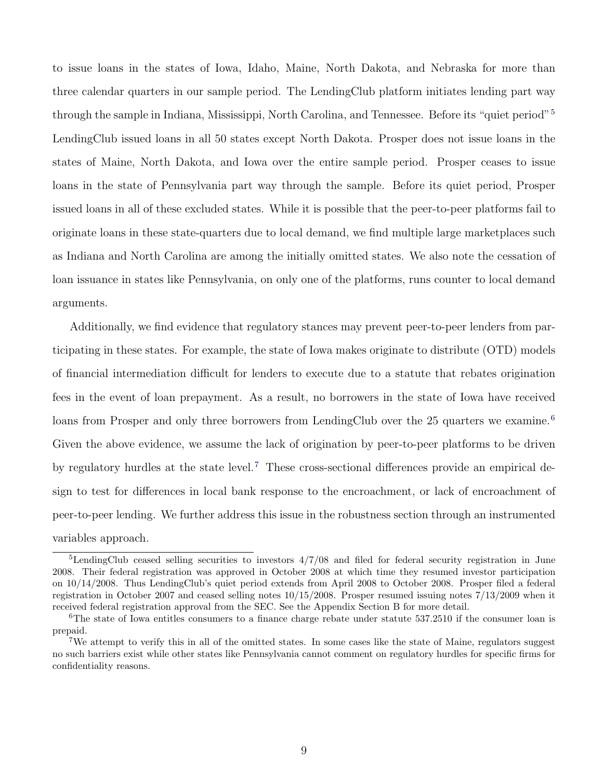to issue loans in the states of Iowa, Idaho, Maine, North Dakota, and Nebraska for more than three calendar quarters in our sample period. The LendingClub platform initiates lending part way through the sample in Indiana, Mississippi, North Carolina, and Tennessee. Before its "quiet period"<sup>[5](#page-0-0)</sup> LendingClub issued loans in all 50 states except North Dakota. Prosper does not issue loans in the states of Maine, North Dakota, and Iowa over the entire sample period. Prosper ceases to issue loans in the state of Pennsylvania part way through the sample. Before its quiet period, Prosper issued loans in all of these excluded states. While it is possible that the peer-to-peer platforms fail to originate loans in these state-quarters due to local demand, we find multiple large marketplaces such as Indiana and North Carolina are among the initially omitted states. We also note the cessation of loan issuance in states like Pennsylvania, on only one of the platforms, runs counter to local demand arguments.

Additionally, we find evidence that regulatory stances may prevent peer-to-peer lenders from participating in these states. For example, the state of Iowa makes originate to distribute (OTD) models of financial intermediation difficult for lenders to execute due to a statute that rebates origination fees in the event of loan prepayment. As a result, no borrowers in the state of Iowa have received loans from Prosper and only three borrowers from LendingClub over the 25 quarters we examine.<sup>[6](#page-0-0)</sup> Given the above evidence, we assume the lack of origination by peer-to-peer platforms to be driven by regulatory hurdles at the state level.[7](#page-0-0) These cross-sectional differences provide an empirical design to test for differences in local bank response to the encroachment, or lack of encroachment of peer-to-peer lending. We further address this issue in the robustness section through an instrumented variables approach.

<sup>5</sup>LendingClub ceased selling securities to investors 4/7/08 and filed for federal security registration in June 2008. Their federal registration was approved in October 2008 at which time they resumed investor participation on 10/14/2008. Thus LendingClub's quiet period extends from April 2008 to October 2008. Prosper filed a federal registration in October 2007 and ceased selling notes 10/15/2008. Prosper resumed issuing notes 7/13/2009 when it received federal registration approval from the SEC. See the Appendix Section B for more detail.

<sup>&</sup>lt;sup>6</sup>The state of Iowa entitles consumers to a finance charge rebate under statute 537.2510 if the consumer loan is prepaid.

<sup>7</sup>We attempt to verify this in all of the omitted states. In some cases like the state of Maine, regulators suggest no such barriers exist while other states like Pennsylvania cannot comment on regulatory hurdles for specific firms for confidentiality reasons.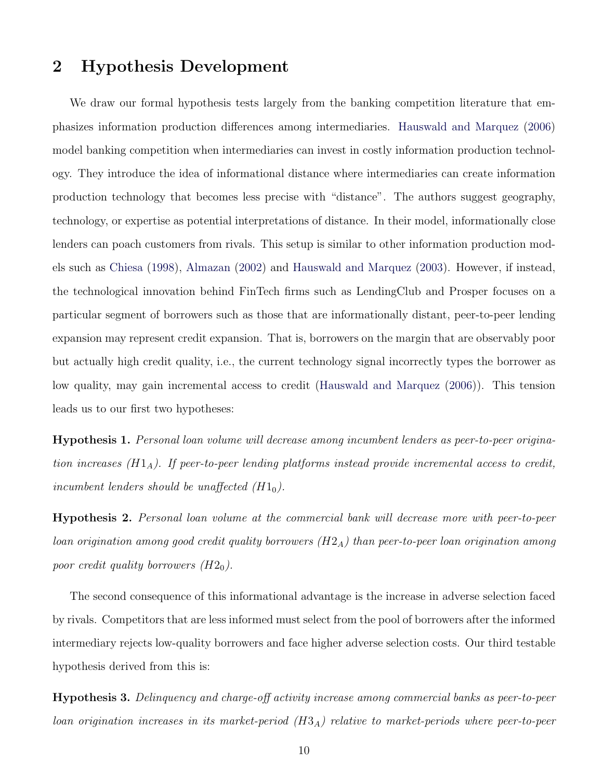# 2 Hypothesis Development

We draw our formal hypothesis tests largely from the banking competition literature that emphasizes information production differences among intermediaries. [Hauswald and Marquez](#page-37-1) [\(2006\)](#page-37-1) model banking competition when intermediaries can invest in costly information production technology. They introduce the idea of informational distance where intermediaries can create information production technology that becomes less precise with "distance". The authors suggest geography, technology, or expertise as potential interpretations of distance. In their model, informationally close lenders can poach customers from rivals. This setup is similar to other information production models such as [Chiesa](#page-36-2) [\(1998\)](#page-36-2), [Almazan](#page-35-2) [\(2002\)](#page-35-2) and [Hauswald and Marquez](#page-37-0) [\(2003\)](#page-37-0). However, if instead, the technological innovation behind FinTech firms such as LendingClub and Prosper focuses on a particular segment of borrowers such as those that are informationally distant, peer-to-peer lending expansion may represent credit expansion. That is, borrowers on the margin that are observably poor but actually high credit quality, i.e., the current technology signal incorrectly types the borrower as low quality, may gain incremental access to credit [\(Hauswald and Marquez](#page-37-1) [\(2006\)](#page-37-1)). This tension leads us to our first two hypotheses:

Hypothesis 1. Personal loan volume will decrease among incumbent lenders as peer-to-peer origination increases  $(H1_A)$ . If peer-to-peer lending platforms instead provide incremental access to credit, incumbent lenders should be unaffected  $(H1_0)$ .

Hypothesis 2. Personal loan volume at the commercial bank will decrease more with peer-to-peer loan origination among good credit quality borrowers  $(H2_A)$  than peer-to-peer loan origination among poor credit quality borrowers  $(H2_0)$ .

The second consequence of this informational advantage is the increase in adverse selection faced by rivals. Competitors that are less informed must select from the pool of borrowers after the informed intermediary rejects low-quality borrowers and face higher adverse selection costs. Our third testable hypothesis derived from this is:

Hypothesis 3. Delinquency and charge-off activity increase among commercial banks as peer-to-peer loan origination increases in its market-period  $(H3_A)$  relative to market-periods where peer-to-peer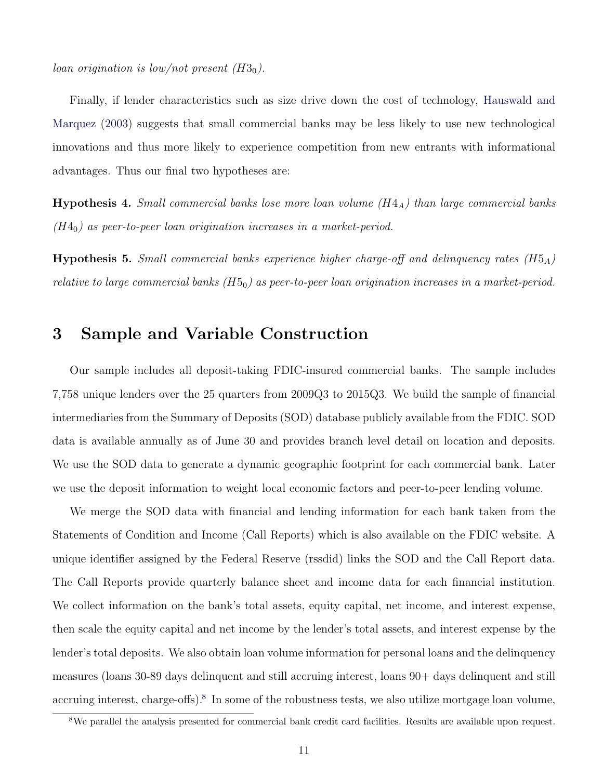loan origination is low/not present  $(H3<sub>0</sub>)$ .

Finally, if lender characteristics such as size drive down the cost of technology, [Hauswald and](#page-37-0) [Marquez](#page-37-0) [\(2003\)](#page-37-0) suggests that small commercial banks may be less likely to use new technological innovations and thus more likely to experience competition from new entrants with informational advantages. Thus our final two hypotheses are:

**Hypothesis 4.** Small commercial banks lose more loan volume  $(H4_A)$  than large commercial banks  $(H4<sub>0</sub>)$  as peer-to-peer loan origination increases in a market-period.

**Hypothesis 5.** Small commercial banks experience higher charge-off and delinquency rates ( $H5_A$ ) relative to large commercial banks  $(H5<sub>0</sub>)$  as peer-to-peer loan origination increases in a market-period.

# 3 Sample and Variable Construction

Our sample includes all deposit-taking FDIC-insured commercial banks. The sample includes 7,758 unique lenders over the 25 quarters from 2009Q3 to 2015Q3. We build the sample of financial intermediaries from the Summary of Deposits (SOD) database publicly available from the FDIC. SOD data is available annually as of June 30 and provides branch level detail on location and deposits. We use the SOD data to generate a dynamic geographic footprint for each commercial bank. Later we use the deposit information to weight local economic factors and peer-to-peer lending volume.

We merge the SOD data with financial and lending information for each bank taken from the Statements of Condition and Income (Call Reports) which is also available on the FDIC website. A unique identifier assigned by the Federal Reserve (rssdid) links the SOD and the Call Report data. The Call Reports provide quarterly balance sheet and income data for each financial institution. We collect information on the bank's total assets, equity capital, net income, and interest expense, then scale the equity capital and net income by the lender's total assets, and interest expense by the lender's total deposits. We also obtain loan volume information for personal loans and the delinquency measures (loans 30-89 days delinquent and still accruing interest, loans 90+ days delinquent and still accruing interest, charge-offs).<sup>[8](#page-0-0)</sup> In some of the robustness tests, we also utilize mortgage loan volume,

<sup>8</sup>We parallel the analysis presented for commercial bank credit card facilities. Results are available upon request.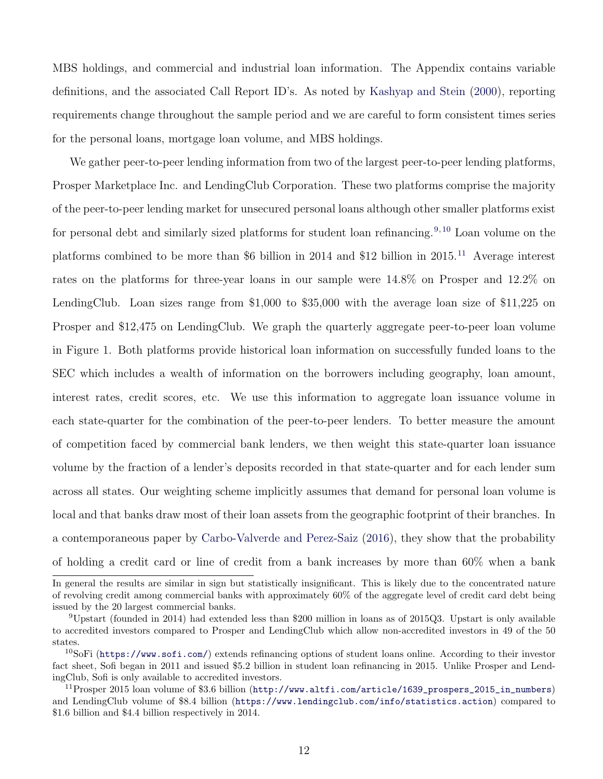MBS holdings, and commercial and industrial loan information. The Appendix contains variable definitions, and the associated Call Report ID's. As noted by [Kashyap and Stein](#page-37-7) [\(2000\)](#page-37-7), reporting requirements change throughout the sample period and we are careful to form consistent times series for the personal loans, mortgage loan volume, and MBS holdings.

We gather peer-to-peer lending information from two of the largest peer-to-peer lending platforms, Prosper Marketplace Inc. and LendingClub Corporation. These two platforms comprise the majority of the peer-to-peer lending market for unsecured personal loans although other smaller platforms exist for personal debt and similarly sized platforms for student loan refinancing.<sup>[9,](#page-0-0) [10](#page-0-0)</sup> Loan volume on the platforms combined to be more than \$6 billion in 2014 and \$12 billion in 2015.<sup>[11](#page-0-0)</sup> Average interest rates on the platforms for three-year loans in our sample were 14.8% on Prosper and 12.2% on LendingClub. Loan sizes range from \$1,000 to \$35,000 with the average loan size of \$11,225 on Prosper and \$12,475 on LendingClub. We graph the quarterly aggregate peer-to-peer loan volume in Figure 1. Both platforms provide historical loan information on successfully funded loans to the SEC which includes a wealth of information on the borrowers including geography, loan amount, interest rates, credit scores, etc. We use this information to aggregate loan issuance volume in each state-quarter for the combination of the peer-to-peer lenders. To better measure the amount of competition faced by commercial bank lenders, we then weight this state-quarter loan issuance volume by the fraction of a lender's deposits recorded in that state-quarter and for each lender sum across all states. Our weighting scheme implicitly assumes that demand for personal loan volume is local and that banks draw most of their loan assets from the geographic footprint of their branches. In a contemporaneous paper by [Carbo-Valverde and Perez-Saiz](#page-36-6) [\(2016\)](#page-36-6), they show that the probability of holding a credit card or line of credit from a bank increases by more than 60% when a bank

In general the results are similar in sign but statistically insignificant. This is likely due to the concentrated nature of revolving credit among commercial banks with approximately 60% of the aggregate level of credit card debt being issued by the 20 largest commercial banks.

<sup>9</sup>Upstart (founded in 2014) had extended less than \$200 million in loans as of 2015Q3. Upstart is only available to accredited investors compared to Prosper and LendingClub which allow non-accredited investors in 49 of the 50 states.

<sup>10</sup>SoFi (<https://www.sofi.com/>) extends refinancing options of student loans online. According to their investor fact sheet, Sofi began in 2011 and issued \$5.2 billion in student loan refinancing in 2015. Unlike Prosper and LendingClub, Sofi is only available to accredited investors.

 $11$ Prosper 2015 loan volume of \$3.6 billion ([http://www.altfi.com/article/1639\\_prospers\\_2015\\_in\\_numbers](http://www.altfi.com/article/1639_prospers_2015_in_numbers)) and LendingClub volume of \$8.4 billion (<https://www.lendingclub.com/info/statistics.action>) compared to \$1.6 billion and \$4.4 billion respectively in 2014.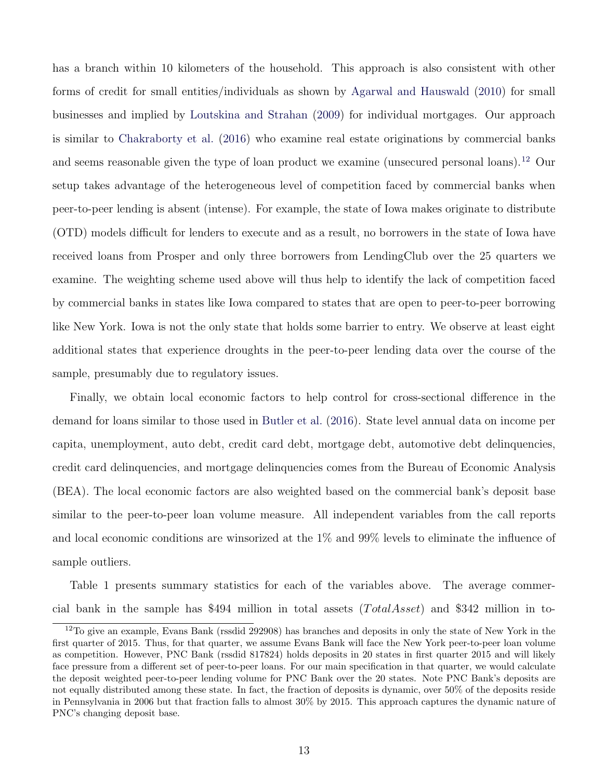has a branch within 10 kilometers of the household. This approach is also consistent with other forms of credit for small entities/individuals as shown by [Agarwal and Hauswald](#page-35-6) [\(2010\)](#page-35-6) for small businesses and implied by [Loutskina and Strahan](#page-38-8) [\(2009\)](#page-38-8) for individual mortgages. Our approach is similar to [Chakraborty et al.](#page-36-5) [\(2016\)](#page-36-5) who examine real estate originations by commercial banks and seems reasonable given the type of loan product we examine (unsecured personal loans).<sup>[12](#page-0-0)</sup> Our setup takes advantage of the heterogeneous level of competition faced by commercial banks when peer-to-peer lending is absent (intense). For example, the state of Iowa makes originate to distribute (OTD) models difficult for lenders to execute and as a result, no borrowers in the state of Iowa have received loans from Prosper and only three borrowers from LendingClub over the 25 quarters we examine. The weighting scheme used above will thus help to identify the lack of competition faced by commercial banks in states like Iowa compared to states that are open to peer-to-peer borrowing like New York. Iowa is not the only state that holds some barrier to entry. We observe at least eight additional states that experience droughts in the peer-to-peer lending data over the course of the sample, presumably due to regulatory issues.

Finally, we obtain local economic factors to help control for cross-sectional difference in the demand for loans similar to those used in [Butler et al.](#page-35-0) [\(2016\)](#page-35-0). State level annual data on income per capita, unemployment, auto debt, credit card debt, mortgage debt, automotive debt delinquencies, credit card delinquencies, and mortgage delinquencies comes from the Bureau of Economic Analysis (BEA). The local economic factors are also weighted based on the commercial bank's deposit base similar to the peer-to-peer loan volume measure. All independent variables from the call reports and local economic conditions are winsorized at the 1% and 99% levels to eliminate the influence of sample outliers.

Table 1 presents summary statistics for each of the variables above. The average commercial bank in the sample has \$494 million in total assets  $(Total Asset)$  and \$342 million in to-

 $12$ To give an example, Evans Bank (rssdid 292908) has branches and deposits in only the state of New York in the first quarter of 2015. Thus, for that quarter, we assume Evans Bank will face the New York peer-to-peer loan volume as competition. However, PNC Bank (rssdid 817824) holds deposits in 20 states in first quarter 2015 and will likely face pressure from a different set of peer-to-peer loans. For our main specification in that quarter, we would calculate the deposit weighted peer-to-peer lending volume for PNC Bank over the 20 states. Note PNC Bank's deposits are not equally distributed among these state. In fact, the fraction of deposits is dynamic, over 50% of the deposits reside in Pennsylvania in 2006 but that fraction falls to almost 30% by 2015. This approach captures the dynamic nature of PNC's changing deposit base.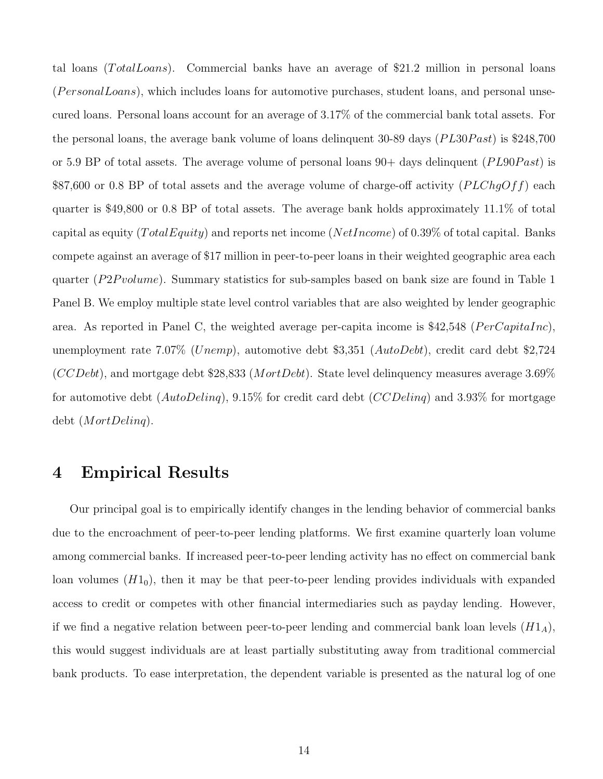tal loans ( $TotalLoans$ ). Commercial banks have an average of \$21.2 million in personal loans  $(PersonalLoans)$ , which includes loans for automotive purchases, student loans, and personal unsecured loans. Personal loans account for an average of 3.17% of the commercial bank total assets. For the personal loans, the average bank volume of loans delinquent 30-89 days ( $PL30$  $past$ ) is \$248,700 or 5.9 BP of total assets. The average volume of personal loans  $90+$  days delinquent (PL90Past) is \$87,600 or 0.8 BP of total assets and the average volume of charge-off activity  $(PLChqOff)$  each quarter is \$49,800 or 0.8 BP of total assets. The average bank holds approximately 11.1% of total capital as equity ( $TotalEquity$ ) and reports net income ( $NetIncome$ ) of 0.39% of total capital. Banks compete against an average of \$17 million in peer-to-peer loans in their weighted geographic area each quarter ( $P2P volume$ ). Summary statistics for sub-samples based on bank size are found in Table 1 Panel B. We employ multiple state level control variables that are also weighted by lender geographic area. As reported in Panel C, the weighted average per-capita income is \$42,548 ( $PerCapitalnc$ ), unemployment rate 7.07% (Unemp), automotive debt \$3,351 ( $AutoDebt$ ), credit card debt \$2,724  $(CCDebt)$ , and mortgage debt \$28,833 (MortDebt). State level delinquency measures average 3.69% for automotive debt ( $AutoDelinq$ ), 9.15% for credit card debt ( $CCDelinq$ ) and 3.93% for mortgage debt (MortDelinq).

# 4 Empirical Results

Our principal goal is to empirically identify changes in the lending behavior of commercial banks due to the encroachment of peer-to-peer lending platforms. We first examine quarterly loan volume among commercial banks. If increased peer-to-peer lending activity has no effect on commercial bank loan volumes  $(H1<sub>0</sub>)$ , then it may be that peer-to-peer lending provides individuals with expanded access to credit or competes with other financial intermediaries such as payday lending. However, if we find a negative relation between peer-to-peer lending and commercial bank loan levels  $(H1_A)$ , this would suggest individuals are at least partially substituting away from traditional commercial bank products. To ease interpretation, the dependent variable is presented as the natural log of one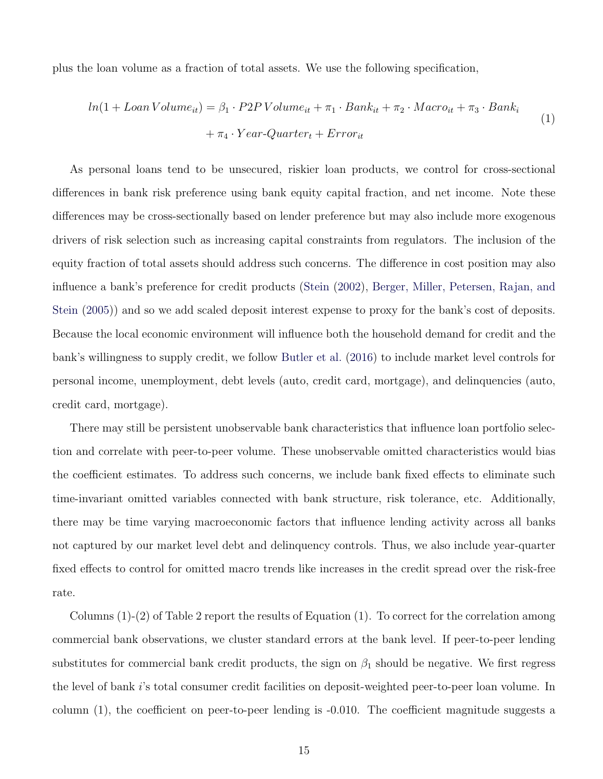plus the loan volume as a fraction of total assets. We use the following specification,

$$
ln(1 + Loan\,Volume_{it}) = \beta_1 \cdot P2P\,Volume_{it} + \pi_1 \cdot Bank_{it} + \pi_2 \cdot Marco_{it} + \pi_3 \cdot Bank_i
$$

$$
+ \pi_4 \cdot Year\text{-}Quarter_t + Error_{it}
$$

$$
\tag{1}
$$

As personal loans tend to be unsecured, riskier loan products, we control for cross-sectional differences in bank risk preference using bank equity capital fraction, and net income. Note these differences may be cross-sectionally based on lender preference but may also include more exogenous drivers of risk selection such as increasing capital constraints from regulators. The inclusion of the equity fraction of total assets should address such concerns. The difference in cost position may also influence a bank's preference for credit products [\(Stein](#page-39-3) [\(2002\)](#page-39-3), [Berger, Miller, Petersen, Rajan, and](#page-35-7) [Stein](#page-35-7) [\(2005\)](#page-35-7)) and so we add scaled deposit interest expense to proxy for the bank's cost of deposits. Because the local economic environment will influence both the household demand for credit and the bank's willingness to supply credit, we follow [Butler et al.](#page-35-0) [\(2016\)](#page-35-0) to include market level controls for personal income, unemployment, debt levels (auto, credit card, mortgage), and delinquencies (auto, credit card, mortgage).

There may still be persistent unobservable bank characteristics that influence loan portfolio selection and correlate with peer-to-peer volume. These unobservable omitted characteristics would bias the coefficient estimates. To address such concerns, we include bank fixed effects to eliminate such time-invariant omitted variables connected with bank structure, risk tolerance, etc. Additionally, there may be time varying macroeconomic factors that influence lending activity across all banks not captured by our market level debt and delinquency controls. Thus, we also include year-quarter fixed effects to control for omitted macro trends like increases in the credit spread over the risk-free rate.

Columns  $(1)-(2)$  of Table 2 report the results of Equation  $(1)$ . To correct for the correlation among commercial bank observations, we cluster standard errors at the bank level. If peer-to-peer lending substitutes for commercial bank credit products, the sign on  $\beta_1$  should be negative. We first regress the level of bank i's total consumer credit facilities on deposit-weighted peer-to-peer loan volume. In column (1), the coefficient on peer-to-peer lending is -0.010. The coefficient magnitude suggests a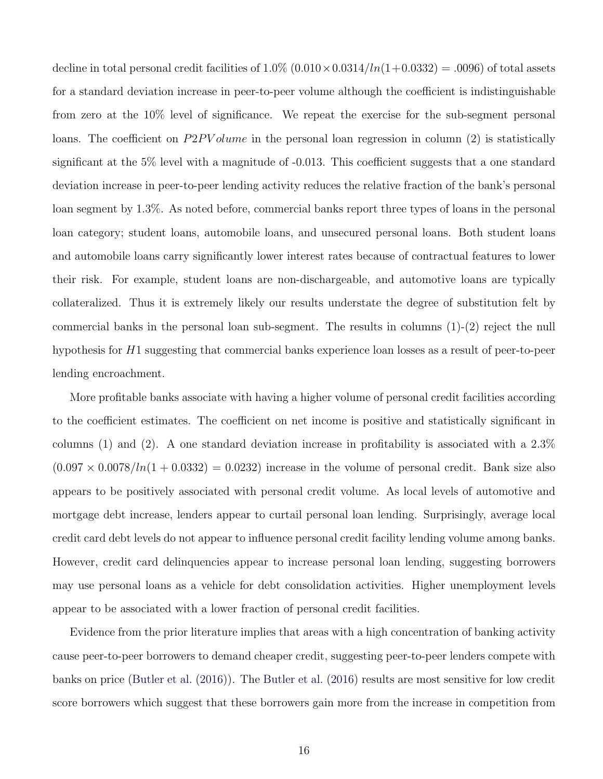decline in total personal credit facilities of  $1.0\%$   $(0.010 \times 0.0314/ln(1+0.0332) = .0096)$  of total assets for a standard deviation increase in peer-to-peer volume although the coefficient is indistinguishable from zero at the 10% level of significance. We repeat the exercise for the sub-segment personal loans. The coefficient on  $P2PVolume$  in the personal loan regression in column (2) is statistically significant at the 5% level with a magnitude of -0.013. This coefficient suggests that a one standard deviation increase in peer-to-peer lending activity reduces the relative fraction of the bank's personal loan segment by 1.3%. As noted before, commercial banks report three types of loans in the personal loan category; student loans, automobile loans, and unsecured personal loans. Both student loans and automobile loans carry significantly lower interest rates because of contractual features to lower their risk. For example, student loans are non-dischargeable, and automotive loans are typically collateralized. Thus it is extremely likely our results understate the degree of substitution felt by commercial banks in the personal loan sub-segment. The results in columns  $(1)-(2)$  reject the null hypothesis for H<sub>1</sub> suggesting that commercial banks experience loan losses as a result of peer-to-peer lending encroachment.

More profitable banks associate with having a higher volume of personal credit facilities according to the coefficient estimates. The coefficient on net income is positive and statistically significant in columns (1) and (2). A one standard deviation increase in profitability is associated with a 2.3%  $(0.097 \times 0.0078/h(1 + 0.0332) = 0.0232)$  increase in the volume of personal credit. Bank size also appears to be positively associated with personal credit volume. As local levels of automotive and mortgage debt increase, lenders appear to curtail personal loan lending. Surprisingly, average local credit card debt levels do not appear to influence personal credit facility lending volume among banks. However, credit card delinquencies appear to increase personal loan lending, suggesting borrowers may use personal loans as a vehicle for debt consolidation activities. Higher unemployment levels appear to be associated with a lower fraction of personal credit facilities.

Evidence from the prior literature implies that areas with a high concentration of banking activity cause peer-to-peer borrowers to demand cheaper credit, suggesting peer-to-peer lenders compete with banks on price [\(Butler et al.](#page-35-0) [\(2016\)](#page-35-0)). The [Butler et al.](#page-35-0) [\(2016\)](#page-35-0) results are most sensitive for low credit score borrowers which suggest that these borrowers gain more from the increase in competition from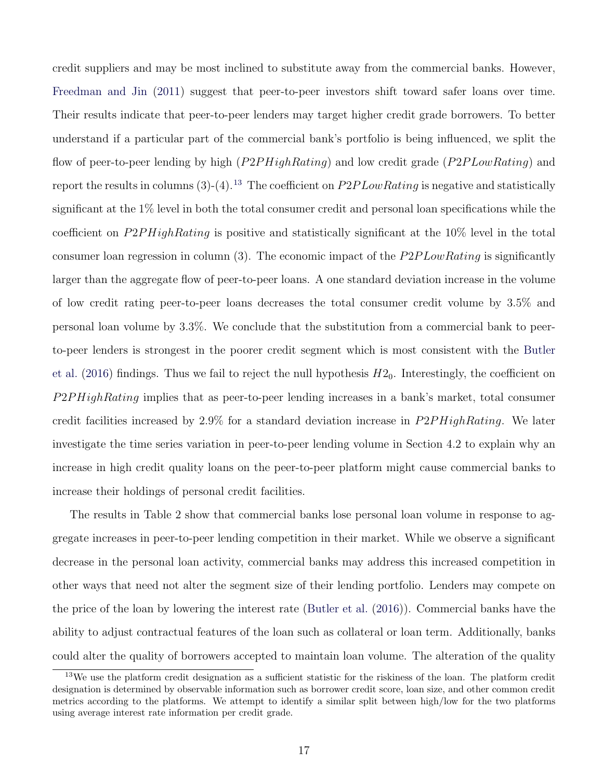credit suppliers and may be most inclined to substitute away from the commercial banks. However, [Freedman and Jin](#page-37-8) [\(2011\)](#page-37-8) suggest that peer-to-peer investors shift toward safer loans over time. Their results indicate that peer-to-peer lenders may target higher credit grade borrowers. To better understand if a particular part of the commercial bank's portfolio is being influenced, we split the flow of peer-to-peer lending by high (P2PHighRating) and low credit grade (P2PLowRating) and report the results in columns  $(3)-(4)$ .<sup>[13](#page-0-0)</sup> The coefficient on  $P2PLowRating$  is negative and statistically significant at the 1% level in both the total consumer credit and personal loan specifications while the coefficient on  $P2PHiqhRating$  is positive and statistically significant at the 10% level in the total consumer loan regression in column  $(3)$ . The economic impact of the  $P2PLowRating$  is significantly larger than the aggregate flow of peer-to-peer loans. A one standard deviation increase in the volume of low credit rating peer-to-peer loans decreases the total consumer credit volume by 3.5% and personal loan volume by 3.3%. We conclude that the substitution from a commercial bank to peerto-peer lenders is strongest in the poorer credit segment which is most consistent with the [Butler](#page-35-0) [et al.](#page-35-0) [\(2016\)](#page-35-0) findings. Thus we fail to reject the null hypothesis  $H2_0$ . Interestingly, the coefficient on  $P2PHiqhRating$  implies that as peer-to-peer lending increases in a bank's market, total consumer credit facilities increased by  $2.9\%$  for a standard deviation increase in  $P2PHiqhRating$ . We later investigate the time series variation in peer-to-peer lending volume in Section 4.2 to explain why an increase in high credit quality loans on the peer-to-peer platform might cause commercial banks to increase their holdings of personal credit facilities.

The results in Table 2 show that commercial banks lose personal loan volume in response to aggregate increases in peer-to-peer lending competition in their market. While we observe a significant decrease in the personal loan activity, commercial banks may address this increased competition in other ways that need not alter the segment size of their lending portfolio. Lenders may compete on the price of the loan by lowering the interest rate [\(Butler et al.](#page-35-0) [\(2016\)](#page-35-0)). Commercial banks have the ability to adjust contractual features of the loan such as collateral or loan term. Additionally, banks could alter the quality of borrowers accepted to maintain loan volume. The alteration of the quality

<sup>&</sup>lt;sup>13</sup>We use the platform credit designation as a sufficient statistic for the riskiness of the loan. The platform credit designation is determined by observable information such as borrower credit score, loan size, and other common credit metrics according to the platforms. We attempt to identify a similar split between high/low for the two platforms using average interest rate information per credit grade.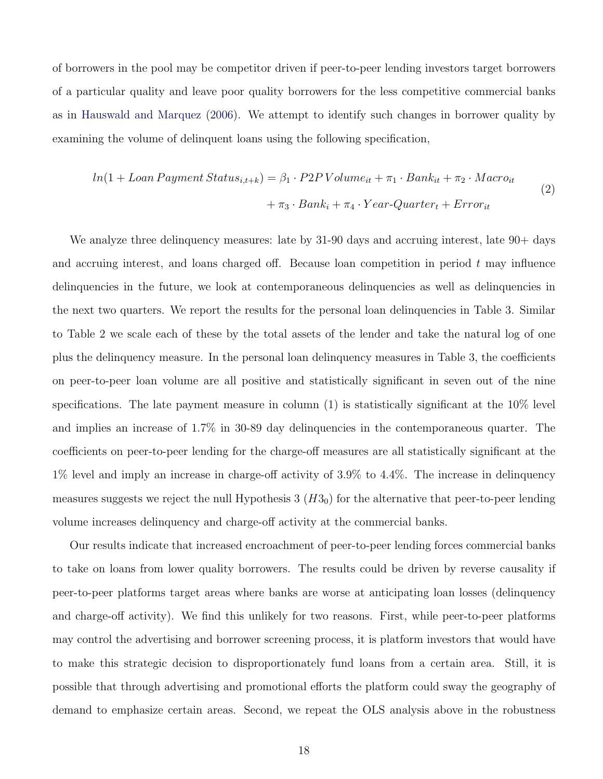of borrowers in the pool may be competitor driven if peer-to-peer lending investors target borrowers of a particular quality and leave poor quality borrowers for the less competitive commercial banks as in [Hauswald and Marquez](#page-37-1) [\(2006\)](#page-37-1). We attempt to identify such changes in borrower quality by examining the volume of delinquent loans using the following specification,

$$
ln(1 + Loan Payment Status_{i,t+k}) = \beta_1 \cdot P2PVolume_{it} + \pi_1 \cdot Bank_{it} + \pi_2 \cdot Marco_{it}
$$
  
+  $\pi_3 \cdot Bank_i + \pi_4 \cdot Year\text{-}Quarter_t + Error_{it}$  (2)

We analyze three delinquency measures: late by 31-90 days and accruing interest, late  $90+$  days and accruing interest, and loans charged off. Because loan competition in period  $t$  may influence delinquencies in the future, we look at contemporaneous delinquencies as well as delinquencies in the next two quarters. We report the results for the personal loan delinquencies in Table 3. Similar to Table 2 we scale each of these by the total assets of the lender and take the natural log of one plus the delinquency measure. In the personal loan delinquency measures in Table 3, the coefficients on peer-to-peer loan volume are all positive and statistically significant in seven out of the nine specifications. The late payment measure in column  $(1)$  is statistically significant at the 10% level and implies an increase of 1.7% in 30-89 day delinquencies in the contemporaneous quarter. The coefficients on peer-to-peer lending for the charge-off measures are all statistically significant at the 1% level and imply an increase in charge-off activity of 3.9% to 4.4%. The increase in delinquency measures suggests we reject the null Hypothesis  $3 \ (H3<sub>0</sub>)$  for the alternative that peer-to-peer lending volume increases delinquency and charge-off activity at the commercial banks.

Our results indicate that increased encroachment of peer-to-peer lending forces commercial banks to take on loans from lower quality borrowers. The results could be driven by reverse causality if peer-to-peer platforms target areas where banks are worse at anticipating loan losses (delinquency and charge-off activity). We find this unlikely for two reasons. First, while peer-to-peer platforms may control the advertising and borrower screening process, it is platform investors that would have to make this strategic decision to disproportionately fund loans from a certain area. Still, it is possible that through advertising and promotional efforts the platform could sway the geography of demand to emphasize certain areas. Second, we repeat the OLS analysis above in the robustness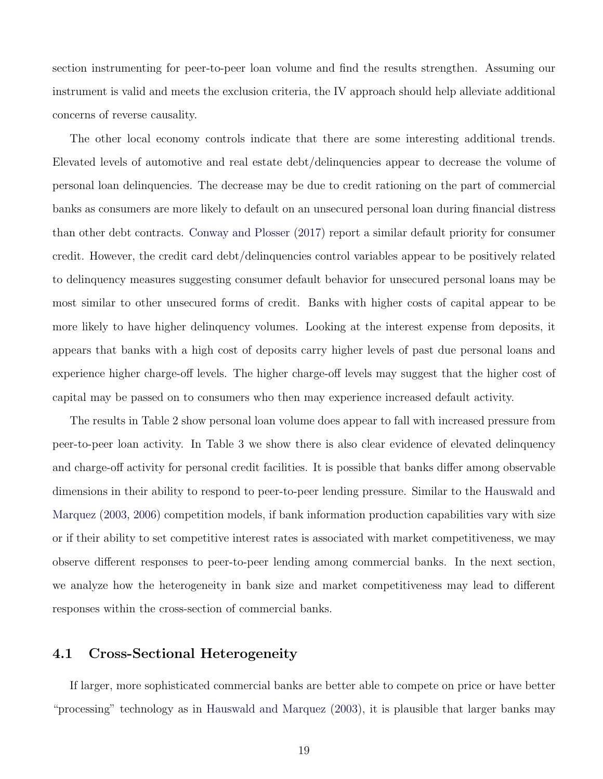section instrumenting for peer-to-peer loan volume and find the results strengthen. Assuming our instrument is valid and meets the exclusion criteria, the IV approach should help alleviate additional concerns of reverse causality.

The other local economy controls indicate that there are some interesting additional trends. Elevated levels of automotive and real estate debt/delinquencies appear to decrease the volume of personal loan delinquencies. The decrease may be due to credit rationing on the part of commercial banks as consumers are more likely to default on an unsecured personal loan during financial distress than other debt contracts. [Conway and Plosser](#page-36-7) [\(2017\)](#page-36-7) report a similar default priority for consumer credit. However, the credit card debt/delinquencies control variables appear to be positively related to delinquency measures suggesting consumer default behavior for unsecured personal loans may be most similar to other unsecured forms of credit. Banks with higher costs of capital appear to be more likely to have higher delinquency volumes. Looking at the interest expense from deposits, it appears that banks with a high cost of deposits carry higher levels of past due personal loans and experience higher charge-off levels. The higher charge-off levels may suggest that the higher cost of capital may be passed on to consumers who then may experience increased default activity.

The results in Table 2 show personal loan volume does appear to fall with increased pressure from peer-to-peer loan activity. In Table 3 we show there is also clear evidence of elevated delinquency and charge-off activity for personal credit facilities. It is possible that banks differ among observable dimensions in their ability to respond to peer-to-peer lending pressure. Similar to the [Hauswald and](#page-37-0) [Marquez](#page-37-0) [\(2003,](#page-37-0) [2006\)](#page-37-1) competition models, if bank information production capabilities vary with size or if their ability to set competitive interest rates is associated with market competitiveness, we may observe different responses to peer-to-peer lending among commercial banks. In the next section, we analyze how the heterogeneity in bank size and market competitiveness may lead to different responses within the cross-section of commercial banks.

### 4.1 Cross-Sectional Heterogeneity

If larger, more sophisticated commercial banks are better able to compete on price or have better "processing" technology as in [Hauswald and Marquez](#page-37-0) [\(2003\)](#page-37-0), it is plausible that larger banks may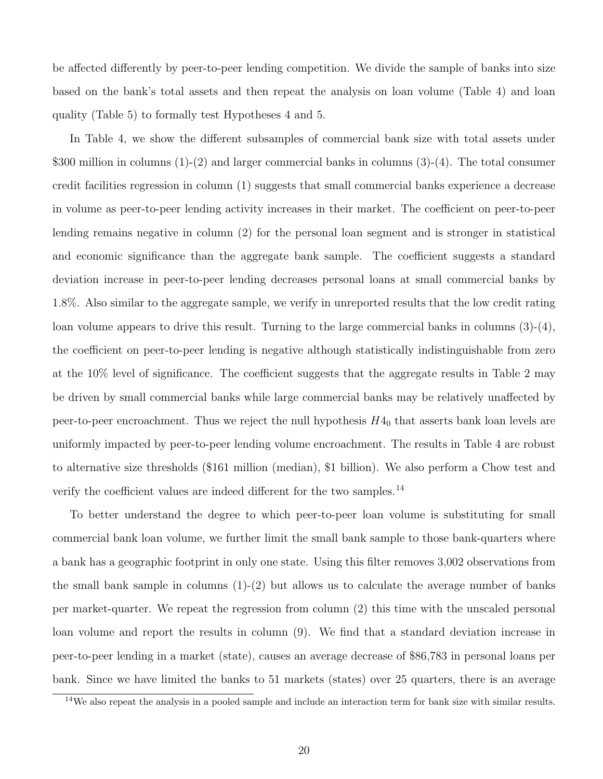be affected differently by peer-to-peer lending competition. We divide the sample of banks into size based on the bank's total assets and then repeat the analysis on loan volume (Table 4) and loan quality (Table 5) to formally test Hypotheses 4 and 5.

In Table 4, we show the different subsamples of commercial bank size with total assets under \$300 million in columns (1)-(2) and larger commercial banks in columns (3)-(4). The total consumer credit facilities regression in column (1) suggests that small commercial banks experience a decrease in volume as peer-to-peer lending activity increases in their market. The coefficient on peer-to-peer lending remains negative in column (2) for the personal loan segment and is stronger in statistical and economic significance than the aggregate bank sample. The coefficient suggests a standard deviation increase in peer-to-peer lending decreases personal loans at small commercial banks by 1.8%. Also similar to the aggregate sample, we verify in unreported results that the low credit rating loan volume appears to drive this result. Turning to the large commercial banks in columns (3)-(4), the coefficient on peer-to-peer lending is negative although statistically indistinguishable from zero at the 10% level of significance. The coefficient suggests that the aggregate results in Table 2 may be driven by small commercial banks while large commercial banks may be relatively unaffected by peer-to-peer encroachment. Thus we reject the null hypothesis  $H4_0$  that asserts bank loan levels are uniformly impacted by peer-to-peer lending volume encroachment. The results in Table 4 are robust to alternative size thresholds (\$161 million (median), \$1 billion). We also perform a Chow test and verify the coefficient values are indeed different for the two samples.<sup>[14](#page-0-0)</sup>

To better understand the degree to which peer-to-peer loan volume is substituting for small commercial bank loan volume, we further limit the small bank sample to those bank-quarters where a bank has a geographic footprint in only one state. Using this filter removes 3,002 observations from the small bank sample in columns  $(1)-(2)$  but allows us to calculate the average number of banks per market-quarter. We repeat the regression from column (2) this time with the unscaled personal loan volume and report the results in column (9). We find that a standard deviation increase in peer-to-peer lending in a market (state), causes an average decrease of \$86,783 in personal loans per bank. Since we have limited the banks to 51 markets (states) over 25 quarters, there is an average

<sup>&</sup>lt;sup>14</sup>We also repeat the analysis in a pooled sample and include an interaction term for bank size with similar results.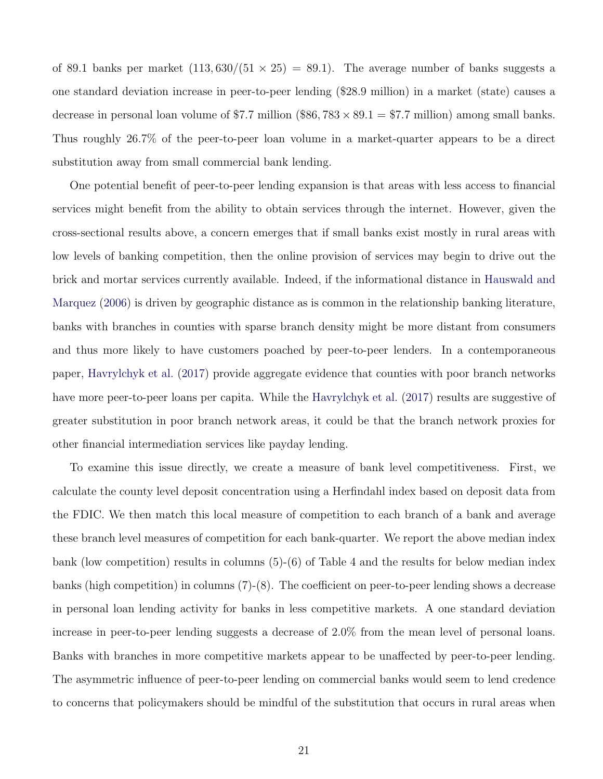of 89.1 banks per market  $(113, 630/(51 \times 25) = 89.1)$ . The average number of banks suggests a one standard deviation increase in peer-to-peer lending (\$28.9 million) in a market (state) causes a decrease in personal loan volume of \$7.7 million (\$86,  $783 \times 89.1 = 7.7$  million) among small banks. Thus roughly 26.7% of the peer-to-peer loan volume in a market-quarter appears to be a direct substitution away from small commercial bank lending.

One potential benefit of peer-to-peer lending expansion is that areas with less access to financial services might benefit from the ability to obtain services through the internet. However, given the cross-sectional results above, a concern emerges that if small banks exist mostly in rural areas with low levels of banking competition, then the online provision of services may begin to drive out the brick and mortar services currently available. Indeed, if the informational distance in [Hauswald and](#page-37-1) [Marquez](#page-37-1) [\(2006\)](#page-37-1) is driven by geographic distance as is common in the relationship banking literature, banks with branches in counties with sparse branch density might be more distant from consumers and thus more likely to have customers poached by peer-to-peer lenders. In a contemporaneous paper, [Havrylchyk et al.](#page-37-5) [\(2017\)](#page-37-5) provide aggregate evidence that counties with poor branch networks have more peer-to-peer loans per capita. While the [Havrylchyk et al.](#page-37-5) [\(2017\)](#page-37-5) results are suggestive of greater substitution in poor branch network areas, it could be that the branch network proxies for other financial intermediation services like payday lending.

To examine this issue directly, we create a measure of bank level competitiveness. First, we calculate the county level deposit concentration using a Herfindahl index based on deposit data from the FDIC. We then match this local measure of competition to each branch of a bank and average these branch level measures of competition for each bank-quarter. We report the above median index bank (low competition) results in columns (5)-(6) of Table 4 and the results for below median index banks (high competition) in columns (7)-(8). The coefficient on peer-to-peer lending shows a decrease in personal loan lending activity for banks in less competitive markets. A one standard deviation increase in peer-to-peer lending suggests a decrease of 2.0% from the mean level of personal loans. Banks with branches in more competitive markets appear to be unaffected by peer-to-peer lending. The asymmetric influence of peer-to-peer lending on commercial banks would seem to lend credence to concerns that policymakers should be mindful of the substitution that occurs in rural areas when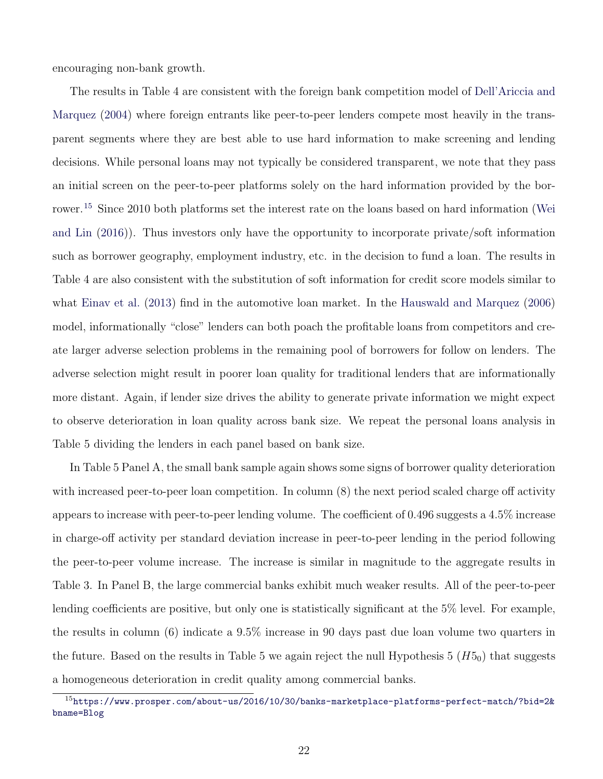encouraging non-bank growth.

The results in Table 4 are consistent with the foreign bank competition model of [Dell'Ariccia and](#page-36-8) [Marquez](#page-36-8) [\(2004\)](#page-36-8) where foreign entrants like peer-to-peer lenders compete most heavily in the transparent segments where they are best able to use hard information to make screening and lending decisions. While personal loans may not typically be considered transparent, we note that they pass an initial screen on the peer-to-peer platforms solely on the hard information provided by the bor-rower.<sup>[15](#page-0-0)</sup> Since 2010 both platforms set the interest rate on the loans based on hard information [\(Wei](#page-39-4) [and Lin](#page-39-4) [\(2016\)](#page-39-4)). Thus investors only have the opportunity to incorporate private/soft information such as borrower geography, employment industry, etc. in the decision to fund a loan. The results in Table 4 are also consistent with the substitution of soft information for credit score models similar to what [Einav et al.](#page-36-4) [\(2013\)](#page-36-4) find in the automotive loan market. In the [Hauswald and Marquez](#page-37-1) [\(2006\)](#page-37-1) model, informationally "close" lenders can both poach the profitable loans from competitors and create larger adverse selection problems in the remaining pool of borrowers for follow on lenders. The adverse selection might result in poorer loan quality for traditional lenders that are informationally more distant. Again, if lender size drives the ability to generate private information we might expect to observe deterioration in loan quality across bank size. We repeat the personal loans analysis in Table 5 dividing the lenders in each panel based on bank size.

In Table 5 Panel A, the small bank sample again shows some signs of borrower quality deterioration with increased peer-to-peer loan competition. In column (8) the next period scaled charge off activity appears to increase with peer-to-peer lending volume. The coefficient of 0.496 suggests a 4.5% increase in charge-off activity per standard deviation increase in peer-to-peer lending in the period following the peer-to-peer volume increase. The increase is similar in magnitude to the aggregate results in Table 3. In Panel B, the large commercial banks exhibit much weaker results. All of the peer-to-peer lending coefficients are positive, but only one is statistically significant at the 5% level. For example, the results in column (6) indicate a 9.5% increase in 90 days past due loan volume two quarters in the future. Based on the results in Table 5 we again reject the null Hypothesis  $5(H5<sub>0</sub>)$  that suggests a homogeneous deterioration in credit quality among commercial banks.

 $^{15}$ [https://www.prosper.com/about-us/2016/10/30/banks-marketplace-platforms-perfect-match/?bid=2&](https://www.prosper.com/about-us/2016/10/30/banks-marketplace-platforms-perfect-match/?bid=2&bname=Blog) [bname=Blog](https://www.prosper.com/about-us/2016/10/30/banks-marketplace-platforms-perfect-match/?bid=2&bname=Blog)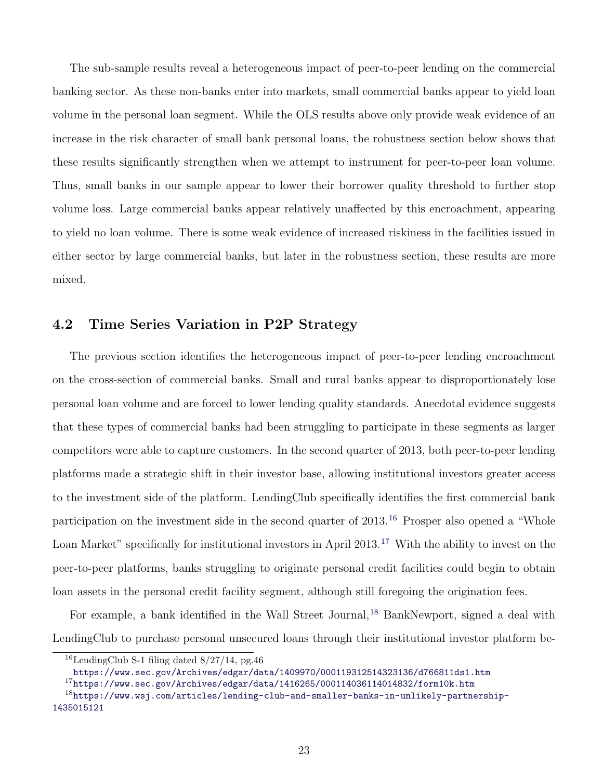The sub-sample results reveal a heterogeneous impact of peer-to-peer lending on the commercial banking sector. As these non-banks enter into markets, small commercial banks appear to yield loan volume in the personal loan segment. While the OLS results above only provide weak evidence of an increase in the risk character of small bank personal loans, the robustness section below shows that these results significantly strengthen when we attempt to instrument for peer-to-peer loan volume. Thus, small banks in our sample appear to lower their borrower quality threshold to further stop volume loss. Large commercial banks appear relatively unaffected by this encroachment, appearing to yield no loan volume. There is some weak evidence of increased riskiness in the facilities issued in either sector by large commercial banks, but later in the robustness section, these results are more mixed.

### 4.2 Time Series Variation in P2P Strategy

The previous section identifies the heterogeneous impact of peer-to-peer lending encroachment on the cross-section of commercial banks. Small and rural banks appear to disproportionately lose personal loan volume and are forced to lower lending quality standards. Anecdotal evidence suggests that these types of commercial banks had been struggling to participate in these segments as larger competitors were able to capture customers. In the second quarter of 2013, both peer-to-peer lending platforms made a strategic shift in their investor base, allowing institutional investors greater access to the investment side of the platform. LendingClub specifically identifies the first commercial bank participation on the investment side in the second quarter of  $2013$ .<sup>[16](#page-0-0)</sup> Prosper also opened a "Whole Loan Market" specifically for institutional investors in April 2013.<sup>[17](#page-0-0)</sup> With the ability to invest on the peer-to-peer platforms, banks struggling to originate personal credit facilities could begin to obtain loan assets in the personal credit facility segment, although still foregoing the origination fees.

For example, a bank identified in the Wall Street Journal, <sup>[18](#page-0-0)</sup> BankNewport, signed a deal with LendingClub to purchase personal unsecured loans through their institutional investor platform be-

<sup>&</sup>lt;sup>16</sup>LendingClub S-1 filing dated  $8/27/14$ , pg. 46

<https://www.sec.gov/Archives/edgar/data/1409970/000119312514323136/d766811ds1.htm>

 $17$ <https://www.sec.gov/Archives/edgar/data/1416265/000114036114014832/form10k.htm>

<sup>18</sup>[https://www.wsj.com/articles/lending-club-and-smaller-banks-in-unlikely-partnership-](https://www.wsj.com/articles/lending-club-and-smaller-banks-in-unlikely-partnership-1435015121)[1435015121](https://www.wsj.com/articles/lending-club-and-smaller-banks-in-unlikely-partnership-1435015121)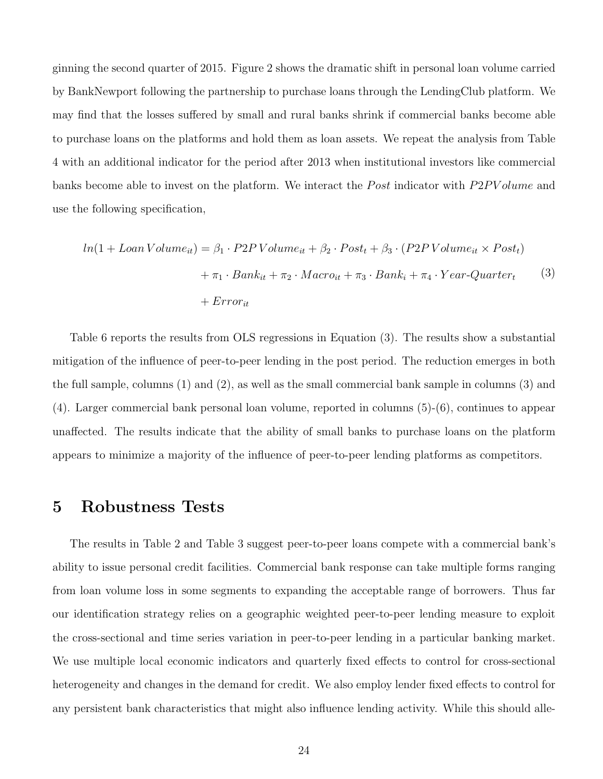ginning the second quarter of 2015. Figure 2 shows the dramatic shift in personal loan volume carried by BankNewport following the partnership to purchase loans through the LendingClub platform. We may find that the losses suffered by small and rural banks shrink if commercial banks become able to purchase loans on the platforms and hold them as loan assets. We repeat the analysis from Table 4 with an additional indicator for the period after 2013 when institutional investors like commercial banks become able to invest on the platform. We interact the *Post* indicator with  $P2PV$  olume and use the following specification,

$$
ln(1 + LoanVolume_{it}) = \beta_1 \cdot P2PVolume_{it} + \beta_2 \cdot Post_t + \beta_3 \cdot (P2PVolume_{it} \times Post_t)
$$

$$
+ \pi_1 \cdot Bank_{it} + \pi_2 \cdot Marco_{it} + \pi_3 \cdot Bank_i + \pi_4 \cdot Year\text{-}Quarter_t \tag{3}
$$

$$
+ Error_{it}
$$

Table 6 reports the results from OLS regressions in Equation (3). The results show a substantial mitigation of the influence of peer-to-peer lending in the post period. The reduction emerges in both the full sample, columns (1) and (2), as well as the small commercial bank sample in columns (3) and (4). Larger commercial bank personal loan volume, reported in columns (5)-(6), continues to appear unaffected. The results indicate that the ability of small banks to purchase loans on the platform appears to minimize a majority of the influence of peer-to-peer lending platforms as competitors.

# 5 Robustness Tests

The results in Table 2 and Table 3 suggest peer-to-peer loans compete with a commercial bank's ability to issue personal credit facilities. Commercial bank response can take multiple forms ranging from loan volume loss in some segments to expanding the acceptable range of borrowers. Thus far our identification strategy relies on a geographic weighted peer-to-peer lending measure to exploit the cross-sectional and time series variation in peer-to-peer lending in a particular banking market. We use multiple local economic indicators and quarterly fixed effects to control for cross-sectional heterogeneity and changes in the demand for credit. We also employ lender fixed effects to control for any persistent bank characteristics that might also influence lending activity. While this should alle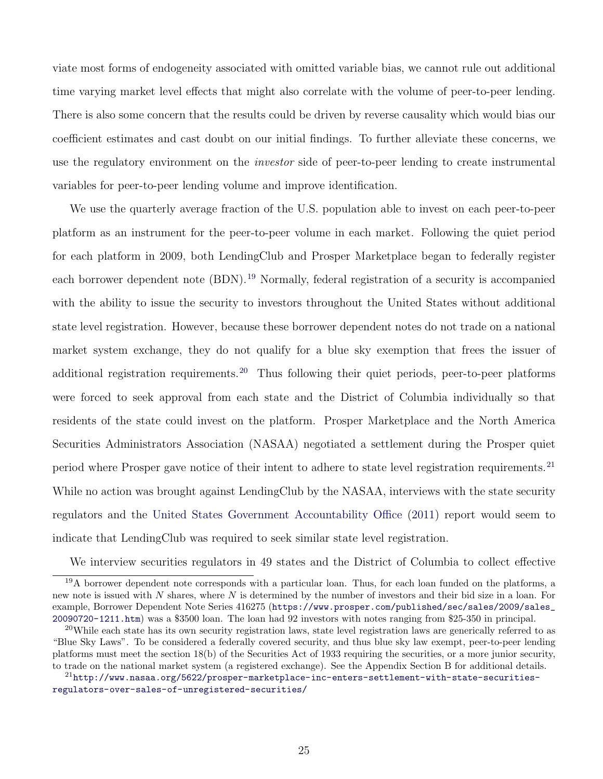viate most forms of endogeneity associated with omitted variable bias, we cannot rule out additional time varying market level effects that might also correlate with the volume of peer-to-peer lending. There is also some concern that the results could be driven by reverse causality which would bias our coefficient estimates and cast doubt on our initial findings. To further alleviate these concerns, we use the regulatory environment on the *investor* side of peer-to-peer lending to create instrumental variables for peer-to-peer lending volume and improve identification.

We use the quarterly average fraction of the U.S. population able to invest on each peer-to-peer platform as an instrument for the peer-to-peer volume in each market. Following the quiet period for each platform in 2009, both LendingClub and Prosper Marketplace began to federally register each borrower dependent note (BDN).<sup>[19](#page-0-0)</sup> Normally, federal registration of a security is accompanied with the ability to issue the security to investors throughout the United States without additional state level registration. However, because these borrower dependent notes do not trade on a national market system exchange, they do not qualify for a blue sky exemption that frees the issuer of additional registration requirements.<sup>[20](#page-0-0)</sup> Thus following their quiet periods, peer-to-peer platforms were forced to seek approval from each state and the District of Columbia individually so that residents of the state could invest on the platform. Prosper Marketplace and the North America Securities Administrators Association (NASAA) negotiated a settlement during the Prosper quiet period where Prosper gave notice of their intent to adhere to state level registration requirements. [21](#page-0-0) While no action was brought against LendingClub by the NASAA, interviews with the state security regulators and the [United States Government Accountability Office](#page-39-5) [\(2011\)](#page-39-5) report would seem to indicate that LendingClub was required to seek similar state level registration.

We interview securities regulators in 49 states and the District of Columbia to collect effective

<sup>&</sup>lt;sup>19</sup>A borrower dependent note corresponds with a particular loan. Thus, for each loan funded on the platforms, a new note is issued with  $N$  shares, where  $N$  is determined by the number of investors and their bid size in a loan. For example, Borrower Dependent Note Series 416275 ([https://www.prosper.com/published/sec/sales/2009/sales\\_](https://www.prosper.com/published/sec/sales/2009/sales_20090720-1211.htm) [20090720-1211.htm](https://www.prosper.com/published/sec/sales/2009/sales_20090720-1211.htm)) was a \$3500 loan. The loan had 92 investors with notes ranging from \$25-350 in principal.

 $20$ While each state has its own security registration laws, state level registration laws are generically referred to as "Blue Sky Laws". To be considered a federally covered security, and thus blue sky law exempt, peer-to-peer lending platforms must meet the section 18(b) of the Securities Act of 1933 requiring the securities, or a more junior security, to trade on the national market system (a registered exchange). See the Appendix Section B for additional details.

<sup>&</sup>lt;sup>21</sup>[http://www.nasaa.org/5622/prosper-marketplace-inc-enters-settlement-with-state-securities](http://www.nasaa.org/5622/prosper-marketplace-inc-enters-settlement-with-state-securities-regulators-over-sales-of-unregistered-securities/)[regulators-over-sales-of-unregistered-securities/](http://www.nasaa.org/5622/prosper-marketplace-inc-enters-settlement-with-state-securities-regulators-over-sales-of-unregistered-securities/)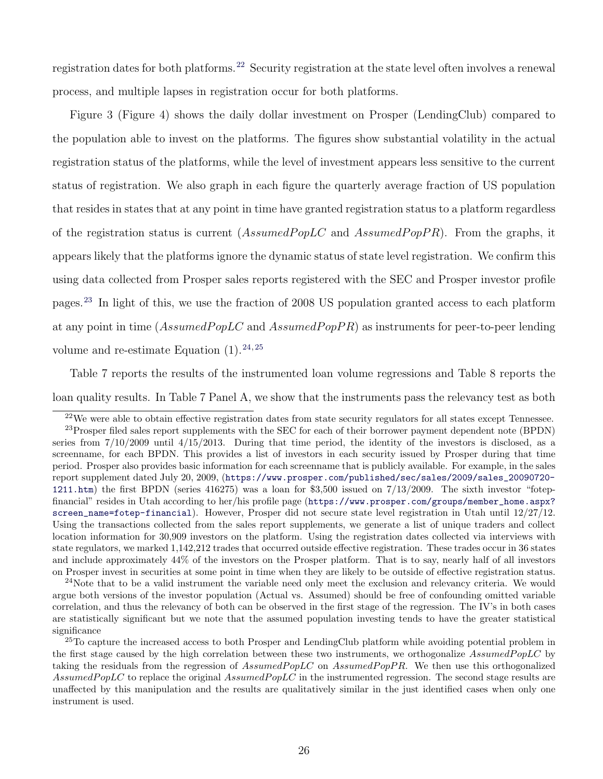registration dates for both platforms.<sup>[22](#page-0-0)</sup> Security registration at the state level often involves a renewal process, and multiple lapses in registration occur for both platforms.

Figure 3 (Figure 4) shows the daily dollar investment on Prosper (LendingClub) compared to the population able to invest on the platforms. The figures show substantial volatility in the actual registration status of the platforms, while the level of investment appears less sensitive to the current status of registration. We also graph in each figure the quarterly average fraction of US population that resides in states that at any point in time have granted registration status to a platform regardless of the registration status is current  $(Assumed Pop LC$  and  $Assumed Pop PR)$ . From the graphs, it appears likely that the platforms ignore the dynamic status of state level registration. We confirm this using data collected from Prosper sales reports registered with the SEC and Prosper investor profile pages.[23](#page-0-0) In light of this, we use the fraction of 2008 US population granted access to each platform at any point in time  $(Assumed Pop LC \text{ and } Assumed Pop PR)$  as instruments for peer-to-peer lending volume and re-estimate Equation  $(1).^{24,25}$  $(1).^{24,25}$  $(1).^{24,25}$  $(1).^{24,25}$ 

Table 7 reports the results of the instrumented loan volume regressions and Table 8 reports the loan quality results. In Table 7 Panel A, we show that the instruments pass the relevancy test as both

<sup>24</sup>Note that to be a valid instrument the variable need only meet the exclusion and relevancy criteria. We would argue both versions of the investor population (Actual vs. Assumed) should be free of confounding omitted variable correlation, and thus the relevancy of both can be observed in the first stage of the regression. The IV's in both cases are statistically significant but we note that the assumed population investing tends to have the greater statistical significance

 $22$ We were able to obtain effective registration dates from state security regulators for all states except Tennessee.

<sup>&</sup>lt;sup>23</sup>Prosper filed sales report supplements with the SEC for each of their borrower payment dependent note (BPDN) series from  $7/10/2009$  until  $4/15/2013$ . During that time period, the identity of the investors is disclosed, as a screenname, for each BPDN. This provides a list of investors in each security issued by Prosper during that time period. Prosper also provides basic information for each screenname that is publicly available. For example, in the sales report supplement dated July 20, 2009, ([https://www.prosper.com/published/sec/sales/2009/sales\\_20090720-](https://www.prosper.com/published/sec/sales/2009/sales_20090720-1211.htm) [1211.htm](https://www.prosper.com/published/sec/sales/2009/sales_20090720-1211.htm)) the first BPDN (series 416275) was a loan for \$3,500 issued on 7/13/2009. The sixth investor "fotepfinancial" resides in Utah according to her/his profile page ([https://www.prosper.com/groups/member\\_home.aspx?](https://www.prosper.com/groups/member_home.aspx?screen_name=fotep-financial) [screen\\_name=fotep-financial](https://www.prosper.com/groups/member_home.aspx?screen_name=fotep-financial)). However, Prosper did not secure state level registration in Utah until 12/27/12. Using the transactions collected from the sales report supplements, we generate a list of unique traders and collect location information for 30,909 investors on the platform. Using the registration dates collected via interviews with state regulators, we marked 1,142,212 trades that occurred outside effective registration. These trades occur in 36 states and include approximately 44% of the investors on the Prosper platform. That is to say, nearly half of all investors on Prosper invest in securities at some point in time when they are likely to be outside of effective registration status.

<sup>&</sup>lt;sup>25</sup>To capture the increased access to both Prosper and LendingClub platform while avoiding potential problem in the first stage caused by the high correlation between these two instruments, we orthogonalize AssumedPopLC by taking the residuals from the regression of  $Assumed Pop LC$  on  $Assumed Pop PR$ . We then use this orthogonalized Assumed PopLC to replace the original Assumed PopLC in the instrumented regression. The second stage results are unaffected by this manipulation and the results are qualitatively similar in the just identified cases when only one instrument is used.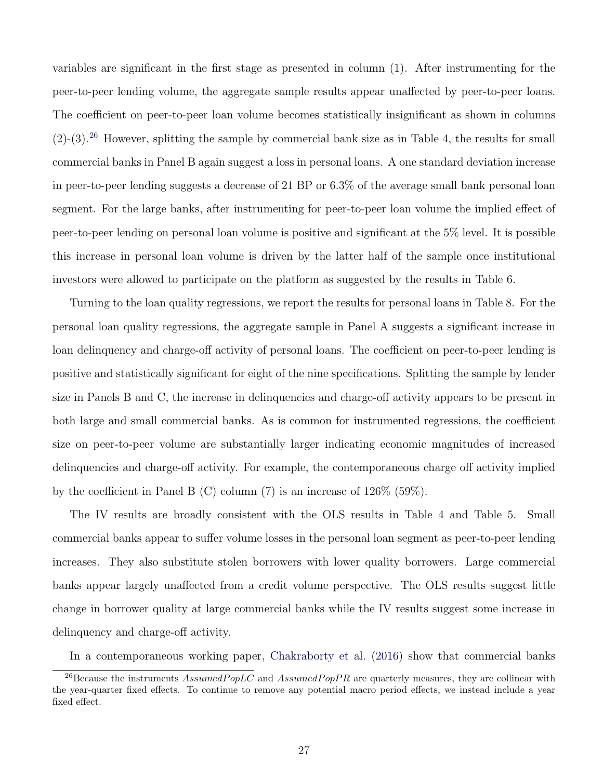variables are significant in the first stage as presented in column (1). After instrumenting for the peer-to-peer lending volume, the aggregate sample results appear unaffected by peer-to-peer loans. The coefficient on peer-to-peer loan volume becomes statistically insignificant as shown in columns  $(2)-(3).^{26}$  $(2)-(3).^{26}$  $(2)-(3).^{26}$  However, splitting the sample by commercial bank size as in Table 4, the results for small commercial banks in Panel B again suggest a loss in personal loans. A one standard deviation increase in peer-to-peer lending suggests a decrease of 21 BP or 6.3% of the average small bank personal loan segment. For the large banks, after instrumenting for peer-to-peer loan volume the implied effect of peer-to-peer lending on personal loan volume is positive and significant at the 5% level. It is possible this increase in personal loan volume is driven by the latter half of the sample once institutional investors were allowed to participate on the platform as suggested by the results in Table 6.

Turning to the loan quality regressions, we report the results for personal loans in Table 8. For the personal loan quality regressions, the aggregate sample in Panel A suggests a significant increase in loan delinquency and charge-off activity of personal loans. The coefficient on peer-to-peer lending is positive and statistically significant for eight of the nine specifications. Splitting the sample by lender size in Panels B and C, the increase in delinquencies and charge-off activity appears to be present in both large and small commercial banks. As is common for instrumented regressions, the coefficient size on peer-to-peer volume are substantially larger indicating economic magnitudes of increased delinquencies and charge-off activity. For example, the contemporaneous charge off activity implied by the coefficient in Panel B  $(C)$  column  $(7)$  is an increase of 126\% (59\%).

The IV results are broadly consistent with the OLS results in Table 4 and Table 5. Small commercial banks appear to suffer volume losses in the personal loan segment as peer-to-peer lending increases. They also substitute stolen borrowers with lower quality borrowers. Large commercial banks appear largely unaffected from a credit volume perspective. The OLS results suggest little change in borrower quality at large commercial banks while the IV results suggest some increase in delinquency and charge-off activity.

In a contemporaneous working paper, [Chakraborty et al.](#page-36-5) [\(2016\)](#page-36-5) show that commercial banks

<sup>&</sup>lt;sup>26</sup>Because the instruments  $Assumed Pop LC$  and  $Assumed Pop PR$  are quarterly measures, they are collinear with the year-quarter fixed effects. To continue to remove any potential macro period effects, we instead include a year fixed effect.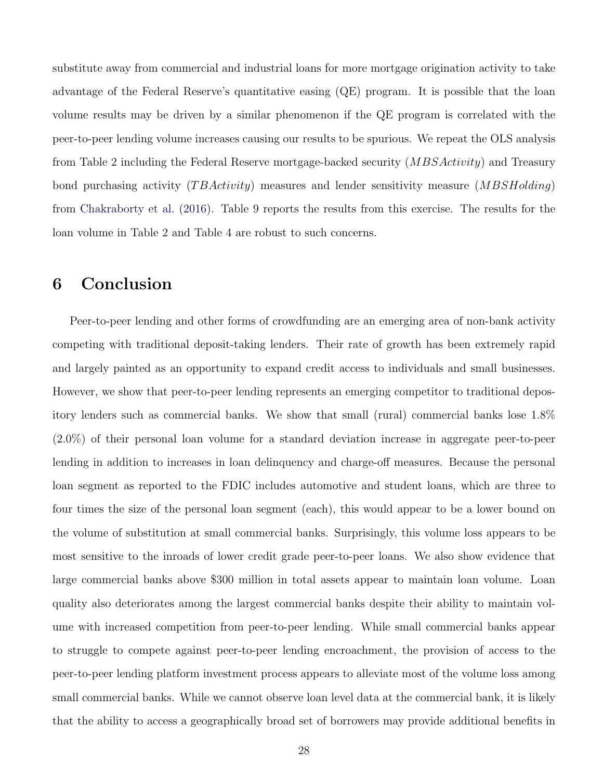substitute away from commercial and industrial loans for more mortgage origination activity to take advantage of the Federal Reserve's quantitative easing (QE) program. It is possible that the loan volume results may be driven by a similar phenomenon if the QE program is correlated with the peer-to-peer lending volume increases causing our results to be spurious. We repeat the OLS analysis from Table 2 including the Federal Reserve mortgage-backed security  $(MBSActivity)$  and Treasury bond purchasing activity  $(TBActivity)$  measures and lender sensitivity measure  $(MBSHolding)$ from [Chakraborty et al.](#page-36-5) [\(2016\)](#page-36-5). Table 9 reports the results from this exercise. The results for the loan volume in Table 2 and Table 4 are robust to such concerns.

# 6 Conclusion

Peer-to-peer lending and other forms of crowdfunding are an emerging area of non-bank activity competing with traditional deposit-taking lenders. Their rate of growth has been extremely rapid and largely painted as an opportunity to expand credit access to individuals and small businesses. However, we show that peer-to-peer lending represents an emerging competitor to traditional depository lenders such as commercial banks. We show that small (rural) commercial banks lose 1.8% (2.0%) of their personal loan volume for a standard deviation increase in aggregate peer-to-peer lending in addition to increases in loan delinquency and charge-off measures. Because the personal loan segment as reported to the FDIC includes automotive and student loans, which are three to four times the size of the personal loan segment (each), this would appear to be a lower bound on the volume of substitution at small commercial banks. Surprisingly, this volume loss appears to be most sensitive to the inroads of lower credit grade peer-to-peer loans. We also show evidence that large commercial banks above \$300 million in total assets appear to maintain loan volume. Loan quality also deteriorates among the largest commercial banks despite their ability to maintain volume with increased competition from peer-to-peer lending. While small commercial banks appear to struggle to compete against peer-to-peer lending encroachment, the provision of access to the peer-to-peer lending platform investment process appears to alleviate most of the volume loss among small commercial banks. While we cannot observe loan level data at the commercial bank, it is likely that the ability to access a geographically broad set of borrowers may provide additional benefits in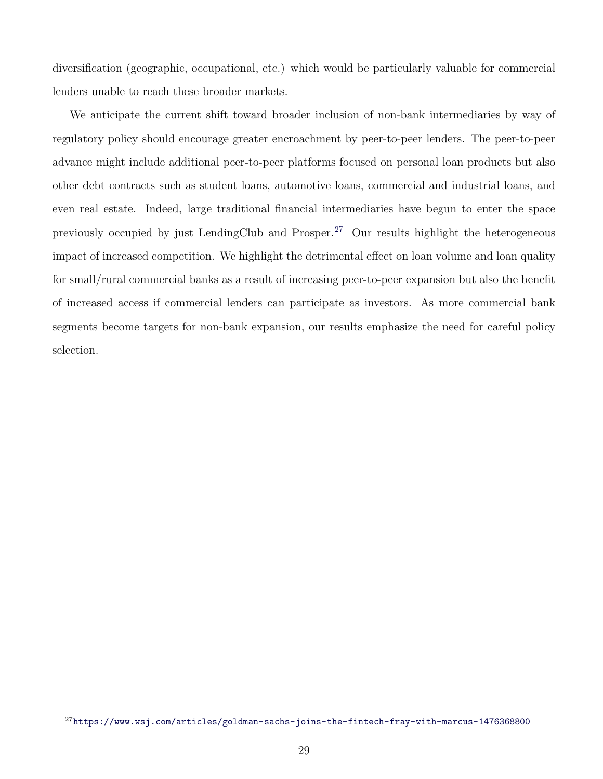diversification (geographic, occupational, etc.) which would be particularly valuable for commercial lenders unable to reach these broader markets.

We anticipate the current shift toward broader inclusion of non-bank intermediaries by way of regulatory policy should encourage greater encroachment by peer-to-peer lenders. The peer-to-peer advance might include additional peer-to-peer platforms focused on personal loan products but also other debt contracts such as student loans, automotive loans, commercial and industrial loans, and even real estate. Indeed, large traditional financial intermediaries have begun to enter the space previously occupied by just LendingClub and Prosper.<sup>[27](#page-0-0)</sup> Our results highlight the heterogeneous impact of increased competition. We highlight the detrimental effect on loan volume and loan quality for small/rural commercial banks as a result of increasing peer-to-peer expansion but also the benefit of increased access if commercial lenders can participate as investors. As more commercial bank segments become targets for non-bank expansion, our results emphasize the need for careful policy selection.

 $^{27}$ <https://www.wsj.com/articles/goldman-sachs-joins-the-fintech-fray-with-marcus-1476368800>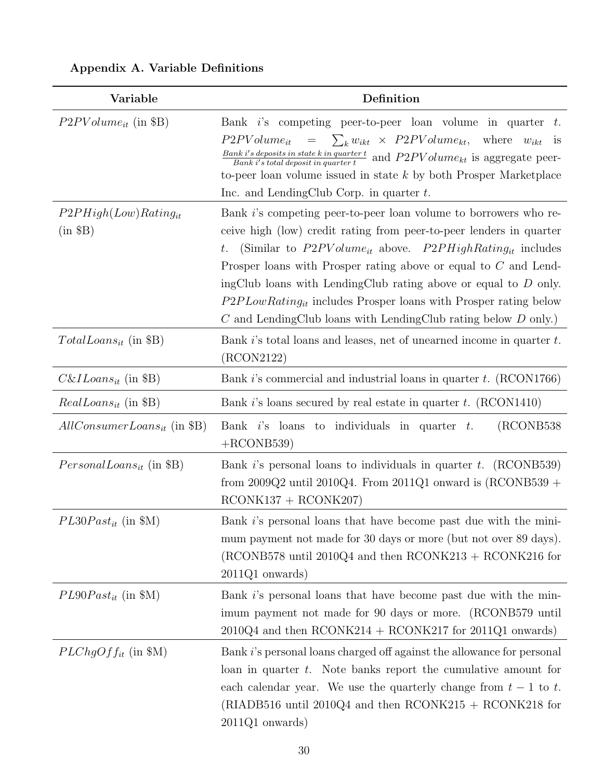| Variable                                | Definition                                                                                                                                                                                                                                                                                                                                                                                                                                                                                                    |
|-----------------------------------------|---------------------------------------------------------------------------------------------------------------------------------------------------------------------------------------------------------------------------------------------------------------------------------------------------------------------------------------------------------------------------------------------------------------------------------------------------------------------------------------------------------------|
| $P2PVolume_{it}$ (in \$B)               | Bank i's competing peer-to-peer loan volume in quarter $t$ .<br>$= \sum_k w_{ikt} \times P2PVolume_{kt},$<br>where $w_{ikt}$ is<br>$P2PVolume_{it}$<br>$\frac{Bank\; i's\; deposits\; in\; state\; k\; in\; quarter\; t}{Bank\; i's\; total\; deposit\; in\; quarter\; t}$ and $P2PVolume_{kt}$ is aggregate peer-<br>to-peer loan volume issued in state $k$ by both Prosper Marketplace<br>Inc. and LendingClub Corp. in quarter $t$ .                                                                      |
| $P2PHigh(Low)Rating_{it}$<br>$(in \$B)$ | Bank i's competing peer-to-peer loan volume to borrowers who re-<br>ceive high (low) credit rating from peer-to-peer lenders in quarter<br>(Similar to $P2PVolume_{it}$ above. $P2PHighRating_{it}$ includes<br>$t$ .<br>Prosper loans with Prosper rating above or equal to $C$ and Lend-<br>ingClub loans with LendingClub rating above or equal to $D$ only.<br>$P2PLowRating_{it}$ includes Prosper loans with Prosper rating below<br>$C$ and LendingClub loans with LendingClub rating below $D$ only.) |
| $TotalLoans_{it}$ (in \$B)              | Bank $i$ 's total loans and leases, net of unearned income in quarter $t$ .<br>(RCON2122)                                                                                                                                                                                                                                                                                                                                                                                                                     |
| $C\&ILoans_{it}$ (in \$B)               | Bank i's commercial and industrial loans in quarter t. (RCON1766)                                                                                                                                                                                                                                                                                                                                                                                                                                             |
| $RealLoans_{it}$ (in \$B)               | Bank i's loans secured by real estate in quarter t. $(RCON1410)$                                                                                                                                                                                                                                                                                                                                                                                                                                              |
| $AllConsumerLoans_{it}$ (in \$B)        | (RCONB538)<br>Bank $i$ 's loans to individuals in quarter $t$ .<br>$+$ RCONB539)                                                                                                                                                                                                                                                                                                                                                                                                                              |
| $PersonalLoans_{it}$ (in \$B)           | Bank i's personal loans to individuals in quarter t. $(RCONB539)$<br>from $2009Q2$ until $2010Q4$ . From $2011Q1$ onward is (RCONB539 +<br>$RCONK137 + RCONK207)$                                                                                                                                                                                                                                                                                                                                             |
| $PL30 Past_{it}$ (in \$M)               | Bank i's personal loans that have become past due with the mini-<br>mum payment not made for 30 days or more (but not over 89 days).<br>(RCONB578 until 2010Q4 and then $RCONK213 + RCONK216$ for<br>$2011Q1$ onwards)                                                                                                                                                                                                                                                                                        |
| $PL90 Past_{it}$ (in \$M)               | Bank i's personal loans that have become past due with the min-<br>imum payment not made for 90 days or more. (RCONB579 until<br>$2010Q4$ and then RCONK214 + RCONK217 for 2011Q1 onwards)                                                                                                                                                                                                                                                                                                                    |
| $PLChgOff_{it}$ (in \$M)                | Bank i's personal loans charged off against the allowance for personal<br>loan in quarter $t$ . Note banks report the cumulative amount for<br>each calendar year. We use the quarterly change from $t-1$ to t.<br>(RIADB516 until 2010Q4 and then $RCONK215 + RCONK218$ for<br>$2011Q1$ onwards)                                                                                                                                                                                                             |

# Appendix A. Variable Definitions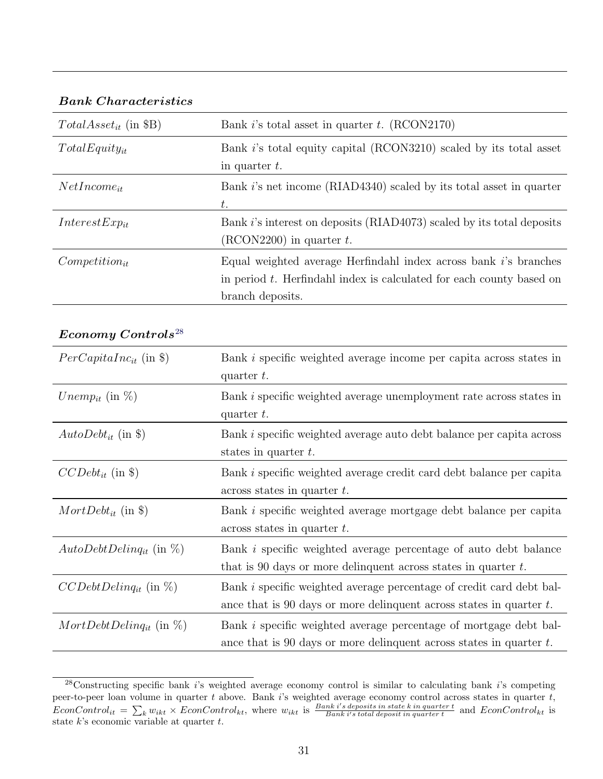### Bank Characteristics

| $Total Asset_{it}$ (in \$B) | Bank i's total asset in quarter $t$ . (RCON2170)                        |
|-----------------------------|-------------------------------------------------------------------------|
| $TotalEquity_{it}$          | Bank i's total equity capital (RCON3210) scaled by its total asset      |
|                             | in quarter $t$ .                                                        |
| $NetIncome_{it}$            | Bank i's net income (RIAD4340) scaled by its total asset in quarter     |
|                             | t.                                                                      |
| $InterestExp_{it}$          | Bank i's interest on deposits (RIAD4073) scaled by its total deposits   |
|                             | $(RCON2200)$ in quarter t.                                              |
| $Competition_{it}$          | Equal weighted average Herfindahl index across bank i's branches        |
|                             | in period $t$ . Herfindahl index is calculated for each county based on |
|                             | branch deposits.                                                        |

### Economy Controls<sup>[28](#page-0-0)</sup>

| $PerCapitalInc_{it}$ (in \\\ \)     | Bank <i>i</i> specific weighted average income per capita across states in<br>quarter $t$ .                                                           |
|-------------------------------------|-------------------------------------------------------------------------------------------------------------------------------------------------------|
| <i>Unemp<sub>it</sub></i> (in $\%)$ | Bank <i>i</i> specific weighted average unemployment rate across states in<br>quarter $t$ .                                                           |
| $AutoDebt_{it}$ (in \$)             | Bank <i>i</i> specific weighted average auto debt balance per capita across<br>states in quarter $t$ .                                                |
| $CCDebt_{it}$ (in \$)               | Bank <i>i</i> specific weighted average credit card debt balance per capita<br>$\alpha$ across states in quarter t.                                   |
| $MortDebt_{it}$ (in \$)             | Bank <i>i</i> specific weighted average mortgage debt balance per capita<br>$\alpha$ across states in quarter t.                                      |
| $AutoDebtDelinq_{it}$ (in $\%$ )    | Bank <i>i</i> specific weighted average percentage of auto debt balance<br>that is 90 days or more delinquent across states in quarter $t$ .          |
| $CCDebtDelinq_{it}$ (in $\%$ )      | Bank <i>i</i> specific weighted average percentage of credit card debt bal-<br>ance that is 90 days or more delinquent across states in quarter $t$ . |
| $MortDebtDelinq_{it}$ (in $\%)$     | Bank <i>i</i> specific weighted average percentage of mortgage debt bal-<br>ance that is 90 days or more delinquent across states in quarter $t$ .    |

 $28$ Constructing specific bank i's weighted average economy control is similar to calculating bank i's competing peer-to-peer loan volume in quarter t above. Bank is weighted average economy control across states in quarter  $t$ , EconControl<sub>it</sub> =  $\sum_k w_{ikt} \times EconControl_{kt}$ , where  $w_{ikt}$  is  $\frac{Bank i's \text{ deposits in state } k \text{ in quarter } t}{Bank i's \text{ total deposit in quarter } t}$  and  $EconControl_{kt}$  is state  $k$ 's economic variable at quarter  $t$ .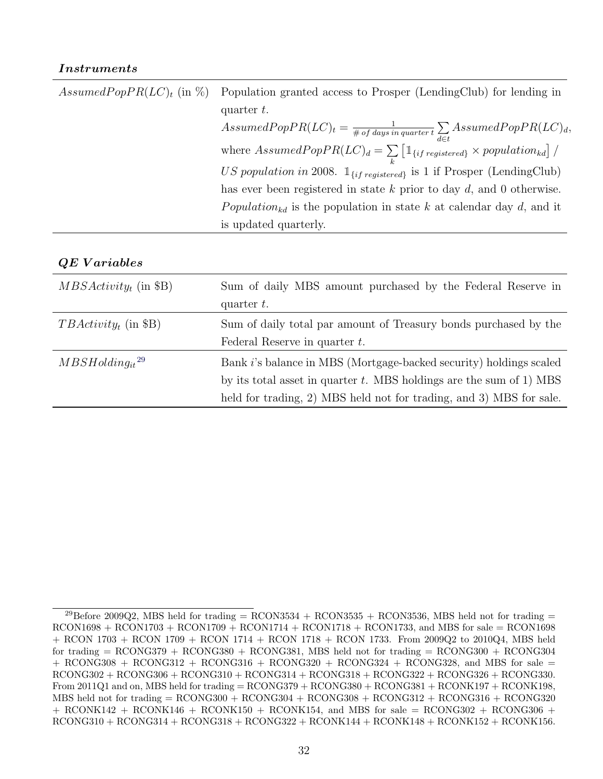### Instruments

| Assumed Pop $PR(LC)_t$ (in %) Population granted access to Prosper (LendingClub) for lending in   |
|---------------------------------------------------------------------------------------------------|
| quarter $t$ .                                                                                     |
| $Assumed PopPR(LC)t = \frac{1}{\# of days in quarter t} \sum_{d \in t} Assumed PopPR(LC)d,$       |
| where $AssumedPopPR(LC)d = \sum_{i} [\mathbb{1}_{\{if \, registered\}} \times population_{kd}] /$ |
| US population in 2008. $\mathbb{1}_{\{if \, registered\}}$ is 1 if Prosper (LendingClub)          |
| has ever been registered in state $k$ prior to day $d$ , and 0 otherwise.                         |
| Population <sub>kd</sub> is the population in state k at calendar day d, and it                   |
| is updated quarterly.                                                                             |
|                                                                                                   |

### QE V ariables

| $MBSActivityt$ (in \$B) | Sum of daily MBS amount purchased by the Federal Reserve in<br>quarter $t$ . |
|-------------------------|------------------------------------------------------------------------------|
|                         |                                                                              |
| $TBActivity_t$ (in \$B) | Sum of daily total par amount of Treasury bonds purchased by the             |
|                         | Federal Reserve in quarter $t$ .                                             |
| $MBSHolding_{it}^{29}$  | Bank i's balance in MBS (Mortgage-backed security) holdings scaled           |
|                         | by its total asset in quarter $t$ . MBS holdings are the sum of 1) MBS       |
|                         | held for trading, 2) MBS held not for trading, and 3) MBS for sale.          |

<sup>&</sup>lt;sup>29</sup>Before 2009Q2, MBS held for trading = RCON3534 + RCON3535 + RCON3536, MBS held not for trading =  $RCON1698 + RCON1703 + RCON1709 + RCON1714 + RCON1718 + RCON1733$ , and MBS for sale = RCON1698 + RCON 1703 + RCON 1709 + RCON 1714 + RCON 1718 + RCON 1733. From 2009Q2 to 2010Q4, MBS held for trading  $=$  RCONG379  $+$  RCONG380  $+$  RCONG381, MBS held not for trading  $=$  RCONG300  $+$  RCONG304  $+$  RCONG308 + RCONG312 + RCONG316 + RCONG320 + RCONG324 + RCONG328, and MBS for sale  $=$  $\text{RCONG302} + \text{RCONG306} + \text{RCONG310} + \text{RCONG314} + \text{RCONG318} + \text{RCONG322} + \text{RCONG326} + \text{RCONG330}.$ From 2011Q1 and on, MBS held for trading = RCONG379 + RCONG380 + RCONG381 + RCONK197 + RCONK198,  $MBS$  held not for trading = RCONG300 + RCONG304 + RCONG308 + RCONG312 + RCONG316 + RCONG320  $+$  RCONK142 + RCONK146 + RCONK150 + RCONK154, and MBS for sale = RCONG302 + RCONG306 +  $\text{RCONG310} + \text{RCONG314} + \text{RCONG318} + \text{RCONG322} + \text{RCONK144} + \text{RCONK148} + \text{RCONK152} + \text{RCONK156}.$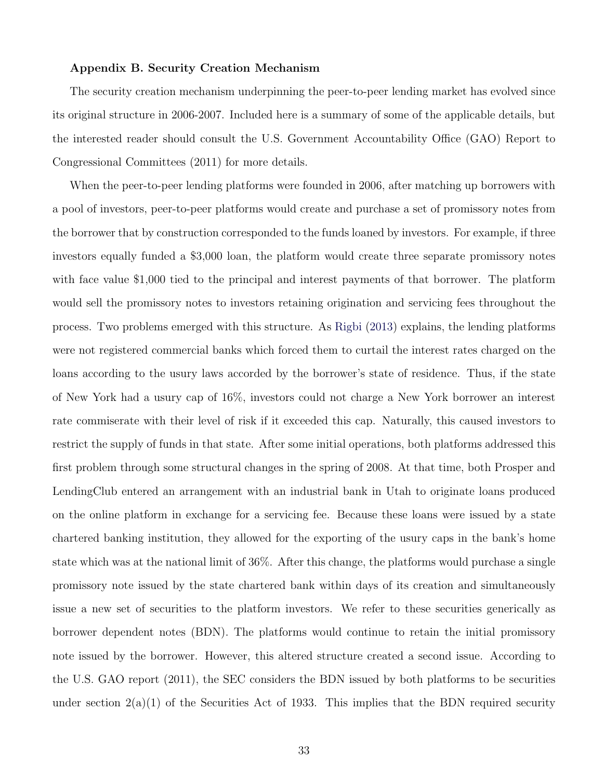### Appendix B. Security Creation Mechanism

The security creation mechanism underpinning the peer-to-peer lending market has evolved since its original structure in 2006-2007. Included here is a summary of some of the applicable details, but the interested reader should consult the U.S. Government Accountability Office (GAO) Report to Congressional Committees (2011) for more details.

When the peer-to-peer lending platforms were founded in 2006, after matching up borrowers with a pool of investors, peer-to-peer platforms would create and purchase a set of promissory notes from the borrower that by construction corresponded to the funds loaned by investors. For example, if three investors equally funded a \$3,000 loan, the platform would create three separate promissory notes with face value \$1,000 tied to the principal and interest payments of that borrower. The platform would sell the promissory notes to investors retaining origination and servicing fees throughout the process. Two problems emerged with this structure. As [Rigbi](#page-39-6) [\(2013\)](#page-39-6) explains, the lending platforms were not registered commercial banks which forced them to curtail the interest rates charged on the loans according to the usury laws accorded by the borrower's state of residence. Thus, if the state of New York had a usury cap of 16%, investors could not charge a New York borrower an interest rate commiserate with their level of risk if it exceeded this cap. Naturally, this caused investors to restrict the supply of funds in that state. After some initial operations, both platforms addressed this first problem through some structural changes in the spring of 2008. At that time, both Prosper and LendingClub entered an arrangement with an industrial bank in Utah to originate loans produced on the online platform in exchange for a servicing fee. Because these loans were issued by a state chartered banking institution, they allowed for the exporting of the usury caps in the bank's home state which was at the national limit of 36%. After this change, the platforms would purchase a single promissory note issued by the state chartered bank within days of its creation and simultaneously issue a new set of securities to the platform investors. We refer to these securities generically as borrower dependent notes (BDN). The platforms would continue to retain the initial promissory note issued by the borrower. However, this altered structure created a second issue. According to the U.S. GAO report (2011), the SEC considers the BDN issued by both platforms to be securities under section  $2(a)(1)$  of the Securities Act of 1933. This implies that the BDN required security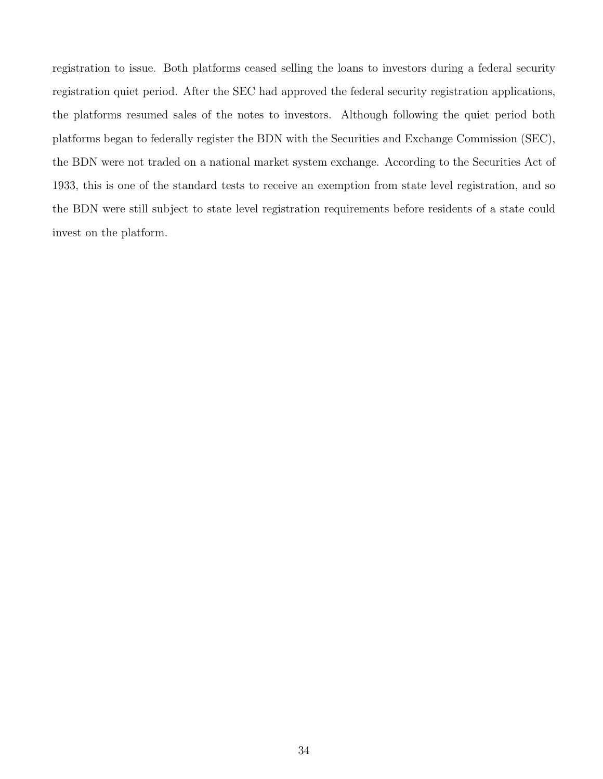registration to issue. Both platforms ceased selling the loans to investors during a federal security registration quiet period. After the SEC had approved the federal security registration applications, the platforms resumed sales of the notes to investors. Although following the quiet period both platforms began to federally register the BDN with the Securities and Exchange Commission (SEC), the BDN were not traded on a national market system exchange. According to the Securities Act of 1933, this is one of the standard tests to receive an exemption from state level registration, and so the BDN were still subject to state level registration requirements before residents of a state could invest on the platform.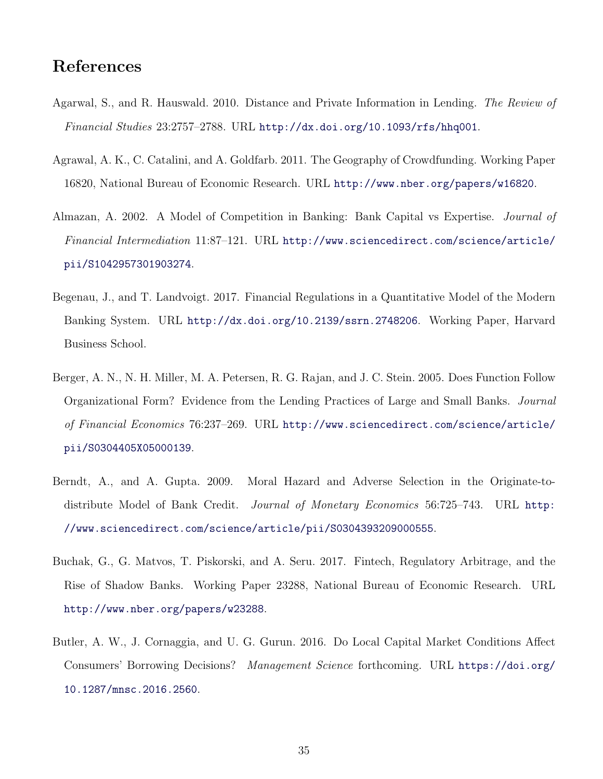# References

- <span id="page-35-6"></span>Agarwal, S., and R. Hauswald. 2010. Distance and Private Information in Lending. The Review of Financial Studies 23:2757–2788. URL <http://dx.doi.org/10.1093/rfs/hhq001>.
- <span id="page-35-1"></span>Agrawal, A. K., C. Catalini, and A. Goldfarb. 2011. The Geography of Crowdfunding. Working Paper 16820, National Bureau of Economic Research. URL <http://www.nber.org/papers/w16820>.
- <span id="page-35-2"></span>Almazan, A. 2002. A Model of Competition in Banking: Bank Capital vs Expertise. Journal of Financial Intermediation 11:87–121. URL [http://www.sciencedirect.com/science/article/](http://www.sciencedirect.com/science/article/pii/S1042957301903274) [pii/S1042957301903274](http://www.sciencedirect.com/science/article/pii/S1042957301903274).
- <span id="page-35-3"></span>Begenau, J., and T. Landvoigt. 2017. Financial Regulations in a Quantitative Model of the Modern Banking System. URL <http://dx.doi.org/10.2139/ssrn.2748206>. Working Paper, Harvard Business School.
- <span id="page-35-7"></span>Berger, A. N., N. H. Miller, M. A. Petersen, R. G. Rajan, and J. C. Stein. 2005. Does Function Follow Organizational Form? Evidence from the Lending Practices of Large and Small Banks. Journal of Financial Economics 76:237–269. URL [http://www.sciencedirect.com/science/article/](http://www.sciencedirect.com/science/article/pii/S0304405X05000139) [pii/S0304405X05000139](http://www.sciencedirect.com/science/article/pii/S0304405X05000139).
- <span id="page-35-5"></span>Berndt, A., and A. Gupta. 2009. Moral Hazard and Adverse Selection in the Originate-todistribute Model of Bank Credit. Journal of Monetary Economics 56:725–743. URL [http:](http://www.sciencedirect.com/science/article/pii/S0304393209000555) [//www.sciencedirect.com/science/article/pii/S0304393209000555](http://www.sciencedirect.com/science/article/pii/S0304393209000555).
- <span id="page-35-4"></span>Buchak, G., G. Matvos, T. Piskorski, and A. Seru. 2017. Fintech, Regulatory Arbitrage, and the Rise of Shadow Banks. Working Paper 23288, National Bureau of Economic Research. URL <http://www.nber.org/papers/w23288>.
- <span id="page-35-0"></span>Butler, A. W., J. Cornaggia, and U. G. Gurun. 2016. Do Local Capital Market Conditions Affect Consumers' Borrowing Decisions? Management Science forthcoming. URL [https://doi.org/](https://doi.org/10.1287/mnsc.2016.2560) [10.1287/mnsc.2016.2560](https://doi.org/10.1287/mnsc.2016.2560).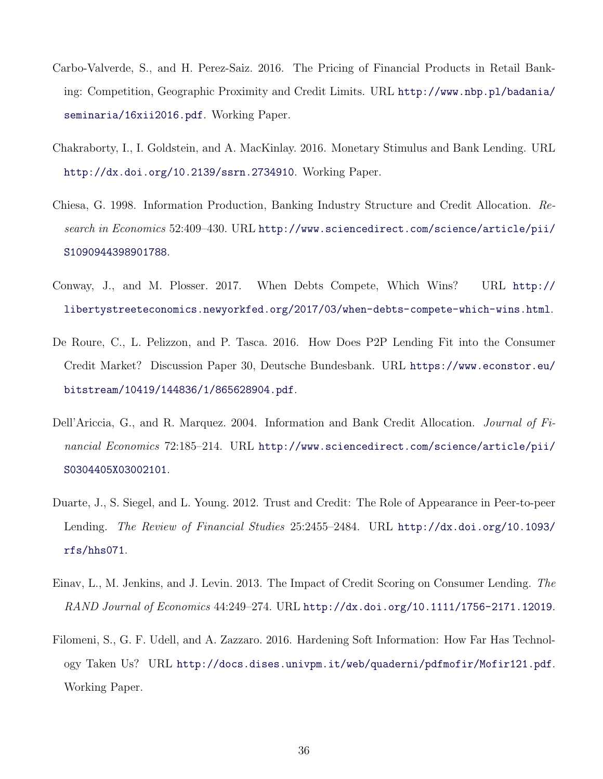- <span id="page-36-6"></span>Carbo-Valverde, S., and H. Perez-Saiz. 2016. The Pricing of Financial Products in Retail Banking: Competition, Geographic Proximity and Credit Limits. URL [http://www.nbp.pl/badania/](http://www.nbp.pl/badania/seminaria/16xii2016.pdf) [seminaria/16xii2016.pdf](http://www.nbp.pl/badania/seminaria/16xii2016.pdf). Working Paper.
- <span id="page-36-5"></span>Chakraborty, I., I. Goldstein, and A. MacKinlay. 2016. Monetary Stimulus and Bank Lending. URL <http://dx.doi.org/10.2139/ssrn.2734910>. Working Paper.
- <span id="page-36-2"></span>Chiesa, G. 1998. Information Production, Banking Industry Structure and Credit Allocation. Research in Economics 52:409–430. URL [http://www.sciencedirect.com/science/article/pii/](http://www.sciencedirect.com/science/article/pii/S1090944398901788) [S1090944398901788](http://www.sciencedirect.com/science/article/pii/S1090944398901788).
- <span id="page-36-7"></span>Conway, J., and M. Plosser. 2017. When Debts Compete, Which Wins? URL [http://](http://libertystreeteconomics.newyorkfed.org/2017/03/when-debts-compete-which-wins.html) [libertystreeteconomics.newyorkfed.org/2017/03/when-debts-compete-which-wins.html](http://libertystreeteconomics.newyorkfed.org/2017/03/when-debts-compete-which-wins.html).
- <span id="page-36-0"></span>De Roure, C., L. Pelizzon, and P. Tasca. 2016. How Does P2P Lending Fit into the Consumer Credit Market? Discussion Paper 30, Deutsche Bundesbank. URL [https://www.econstor.eu/](https://www.econstor.eu/bitstream/10419/144836/1/865628904.pdf) [bitstream/10419/144836/1/865628904.pdf](https://www.econstor.eu/bitstream/10419/144836/1/865628904.pdf).
- <span id="page-36-8"></span>Dell'Ariccia, G., and R. Marquez. 2004. Information and Bank Credit Allocation. *Journal of Fi*nancial Economics 72:185–214. URL [http://www.sciencedirect.com/science/article/pii/](http://www.sciencedirect.com/science/article/pii/S0304405X03002101) [S0304405X03002101](http://www.sciencedirect.com/science/article/pii/S0304405X03002101).
- <span id="page-36-1"></span>Duarte, J., S. Siegel, and L. Young. 2012. Trust and Credit: The Role of Appearance in Peer-to-peer Lending. The Review of Financial Studies 25:2455–2484. URL [http://dx.doi.org/10.1093/](http://dx.doi.org/10.1093/rfs/hhs071) [rfs/hhs071](http://dx.doi.org/10.1093/rfs/hhs071).
- <span id="page-36-4"></span>Einav, L., M. Jenkins, and J. Levin. 2013. The Impact of Credit Scoring on Consumer Lending. The RAND Journal of Economics 44:249–274. URL <http://dx.doi.org/10.1111/1756-2171.12019>.
- <span id="page-36-3"></span>Filomeni, S., G. F. Udell, and A. Zazzaro. 2016. Hardening Soft Information: How Far Has Technology Taken Us? URL <http://docs.dises.univpm.it/web/quaderni/pdfmofir/Mofir121.pdf>. Working Paper.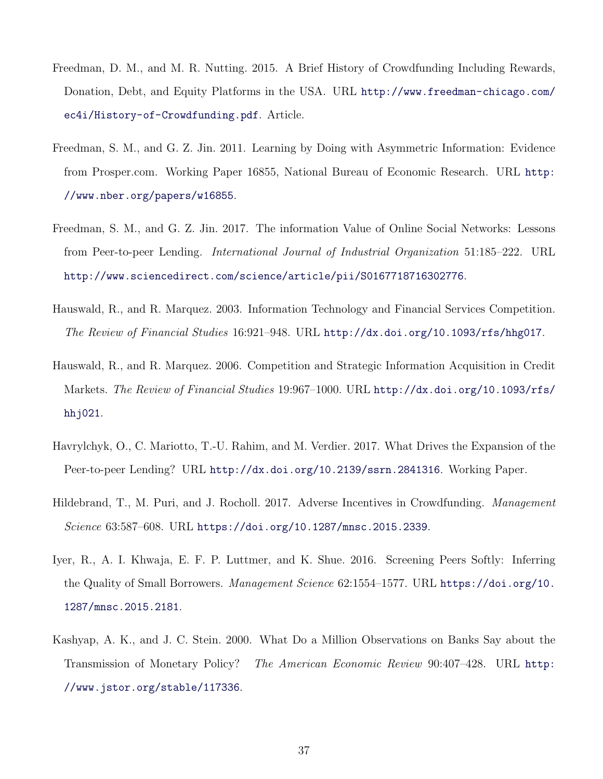- <span id="page-37-6"></span>Freedman, D. M., and M. R. Nutting. 2015. A Brief History of Crowdfunding Including Rewards, Donation, Debt, and Equity Platforms in the USA. URL [http://www.freedman-chicago.com/](http://www.freedman-chicago.com/ec4i/History-of-Crowdfunding.pdf) [ec4i/History-of-Crowdfunding.pdf](http://www.freedman-chicago.com/ec4i/History-of-Crowdfunding.pdf). Article.
- <span id="page-37-8"></span>Freedman, S. M., and G. Z. Jin. 2011. Learning by Doing with Asymmetric Information: Evidence from Prosper.com. Working Paper 16855, National Bureau of Economic Research. URL [http:](http://www.nber.org/papers/w16855) [//www.nber.org/papers/w16855](http://www.nber.org/papers/w16855).
- <span id="page-37-4"></span>Freedman, S. M., and G. Z. Jin. 2017. The information Value of Online Social Networks: Lessons from Peer-to-peer Lending. International Journal of Industrial Organization 51:185–222. URL <http://www.sciencedirect.com/science/article/pii/S0167718716302776>.
- <span id="page-37-0"></span>Hauswald, R., and R. Marquez. 2003. Information Technology and Financial Services Competition. The Review of Financial Studies 16:921–948. URL <http://dx.doi.org/10.1093/rfs/hhg017>.
- <span id="page-37-1"></span>Hauswald, R., and R. Marquez. 2006. Competition and Strategic Information Acquisition in Credit Markets. The Review of Financial Studies 19:967–1000. URL [http://dx.doi.org/10.1093/rfs/](http://dx.doi.org/10.1093/rfs/hhj021) hhj $021$ .
- <span id="page-37-5"></span>Havrylchyk, O., C. Mariotto, T.-U. Rahim, and M. Verdier. 2017. What Drives the Expansion of the Peer-to-peer Lending? URL <http://dx.doi.org/10.2139/ssrn.2841316>. Working Paper.
- <span id="page-37-3"></span>Hildebrand, T., M. Puri, and J. Rocholl. 2017. Adverse Incentives in Crowdfunding. *Management* Science 63:587–608. URL <https://doi.org/10.1287/mnsc.2015.2339>.
- <span id="page-37-2"></span>Iyer, R., A. I. Khwaja, E. F. P. Luttmer, and K. Shue. 2016. Screening Peers Softly: Inferring the Quality of Small Borrowers. Management Science 62:1554–1577. URL [https://doi.org/10.](https://doi.org/10.1287/mnsc.2015.2181) [1287/mnsc.2015.2181](https://doi.org/10.1287/mnsc.2015.2181).
- <span id="page-37-7"></span>Kashyap, A. K., and J. C. Stein. 2000. What Do a Million Observations on Banks Say about the Transmission of Monetary Policy? The American Economic Review 90:407–428. URL [http:](http://www.jstor.org/stable/117336) [//www.jstor.org/stable/117336](http://www.jstor.org/stable/117336).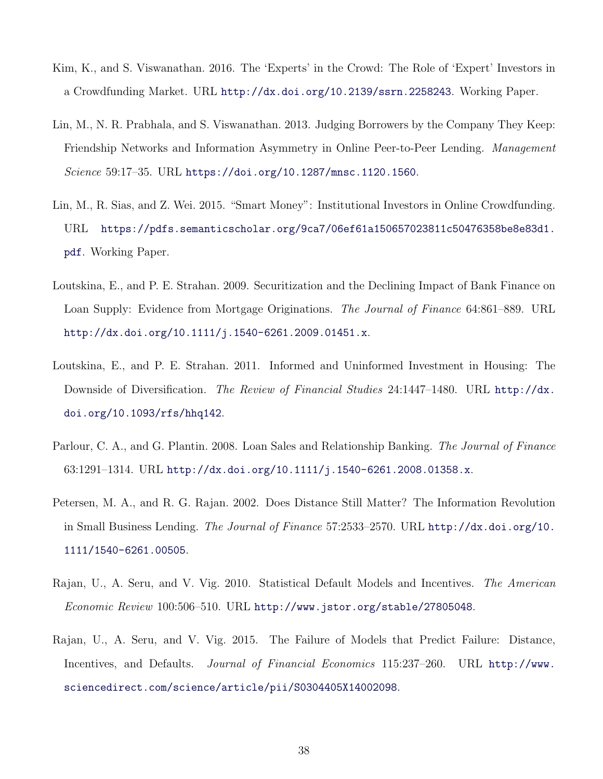- <span id="page-38-2"></span>Kim, K., and S. Viswanathan. 2016. The 'Experts' in the Crowd: The Role of 'Expert' Investors in a Crowdfunding Market. URL <http://dx.doi.org/10.2139/ssrn.2258243>. Working Paper.
- <span id="page-38-3"></span>Lin, M., N. R. Prabhala, and S. Viswanathan. 2013. Judging Borrowers by the Company They Keep: Friendship Networks and Information Asymmetry in Online Peer-to-Peer Lending. Management Science 59:17–35. URL <https://doi.org/10.1287/mnsc.1120.1560>.
- <span id="page-38-1"></span>Lin, M., R. Sias, and Z. Wei. 2015. "Smart Money": Institutional Investors in Online Crowdfunding. URL [https://pdfs.semanticscholar.org/9ca7/06ef61a150657023811c50476358be8e83d1.](https://pdfs.semanticscholar.org/9ca7/06ef61a150657023811c50476358be8e83d1.pdf) [pdf](https://pdfs.semanticscholar.org/9ca7/06ef61a150657023811c50476358be8e83d1.pdf). Working Paper.
- <span id="page-38-8"></span>Loutskina, E., and P. E. Strahan. 2009. Securitization and the Declining Impact of Bank Finance on Loan Supply: Evidence from Mortgage Originations. The Journal of Finance 64:861–889. URL <http://dx.doi.org/10.1111/j.1540-6261.2009.01451.x>.
- <span id="page-38-4"></span>Loutskina, E., and P. E. Strahan. 2011. Informed and Uninformed Investment in Housing: The Downside of Diversification. The Review of Financial Studies 24:1447-1480. URL [http://dx.](http://dx.doi.org/10.1093/rfs/hhq142) [doi.org/10.1093/rfs/hhq142](http://dx.doi.org/10.1093/rfs/hhq142).
- <span id="page-38-5"></span>Parlour, C. A., and G. Plantin. 2008. Loan Sales and Relationship Banking. The Journal of Finance 63:1291–1314. URL <http://dx.doi.org/10.1111/j.1540-6261.2008.01358.x>.
- <span id="page-38-0"></span>Petersen, M. A., and R. G. Rajan. 2002. Does Distance Still Matter? The Information Revolution in Small Business Lending. The Journal of Finance 57:2533–2570. URL [http://dx.doi.org/10.](http://dx.doi.org/10.1111/1540-6261.00505) [1111/1540-6261.00505](http://dx.doi.org/10.1111/1540-6261.00505).
- <span id="page-38-6"></span>Rajan, U., A. Seru, and V. Vig. 2010. Statistical Default Models and Incentives. The American Economic Review 100:506–510. URL <http://www.jstor.org/stable/27805048>.
- <span id="page-38-7"></span>Rajan, U., A. Seru, and V. Vig. 2015. The Failure of Models that Predict Failure: Distance, Incentives, and Defaults. Journal of Financial Economics 115:237–260. URL [http://www.](http://www.sciencedirect.com/science/article/pii/S0304405X14002098) [sciencedirect.com/science/article/pii/S0304405X14002098](http://www.sciencedirect.com/science/article/pii/S0304405X14002098).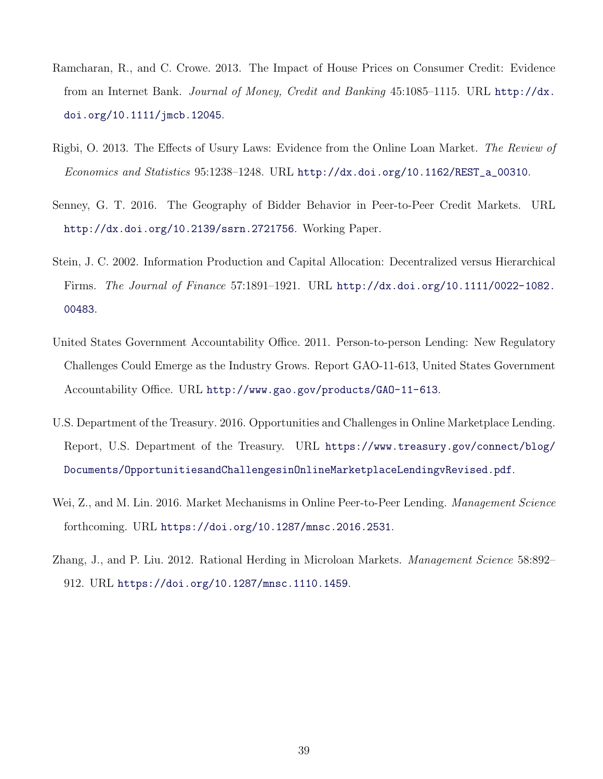- <span id="page-39-2"></span>Ramcharan, R., and C. Crowe. 2013. The Impact of House Prices on Consumer Credit: Evidence from an Internet Bank. Journal of Money, Credit and Banking 45:1085–1115. URL [http://dx.](http://dx.doi.org/10.1111/jmcb.12045) [doi.org/10.1111/jmcb.12045](http://dx.doi.org/10.1111/jmcb.12045).
- <span id="page-39-6"></span>Rigbi, O. 2013. The Effects of Usury Laws: Evidence from the Online Loan Market. The Review of Economics and Statistics 95:1238–1248. URL [http://dx.doi.org/10.1162/REST\\_a\\_00310](http://dx.doi.org/10.1162/REST_a_00310).
- <span id="page-39-1"></span>Senney, G. T. 2016. The Geography of Bidder Behavior in Peer-to-Peer Credit Markets. URL <http://dx.doi.org/10.2139/ssrn.2721756>. Working Paper.
- <span id="page-39-3"></span>Stein, J. C. 2002. Information Production and Capital Allocation: Decentralized versus Hierarchical Firms. The Journal of Finance 57:1891–1921. URL [http://dx.doi.org/10.1111/0022-1082.](http://dx.doi.org/10.1111/0022-1082.00483) [00483](http://dx.doi.org/10.1111/0022-1082.00483).
- <span id="page-39-5"></span>United States Government Accountability Office. 2011. Person-to-person Lending: New Regulatory Challenges Could Emerge as the Industry Grows. Report GAO-11-613, United States Government Accountability Office. URL <http://www.gao.gov/products/GAO-11-613>.
- U.S. Department of the Treasury. 2016. Opportunities and Challenges in Online Marketplace Lending. Report, U.S. Department of the Treasury. URL [https://www.treasury.gov/connect/blog/](https://www.treasury.gov/connect/blog/Documents/Opportunities and Challenges in Online Marketplace Lending vRevised.pdf) [Documents/OpportunitiesandChallengesinOnlineMarketplaceLendingvRevised.pdf](https://www.treasury.gov/connect/blog/Documents/Opportunities and Challenges in Online Marketplace Lending vRevised.pdf).
- <span id="page-39-4"></span>Wei, Z., and M. Lin. 2016. Market Mechanisms in Online Peer-to-Peer Lending. *Management Science* forthcoming. URL <https://doi.org/10.1287/mnsc.2016.2531>.
- <span id="page-39-0"></span>Zhang, J., and P. Liu. 2012. Rational Herding in Microloan Markets. *Management Science* 58:892– 912. URL <https://doi.org/10.1287/mnsc.1110.1459>.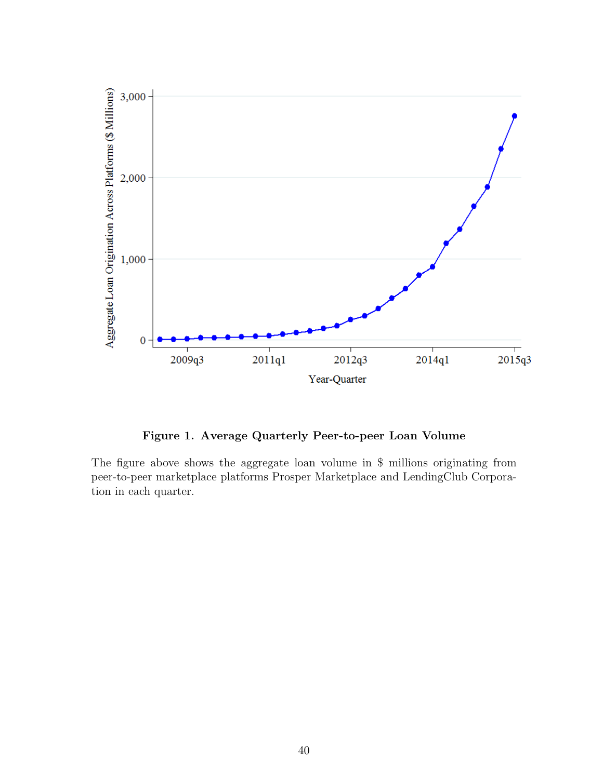

Figure 1. Average Quarterly Peer-to-peer Loan Volume

The figure above shows the aggregate loan volume in \$ millions originating from peer-to-peer marketplace platforms Prosper Marketplace and LendingClub Corporation in each quarter.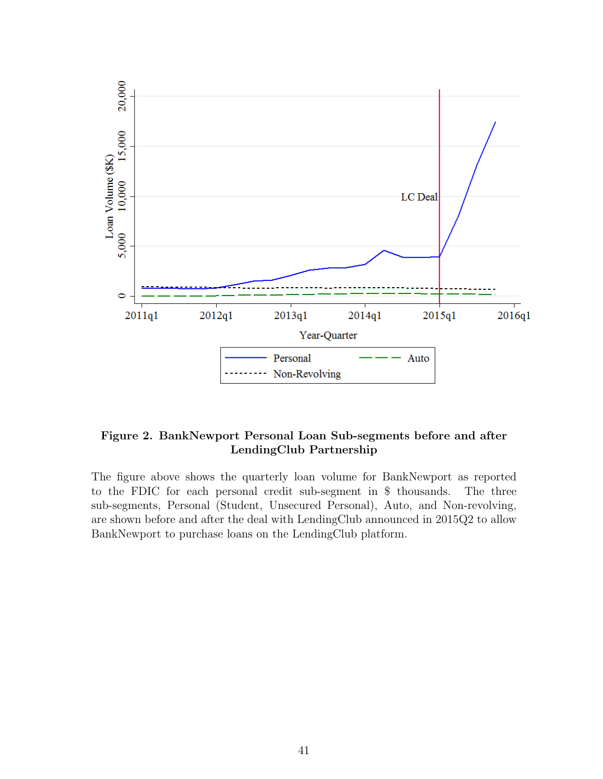

### Figure 2. BankNewport Personal Loan Sub-segments before and after LendingClub Partnership

The figure above shows the quarterly loan volume for BankNewport as reported to the FDIC for each personal credit sub-segment in \$ thousands. The three sub-segments, Personal (Student, Unsecured Personal), Auto, and Non-revolving, are shown before and after the deal with LendingClub announced in 2015Q2 to allow BankNewport to purchase loans on the LendingClub platform.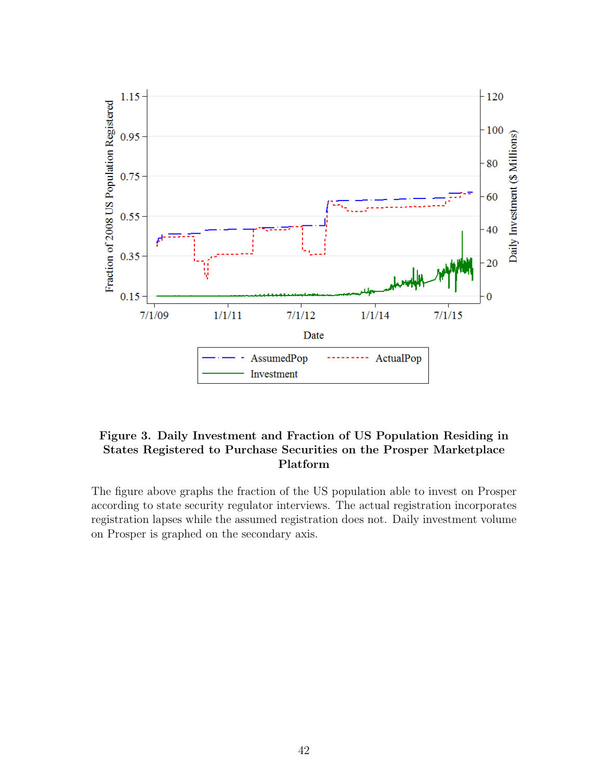

### Figure 3. Daily Investment and Fraction of US Population Residing in States Registered to Purchase Securities on the Prosper Marketplace Platform

The figure above graphs the fraction of the US population able to invest on Prosper according to state security regulator interviews. The actual registration incorporates registration lapses while the assumed registration does not. Daily investment volume on Prosper is graphed on the secondary axis.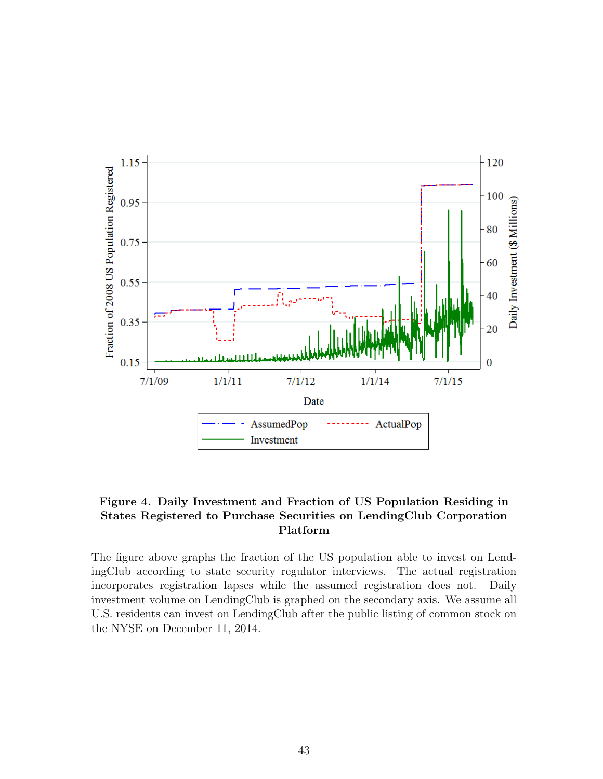

### Figure 4. Daily Investment and Fraction of US Population Residing in States Registered to Purchase Securities on LendingClub Corporation Platform

The figure above graphs the fraction of the US population able to invest on LendingClub according to state security regulator interviews. The actual registration incorporates registration lapses while the assumed registration does not. Daily investment volume on LendingClub is graphed on the secondary axis. We assume all U.S. residents can invest on LendingClub after the public listing of common stock on the NYSE on December 11, 2014.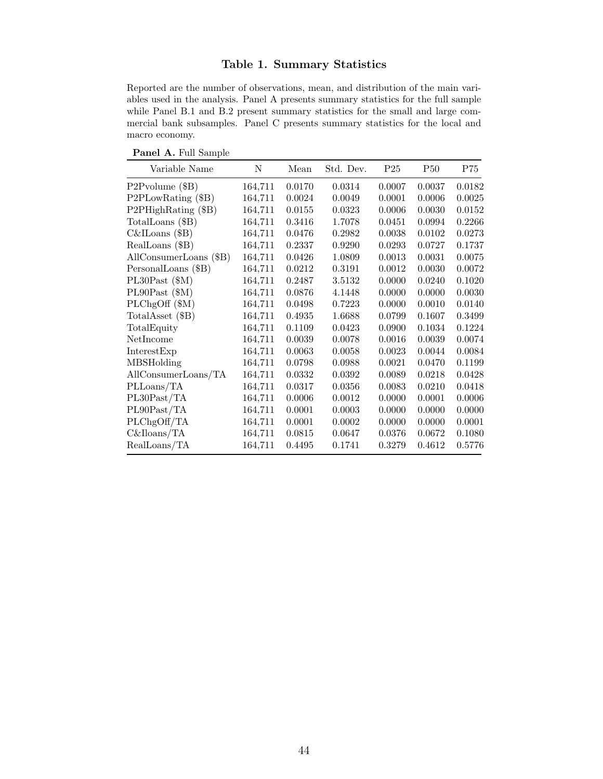### Table 1. Summary Statistics

Reported are the number of observations, mean, and distribution of the main variables used in the analysis. Panel A presents summary statistics for the full sample while Panel B.1 and B.2 present summary statistics for the small and large commercial bank subsamples. Panel C presents summary statistics for the local and macro economy.

Panel A. Full Sample

| Variable Name          | N       | Mean   | Std. Dev. | P <sub>25</sub> | <b>P50</b> | P75    |
|------------------------|---------|--------|-----------|-----------------|------------|--------|
| $P2P volume (\$B)$     | 164,711 | 0.0170 | 0.0314    | 0.0007          | 0.0037     | 0.0182 |
| P2PLowRating (\$B)     | 164,711 | 0.0024 | 0.0049    | 0.0001          | 0.0006     | 0.0025 |
| P2PHighRating (\$B)    | 164,711 | 0.0155 | 0.0323    | 0.0006          | 0.0030     | 0.0152 |
| TotalLoans (\$B)       | 164,711 | 0.3416 | 1.7078    | 0.0451          | 0.0994     | 0.2266 |
| $C\&$ ILoans (\$B)     | 164,711 | 0.0476 | 0.2982    | 0.0038          | 0.0102     | 0.0273 |
| RealLoans (\$B)        | 164,711 | 0.2337 | 0.9290    | 0.0293          | 0.0727     | 0.1737 |
| AllConsumerLoans (\$B) | 164,711 | 0.0426 | 1.0809    | 0.0013          | 0.0031     | 0.0075 |
| PersonalLoans (\$B)    | 164,711 | 0.0212 | 0.3191    | 0.0012          | 0.0030     | 0.0072 |
| $PL30$ Past $(\$M)$    | 164,711 | 0.2487 | 3.5132    | 0.0000          | 0.0240     | 0.1020 |
| $PL90$ Past $(\$M)$    | 164,711 | 0.0876 | 4.1448    | 0.0000          | 0.0000     | 0.0030 |
| PLChgOff (\$M)         | 164,711 | 0.0498 | 0.7223    | 0.0000          | 0.0010     | 0.0140 |
| TotalAsset (\$B)       | 164,711 | 0.4935 | 1.6688    | 0.0799          | 0.1607     | 0.3499 |
| TotalEquity            | 164,711 | 0.1109 | 0.0423    | 0.0900          | 0.1034     | 0.1224 |
| NetIncome              | 164,711 | 0.0039 | 0.0078    | 0.0016          | 0.0039     | 0.0074 |
| InterestExp            | 164,711 | 0.0063 | 0.0058    | 0.0023          | 0.0044     | 0.0084 |
| <b>MBSHolding</b>      | 164,711 | 0.0798 | 0.0988    | 0.0021          | 0.0470     | 0.1199 |
| AllConsumerLoans/TA    | 164,711 | 0.0332 | 0.0392    | 0.0089          | 0.0218     | 0.0428 |
| PLLoans/TA             | 164,711 | 0.0317 | 0.0356    | 0.0083          | 0.0210     | 0.0418 |
| PL30Past/TA            | 164,711 | 0.0006 | 0.0012    | 0.0000          | 0.0001     | 0.0006 |
| PL90Past/TA            | 164,711 | 0.0001 | 0.0003    | 0.0000          | 0.0000     | 0.0000 |
| PLChgOff/TA            | 164,711 | 0.0001 | 0.0002    | 0.0000          | 0.0000     | 0.0001 |
| $C\&Iloans/TA$         | 164,711 | 0.0815 | 0.0647    | 0.0376          | 0.0672     | 0.1080 |
| RealLoans/TA           | 164,711 | 0.4495 | 0.1741    | 0.3279          | 0.4612     | 0.5776 |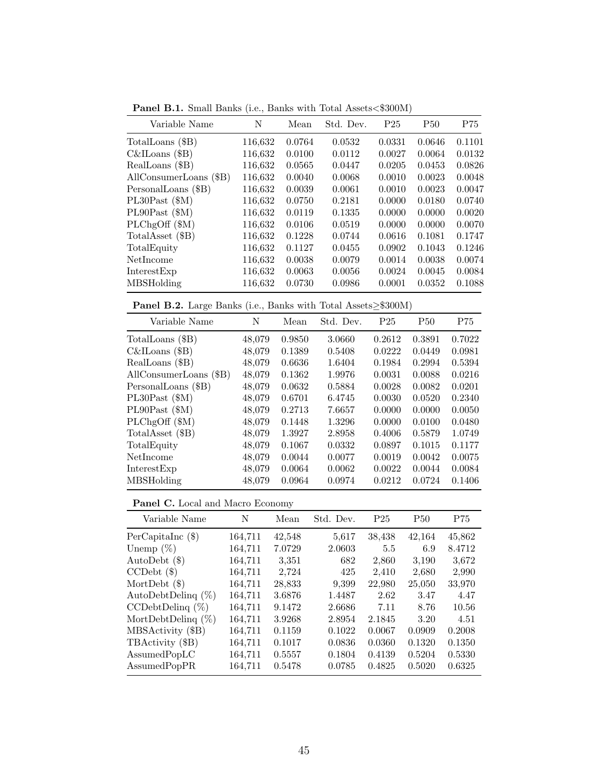Panel B.1. Small Banks (i.e., Banks with Total Assets<\$300M)

| Variable Name          | N       | Mean   | Std. Dev. | P <sub>25</sub> | <b>P50</b> | P75    |
|------------------------|---------|--------|-----------|-----------------|------------|--------|
| TotalLoans (\$B)       | 116,632 | 0.0764 | 0.0532    | 0.0331          | 0.0646     | 0.1101 |
| $C\&$ ILoans (\$B)     | 116,632 | 0.0100 | 0.0112    | 0.0027          | 0.0064     | 0.0132 |
| RealLoans (\$B)        | 116,632 | 0.0565 | 0.0447    | 0.0205          | 0.0453     | 0.0826 |
| AllConsumerLoans (\$B) | 116,632 | 0.0040 | 0.0068    | 0.0010          | 0.0023     | 0.0048 |
| PersonalLoans (\$B)    | 116,632 | 0.0039 | 0.0061    | 0.0010          | 0.0023     | 0.0047 |
| $PL30$ Past $(\$M)$    | 116,632 | 0.0750 | 0.2181    | 0.0000          | 0.0180     | 0.0740 |
| $PL90$ Past $(\$M)$    | 116,632 | 0.0119 | 0.1335    | 0.0000          | 0.0000     | 0.0020 |
| $PLChgOff$ ( $M$ )     | 116,632 | 0.0106 | 0.0519    | 0.0000          | 0.0000     | 0.0070 |
| TotalAsset (\$B)       | 116,632 | 0.1228 | 0.0744    | 0.0616          | 0.1081     | 0.1747 |
| TotalEquity            | 116,632 | 0.1127 | 0.0455    | 0.0902          | 0.1043     | 0.1246 |
| NetIncome              | 116,632 | 0.0038 | 0.0079    | 0.0014          | 0.0038     | 0.0074 |
| InterestExp            | 116,632 | 0.0063 | 0.0056    | 0.0024          | 0.0045     | 0.0084 |
| <b>MBSHolding</b>      | 116,632 | 0.0730 | 0.0986    | 0.0001          | 0.0352     | 0.1088 |
|                        |         |        |           |                 |            |        |

Panel B.2. Large Banks (i.e., Banks with Total Assets≥\$300M)

| Variable Name          | N      | Mean   | Std. Dev. | P <sub>25</sub> | <b>P50</b> | P75    |
|------------------------|--------|--------|-----------|-----------------|------------|--------|
| TotalLoans (\$B)       | 48,079 | 0.9850 | 3.0660    | 0.2612          | 0.3891     | 0.7022 |
| $C\&$ ILoans (\$B)     | 48,079 | 0.1389 | 0.5408    | 0.0222          | 0.0449     | 0.0981 |
| RealLoans (\$B)        | 48,079 | 0.6636 | 1.6404    | 0.1984          | 0.2994     | 0.5394 |
| AllConsumerLoans (\$B) | 48,079 | 0.1362 | 1.9976    | 0.0031          | 0.0088     | 0.0216 |
| PersonalLoans (\$B)    | 48,079 | 0.0632 | 0.5884    | 0.0028          | 0.0082     | 0.0201 |
| $PL30$ Past $(\$M)$    | 48,079 | 0.6701 | 6.4745    | 0.0030          | 0.0520     | 0.2340 |
| $PL90$ Past $(\$M)$    | 48,079 | 0.2713 | 7.6657    | 0.0000          | 0.0000     | 0.0050 |
| PLChgOff (\$M)         | 48,079 | 0.1448 | 1.3296    | 0.0000          | 0.0100     | 0.0480 |
| TotalAsset (\$B)       | 48,079 | 1.3927 | 2.8958    | 0.4006          | 0.5879     | 1.0749 |
| TotalEquity            | 48,079 | 0.1067 | 0.0332    | 0.0897          | 0.1015     | 0.1177 |
| NetIncome              | 48,079 | 0.0044 | 0.0077    | 0.0019          | 0.0042     | 0.0075 |
| InterestExp            | 48,079 | 0.0064 | 0.0062    | 0.0022          | 0.0044     | 0.0084 |
| <b>MBSHolding</b>      | 48,079 | 0.0964 | 0.0974    | 0.0212          | 0.0724     | 0.1406 |

### Panel C. Local and Macro Economy

| Variable Name         | N       | Mean   | Std. Dev. | P <sub>25</sub> | <b>P50</b> | P75    |
|-----------------------|---------|--------|-----------|-----------------|------------|--------|
| PerCapitalnc(\$)      | 164,711 | 42,548 | 5,617     | 38,438          | 42,164     | 45,862 |
| Unemp $(\%)$          | 164,711 | 7.0729 | 2.0603    | 5.5             | 6.9        | 8.4712 |
| AutoDebt $(\$)$       | 164,711 | 3,351  | 682       | 2,860           | 3,190      | 3,672  |
| $CCDebt$ $(\$)$       | 164,711 | 2,724  | 425       | 2,410           | 2,680      | 2,990  |
| MortDebt $(\$)$       | 164,711 | 28,833 | 9,399     | 22,980          | 25,050     | 33,970 |
| AutoDebtDeling $(\%)$ | 164,711 | 3.6876 | 1.4487    | 2.62            | 3.47       | 4.47   |
| $CCDebtDeling (\%)$   | 164,711 | 9.1472 | 2.6686    | 7.11            | 8.76       | 10.56  |
| MortDebtDelinq $(\%)$ | 164,711 | 3.9268 | 2.8954    | 2.1845          | 3.20       | 4.51   |
| MBSActivity (\$B)     | 164,711 | 0.1159 | 0.1022    | 0.0067          | 0.0909     | 0.2008 |
| TBActivity (\$B)      | 164,711 | 0.1017 | 0.0836    | 0.0360          | 0.1320     | 0.1350 |
| AssumedPopLC          | 164,711 | 0.5557 | 0.1804    | 0.4139          | 0.5204     | 0.5330 |
| AssumedPopPR          | 164.711 | 0.5478 | 0.0785    | 0.4825          | 0.5020     | 0.6325 |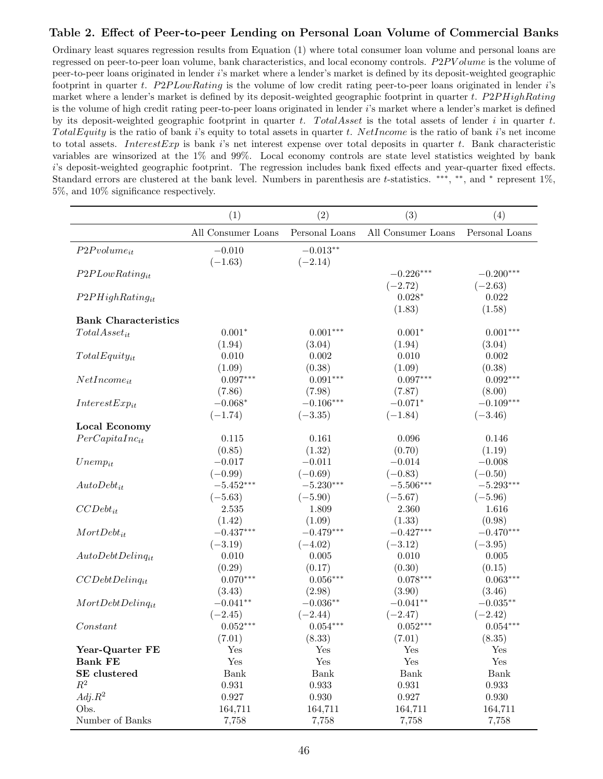### Table 2. Effect of Peer-to-peer Lending on Personal Loan Volume of Commercial Banks

Ordinary least squares regression results from Equation (1) where total consumer loan volume and personal loans are regressed on peer-to-peer loan volume, bank characteristics, and local economy controls. P2PV olume is the volume of peer-to-peer loans originated in lender i's market where a lender's market is defined by its deposit-weighted geographic footprint in quarter t.  $P2P LowRating$  is the volume of low credit rating peer-to-peer loans originated in lender i's market where a lender's market is defined by its deposit-weighted geographic footprint in quarter t. P2PHighRating is the volume of high credit rating peer-to-peer loans originated in lender  $i$ 's market where a lender's market is defined by its deposit-weighted geographic footprint in quarter t. TotalAsset is the total assets of lender i in quarter t. TotalEquity is the ratio of bank i's equity to total assets in quarter t. NetIncome is the ratio of bank i's net income to total assets. Interest Exp is bank i's net interest expense over total deposits in quarter t. Bank characteristic variables are winsorized at the 1% and 99%. Local economy controls are state level statistics weighted by bank i's deposit-weighted geographic footprint. The regression includes bank fixed effects and year-quarter fixed effects. Standard errors are clustered at the bank level. Numbers in parenthesis are t-statistics. \*\*\*, \*\*, and \* represent 1%, 5%, and 10% significance respectively.

|                             | (1)                   | (2)                     | (3)                      | (4)                      |
|-----------------------------|-----------------------|-------------------------|--------------------------|--------------------------|
|                             | All Consumer Loans    | Personal Loans          | All Consumer Loans       | Personal Loans           |
| $P2P volume_{it}$           | $-0.010$<br>$(-1.63)$ | $-0.013**$<br>$(-2.14)$ |                          |                          |
| $P2PLowRating_{it}$         |                       |                         | $-0.226***$<br>$(-2.72)$ | $-0.200***$<br>$(-2.63)$ |
| $P2PHighRating_{it}$        |                       |                         | $0.028*$<br>(1.83)       | 0.022<br>(1.58)          |
| <b>Bank Characteristics</b> |                       |                         |                          |                          |
| $Total Asset_{it}$          | $0.001*$              | $0.001***$              | $0.001*$                 | $0.001***$               |
|                             | (1.94)                | (3.04)                  | (1.94)                   | (3.04)                   |
| $TotalEquity_{it}$          | 0.010                 | 0.002                   | 0.010                    | 0.002                    |
|                             | (1.09)                | (0.38)                  | (1.09)                   | (0.38)                   |
| $NetIncome_{it}$            | $0.097***$            | $0.091***$              | $0.097***$               | $0.092***$               |
|                             | (7.86)                | (7.98)                  | (7.87)                   | (8.00)                   |
| $InterestExp_{it}$          | $-0.068*$             | $-0.106***$             | $-0.071*$                | $-0.109***$              |
|                             | $(-1.74)$             | $(-3.35)$               | $(-1.84)$                | $(-3.46)$                |
| <b>Local Economy</b>        |                       |                         |                          |                          |
| $PerCapitalInc_{it}$        | 0.115                 | 0.161                   | 0.096                    | 0.146                    |
|                             | (0.85)                | (1.32)                  | (0.70)                   | (1.19)                   |
| $Unemp_{it}$                | $-0.017$              | $-0.011$                | $-0.014$                 | $-0.008$                 |
|                             | $(-0.99)$             | $(-0.69)$               | $(-0.83)$                | $(-0.50)$                |
| $AutoDebt_{it}$             | $-5.452***$           | $-5.230***$             | $-5.506***$              | $-5.293***$              |
|                             | $(-5.63)$             | $(-5.90)$               | $(-5.67)$                | $(-5.96)$                |
| $CCDebt_{it}$               | 2.535                 | 1.809                   | 2.360                    | 1.616                    |
|                             | (1.42)                | (1.09)                  | (1.33)                   | (0.98)                   |
| $MortDebt_{it}$             | $-0.437***$           | $-0.479***$             | $-0.427***$              | $-0.470***$              |
|                             | $(-3.19)$             | $(-4.02)$               | $(-3.12)$                | $(-3.95)$                |
| $AutoDebtDelinq_{it}$       | 0.010                 | 0.005                   | 0.010                    | 0.005                    |
|                             | (0.29)                | (0.17)                  | (0.30)                   | (0.15)                   |
| $CCDebtDelinq_{it}$         | $0.070***$            | $0.056***$              | $0.078***$               | $0.063***$               |
|                             | (3.43)                | (2.98)                  | (3.90)                   | (3.46)                   |
| $MortDebtDelinq_{it}$       | $-0.041**$            | $-0.036**$              | $-0.041**$               | $-0.035**$               |
|                             | $(-2.45)$             | $(-2.44)$               | $(-2.47)$                | $(-2.42)$                |
| Constant                    | $0.052***$            | $0.054***$              | $0.052***$               | $0.054***$               |
|                             | (7.01)                | (8.33)                  | (7.01)                   | (8.35)                   |
| Year-Quarter FE             | Yes                   | Yes                     | Yes                      | Yes                      |
| <b>Bank FE</b>              | Yes                   | Yes                     | Yes                      | $\operatorname{Yes}$     |
| SE clustered                | Bank                  | Bank                    | Bank                     | Bank                     |
| $R^2$                       | 0.931                 | 0.933                   | 0.931                    | 0.933                    |
| $Adj.R^2$                   | 0.927                 | $0.930\,$               | 0.927                    | $0.930\,$                |
| Obs.                        | 164,711               | 164,711                 | 164,711                  | 164,711                  |
| Number of Banks             | 7,758                 | 7,758                   | 7,758                    | 7,758                    |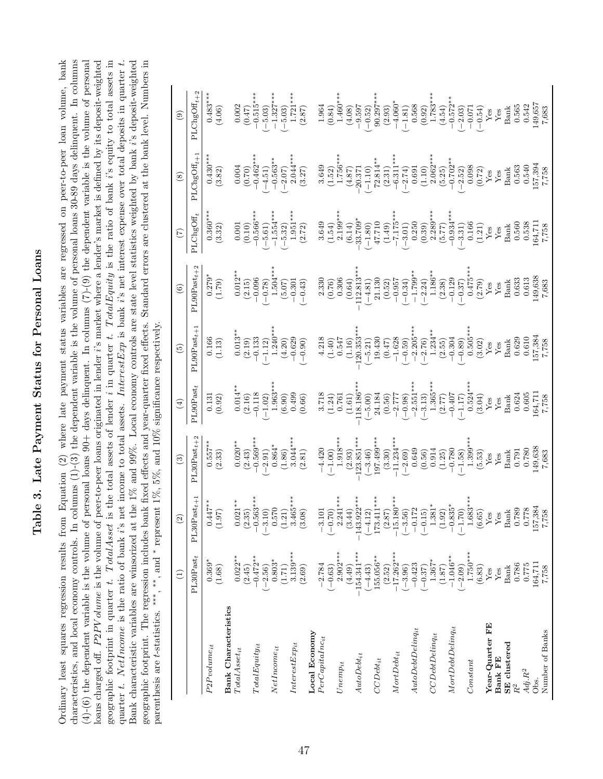# Table 3. Late Payment Status for Personal Loans Table 3. Late Payment Status for Personal Loans

Ordinary least squares regression results from Equation (2) where late payment status variables are regressed on peer-to-peer loan volume, bank characteristics, and local economy controls. In columns  $(1)-(3)$  the dependent variable is the volume of personal loans 30-89 days delinquent. In columns  $(4)-(6)$  the dependent variable is the volume of personal loans  $90+$  days delinquent. In columns  $(7)-(9)$  the dependent variable is the volume of personal loans charged off. P2PV olume is the volume of peer-to-peer loans originated in lender i's market where a lender's market is defined by its deposit-weighted geographic footprint in quarter t. Total Asset is the total assets of lender i in quarter t. Total Equity is the ratio of bank i's equity to total assets in quarter t. NetIncome is the ratio of bank i's net income to total assets. Interest Exp is bank i's net interest expense over total deposits in quarter t. Bank characteristic variables are winsorized at the 1% and 99%. Local economy controls are state level statistics weighted by bank i's deposit-weighted Ordinary least squares regression results from Equation (2) where late payment status variables are regressed on peer-to-peer loan volume, bank  $(4)-(6)$  the dependent variable is the volume of personal loans 90+ days delinquent. In columns  $(7)-(9)$  the dependent variable is the volume of personal loans charged off. *P2PV olume* is the volume of peer-to-peer loans originated in lender *i*'s market where a lender's market is defined by its deposit-weighted geographic footprint in quarter t. TotalAsset is the total assets of lender i in quarter t. TotalEquity is the ratio of bank i's equity to total assets in quarter t. NetIncome is the ratio of bank i's net income to total assets. InterestExp is bank i's net interest expense over total deposits in quarter t. Bank characteristic variables are winsorized at the 1% and 99%. Local economy controls are state level statistics weighted by bank i's deposit-weighted geographic footprint. The regression includes bank fixed effects and year-quarter fixed effects. Standard errors are clustered at the bank level. Numbers in geographic footprint. The regression includes bank fixed effects and year-quarter fixed effects. Standard errors are clustered at the bank level. Numbers in characteristics, and local economy controls. In columns (1)-(3) the dependent variable is the volume of personal loans 30-89 days delinquent. In columns parenthesis are t-statistics.  $***$ ,  $***$ , and \* represent 1%, 5%, and 10% significance respectively. parenthesis are t-statistics. ∗∗∗, ∗∗, and ∗ represent 1%, 5%, and 10% significance respectively.

|                                                                  | $\widehat{E}$            | $\rm \widehat{\Xi}$                                                                                                                                                                                                                                                                                                        | $\odot$         | $\tag{4}$                                                                                                                                                                                                                                                                                            | $\left( 5\right)$                                                                                                                                                                                                                                                                                                                                         | $\circledcirc$                                                                                                                                                                                                                                                                                                                 | $\bigcirc$                                                                                                                                                                                                                                                                                                                                                       | $\circledast$                                                                                                                                                                                                                                                                                                                       | $\begin{pmatrix} 0 \\ 0 \end{pmatrix}$                                                                                                                                                                                                                                                                                            |
|------------------------------------------------------------------|--------------------------|----------------------------------------------------------------------------------------------------------------------------------------------------------------------------------------------------------------------------------------------------------------------------------------------------------------------------|-----------------|------------------------------------------------------------------------------------------------------------------------------------------------------------------------------------------------------------------------------------------------------------------------------------------------------|-----------------------------------------------------------------------------------------------------------------------------------------------------------------------------------------------------------------------------------------------------------------------------------------------------------------------------------------------------------|--------------------------------------------------------------------------------------------------------------------------------------------------------------------------------------------------------------------------------------------------------------------------------------------------------------------------------|------------------------------------------------------------------------------------------------------------------------------------------------------------------------------------------------------------------------------------------------------------------------------------------------------------------------------------------------------------------|-------------------------------------------------------------------------------------------------------------------------------------------------------------------------------------------------------------------------------------------------------------------------------------------------------------------------------------|-----------------------------------------------------------------------------------------------------------------------------------------------------------------------------------------------------------------------------------------------------------------------------------------------------------------------------------|
|                                                                  | $PL30$ Past <sub>t</sub> | $0$ Past $_{t+1}$<br>PL30                                                                                                                                                                                                                                                                                                  | $PL30Fast_{t+}$ | PL90Past                                                                                                                                                                                                                                                                                             | $\verb PL90Pas t _+$                                                                                                                                                                                                                                                                                                                                      | $\texttt{PL90Part}_t$                                                                                                                                                                                                                                                                                                          | PLChgOff                                                                                                                                                                                                                                                                                                                                                         | $PLClngOff_t +$                                                                                                                                                                                                                                                                                                                     | $\texttt{PLClngOff}_t$                                                                                                                                                                                                                                                                                                            |
| $P2P volume_{it}$                                                | $0.369*$<br>(1.68)       | $(1.97)$<br>(1.97)                                                                                                                                                                                                                                                                                                         | $(2.557**$      | $\begin{array}{c} 0.131 \\ 0.92 \end{array}$                                                                                                                                                                                                                                                         | (1.13)                                                                                                                                                                                                                                                                                                                                                    | $\frac{6279^*}{(1.79)}$                                                                                                                                                                                                                                                                                                        | $0.360**$<br>(3.32)                                                                                                                                                                                                                                                                                                                                              | (3.82)                                                                                                                                                                                                                                                                                                                              | $0.483***$<br>(4.06)                                                                                                                                                                                                                                                                                                              |
| <b>Bank Characteristics</b><br>$\label{eq:total} Total Asset it$ | $0.022**$                |                                                                                                                                                                                                                                                                                                                            |                 |                                                                                                                                                                                                                                                                                                      |                                                                                                                                                                                                                                                                                                                                                           |                                                                                                                                                                                                                                                                                                                                |                                                                                                                                                                                                                                                                                                                                                                  |                                                                                                                                                                                                                                                                                                                                     |                                                                                                                                                                                                                                                                                                                                   |
| $To talEquity_{it}$                                              | $-0.472**$<br>(2.45)     |                                                                                                                                                                                                                                                                                                                            |                 |                                                                                                                                                                                                                                                                                                      |                                                                                                                                                                                                                                                                                                                                                           |                                                                                                                                                                                                                                                                                                                                |                                                                                                                                                                                                                                                                                                                                                                  |                                                                                                                                                                                                                                                                                                                                     |                                                                                                                                                                                                                                                                                                                                   |
|                                                                  | $-2.56$                  |                                                                                                                                                                                                                                                                                                                            |                 |                                                                                                                                                                                                                                                                                                      |                                                                                                                                                                                                                                                                                                                                                           |                                                                                                                                                                                                                                                                                                                                |                                                                                                                                                                                                                                                                                                                                                                  |                                                                                                                                                                                                                                                                                                                                     |                                                                                                                                                                                                                                                                                                                                   |
| $NetIncome_{it}$                                                 | $0.803*$<br>(1.71)       |                                                                                                                                                                                                                                                                                                                            |                 |                                                                                                                                                                                                                                                                                                      |                                                                                                                                                                                                                                                                                                                                                           |                                                                                                                                                                                                                                                                                                                                |                                                                                                                                                                                                                                                                                                                                                                  |                                                                                                                                                                                                                                                                                                                                     |                                                                                                                                                                                                                                                                                                                                   |
| $InterestExp_{it}$                                               | $3.139***$<br>(2.69)     | $\begin{array}{c} 0.021^{**} \\ (2.35) \\ -0.563^{**} \\ (-3.10) \\ (1.21) \\ 0.570 \\ (1.21) \\ 3.465^{***} \\ (3.08) \\ \end{array}$                                                                                                                                                                                     |                 | $\begin{array}{r} 0.014^{*}\\ -0.118\\ -0.118\\ 0.63^{*}\\ -0.02)\\ -0.03\\ 0.049\\ 0.000\\ -0.000\\ -0.000\\ -0.000\\ -0.000\\ -0.000\\ -0.000\\ -0.000\\ -0.000\\ -0.000\\ -0.000\\ -0.000\\ -0.000\\ -0.000\\ -0.000\\ -0.000\\ -0.000\\ -0.000\\ -0.000\\ -0.000\\ -0.000\\ -0.000\\ -0.000\\ -$ | $\begin{array}{l} 0.013^{**} \\ 0.013^{**} \\ -1.24^{**} \\ -1.24^{**} \\ -1.24^{**} \\ -1.24^{**} \\ -1.24^{**} \\ -1.24^{**} \\ -1.24^{**} \\ -1.24^{**} \\ -1.24^{**} \\ -1.24^{**} \\ -1.24^{**} \\ -1.24^{**} \\ -1.24^{**} \\ -1.24^{**} \\ -1.24^{**} \\ -1.24^{**} \\ -1.24^{**} \\ -1.24^{**} \\ -1.24^{**} \\ -1.24^{**} \\ -1.24^{**} \\ -1.2$ | $\begin{array}{c} 0.12 \\[-2.15] \begin{array}{c} 0.02 \\[-1.5mm] -0.096 \\[-1.5mm] -0.096 \\[-1.5mm] -0.096 \\[-1.5mm] -0.096 \\[-1.5mm] -0.096 \\[-1.5mm] -0.096 \\[-1.5mm] -0.096 \\[-1.5mm] -0.096 \\[-1.5mm] -0.096 \\[-1.5mm] -0.096 \\[-1.5mm] -0.096 \\[-1.5mm] -0.096 \\[-1.5mm] -0.096 \\[-1.5mm] -0.096 \\[-1.5mm]$ | $\begin{array}{c} 0.001\\ -0.566^{**}\\ -1.554^{**}\\ (-5.61)\\ (-5.61)\\ (-1.594^{**})\\ (-1.594^{**})\\ (-1.594^{**})\\ (-1.594^{**})\\ (-1.594^{**})\\ (-1.594^{**})\\ (-1.594^{**})\\ (-1.594^{**})\\ (-1.594^{**})\\ (-1.594^{**})\\ (-1.594^{**})\\ (-1.594^{**})\\ (-1.594^{**})\\ (-1.594^{**})\\ (-1.594^{**})\\ (-1.594^{**})\\ (-1.594^{**})\\ (-1.5$ | $\begin{array}{c} 0.004 \\ -0.563^{**} \\ -0.563^{**} \\ -0.507 \\ -0.503^{**} \\ -0.503 \\ -0.504^{**} \\ -0.503 \\ -0.504 \\ -0.503 \\ -0.503 \\ -0.503 \\ -0.503 \\ -0.503 \\ -0.503 \\ -0.503 \\ -0.503 \\ -0.503 \\ -0.503 \\ -0.503 \\ -0.503 \\ -0.503 \\ -0.503 \\ -0.503 \\ -0.503 \\ -0.503 \\ -0.503 \\ -0.503 \\ -0.50$ | $\begin{array}{c} 0.002 \\ -0.515 \\ -1.327 \\ -1.537 \\ -1.721 \\ -1.937 \\ -1.937 \\ -1.460 \\ -1.460 \\ -1.460 \\ -1.460 \\ -1.460 \\ -1.460 \\ -1.460 \\ -1.460 \\ -1.460 \\ -1.460 \\ -1.460 \\ -1.460 \\ -1.460 \\ -1.460 \\ -1.460 \\ -1.460 \\ -1.460 \\ -1.460 \\ -1.460 \\ -1.460 \\ -1.460 \\ -1.460 \\ -1.460 \\ -1.$ |
| Local Economy                                                    |                          |                                                                                                                                                                                                                                                                                                                            |                 |                                                                                                                                                                                                                                                                                                      |                                                                                                                                                                                                                                                                                                                                                           |                                                                                                                                                                                                                                                                                                                                |                                                                                                                                                                                                                                                                                                                                                                  |                                                                                                                                                                                                                                                                                                                                     |                                                                                                                                                                                                                                                                                                                                   |
| $PerCapitalnc_{it}$                                              | $-2.784$                 |                                                                                                                                                                                                                                                                                                                            |                 |                                                                                                                                                                                                                                                                                                      |                                                                                                                                                                                                                                                                                                                                                           |                                                                                                                                                                                                                                                                                                                                |                                                                                                                                                                                                                                                                                                                                                                  |                                                                                                                                                                                                                                                                                                                                     |                                                                                                                                                                                                                                                                                                                                   |
| $Unemp_{it}$                                                     | $2.902***$<br>$(-0.63)$  | $\begin{array}{r} -3.101 \\ (-0.70) \\ (3.44) \\ (3.44) \\ (14.12) \\ (14.12) \\ (14.13) \\ (14.14) \\ (14.15) \\ (14.16) \\ (14.17) \\ (14.18) \\ (14.19) \\ (14.10) \\ (14.11) \\ (14.12) \\ (14.13) \\ (14.13) \\ (14.10) \\ (14.11) \\ (14.12) \\ (14.13) \\ (14.13) \\ (14.14) \\ (14.15) \\ (14.16) \\ (14.17) \\ ($ |                 |                                                                                                                                                                                                                                                                                                      |                                                                                                                                                                                                                                                                                                                                                           |                                                                                                                                                                                                                                                                                                                                |                                                                                                                                                                                                                                                                                                                                                                  |                                                                                                                                                                                                                                                                                                                                     |                                                                                                                                                                                                                                                                                                                                   |
| $AutoDet_{it}$                                                   | 154.341 ***<br>(4.49)    |                                                                                                                                                                                                                                                                                                                            |                 |                                                                                                                                                                                                                                                                                                      |                                                                                                                                                                                                                                                                                                                                                           |                                                                                                                                                                                                                                                                                                                                |                                                                                                                                                                                                                                                                                                                                                                  |                                                                                                                                                                                                                                                                                                                                     |                                                                                                                                                                                                                                                                                                                                   |
|                                                                  | $(-4.43)$                |                                                                                                                                                                                                                                                                                                                            |                 |                                                                                                                                                                                                                                                                                                      |                                                                                                                                                                                                                                                                                                                                                           |                                                                                                                                                                                                                                                                                                                                |                                                                                                                                                                                                                                                                                                                                                                  |                                                                                                                                                                                                                                                                                                                                     |                                                                                                                                                                                                                                                                                                                                   |
| $CCDet_{it}$                                                     | .55.056**<br>(2.52)      |                                                                                                                                                                                                                                                                                                                            |                 |                                                                                                                                                                                                                                                                                                      |                                                                                                                                                                                                                                                                                                                                                           |                                                                                                                                                                                                                                                                                                                                |                                                                                                                                                                                                                                                                                                                                                                  |                                                                                                                                                                                                                                                                                                                                     |                                                                                                                                                                                                                                                                                                                                   |
| ${\cal M}ortDett_{it}$                                           | $-17.262***$             |                                                                                                                                                                                                                                                                                                                            |                 |                                                                                                                                                                                                                                                                                                      |                                                                                                                                                                                                                                                                                                                                                           |                                                                                                                                                                                                                                                                                                                                |                                                                                                                                                                                                                                                                                                                                                                  |                                                                                                                                                                                                                                                                                                                                     |                                                                                                                                                                                                                                                                                                                                   |
| $\emph{AutoDetDeling}_{it}$                                      | $-0.423$<br>$(-3.96)$    |                                                                                                                                                                                                                                                                                                                            |                 |                                                                                                                                                                                                                                                                                                      |                                                                                                                                                                                                                                                                                                                                                           |                                                                                                                                                                                                                                                                                                                                |                                                                                                                                                                                                                                                                                                                                                                  |                                                                                                                                                                                                                                                                                                                                     |                                                                                                                                                                                                                                                                                                                                   |
|                                                                  | $(-0.37)$                |                                                                                                                                                                                                                                                                                                                            |                 |                                                                                                                                                                                                                                                                                                      |                                                                                                                                                                                                                                                                                                                                                           |                                                                                                                                                                                                                                                                                                                                |                                                                                                                                                                                                                                                                                                                                                                  |                                                                                                                                                                                                                                                                                                                                     |                                                                                                                                                                                                                                                                                                                                   |
| CCDebL                                                           | 1.367*                   |                                                                                                                                                                                                                                                                                                                            |                 |                                                                                                                                                                                                                                                                                                      |                                                                                                                                                                                                                                                                                                                                                           |                                                                                                                                                                                                                                                                                                                                |                                                                                                                                                                                                                                                                                                                                                                  |                                                                                                                                                                                                                                                                                                                                     |                                                                                                                                                                                                                                                                                                                                   |
| MortDebtDeling <sub>it</sub>                                     | $-1.046**$<br>(1.87)     |                                                                                                                                                                                                                                                                                                                            |                 |                                                                                                                                                                                                                                                                                                      |                                                                                                                                                                                                                                                                                                                                                           |                                                                                                                                                                                                                                                                                                                                |                                                                                                                                                                                                                                                                                                                                                                  |                                                                                                                                                                                                                                                                                                                                     |                                                                                                                                                                                                                                                                                                                                   |
|                                                                  | $750***$<br>$-2.09$      |                                                                                                                                                                                                                                                                                                                            |                 |                                                                                                                                                                                                                                                                                                      |                                                                                                                                                                                                                                                                                                                                                           |                                                                                                                                                                                                                                                                                                                                |                                                                                                                                                                                                                                                                                                                                                                  |                                                                                                                                                                                                                                                                                                                                     |                                                                                                                                                                                                                                                                                                                                   |
| Constant                                                         | (6.83)                   |                                                                                                                                                                                                                                                                                                                            |                 |                                                                                                                                                                                                                                                                                                      |                                                                                                                                                                                                                                                                                                                                                           |                                                                                                                                                                                                                                                                                                                                |                                                                                                                                                                                                                                                                                                                                                                  |                                                                                                                                                                                                                                                                                                                                     |                                                                                                                                                                                                                                                                                                                                   |
| Year-Quarter FE                                                  | Ýes                      |                                                                                                                                                                                                                                                                                                                            |                 |                                                                                                                                                                                                                                                                                                      |                                                                                                                                                                                                                                                                                                                                                           |                                                                                                                                                                                                                                                                                                                                |                                                                                                                                                                                                                                                                                                                                                                  |                                                                                                                                                                                                                                                                                                                                     |                                                                                                                                                                                                                                                                                                                                   |
| <b>Bank FE</b>                                                   | $Y$ es                   |                                                                                                                                                                                                                                                                                                                            |                 |                                                                                                                                                                                                                                                                                                      |                                                                                                                                                                                                                                                                                                                                                           |                                                                                                                                                                                                                                                                                                                                |                                                                                                                                                                                                                                                                                                                                                                  |                                                                                                                                                                                                                                                                                                                                     |                                                                                                                                                                                                                                                                                                                                   |
| <b>SE</b> clustered                                              | <b>Bank</b>              |                                                                                                                                                                                                                                                                                                                            |                 |                                                                                                                                                                                                                                                                                                      |                                                                                                                                                                                                                                                                                                                                                           |                                                                                                                                                                                                                                                                                                                                |                                                                                                                                                                                                                                                                                                                                                                  |                                                                                                                                                                                                                                                                                                                                     |                                                                                                                                                                                                                                                                                                                                   |
| $Adj.R^2$<br>$\mathbb{R}^2$                                      | 0.786<br>0.775           |                                                                                                                                                                                                                                                                                                                            |                 |                                                                                                                                                                                                                                                                                                      |                                                                                                                                                                                                                                                                                                                                                           |                                                                                                                                                                                                                                                                                                                                |                                                                                                                                                                                                                                                                                                                                                                  |                                                                                                                                                                                                                                                                                                                                     |                                                                                                                                                                                                                                                                                                                                   |
| Obs.                                                             | 164,711                  |                                                                                                                                                                                                                                                                                                                            |                 |                                                                                                                                                                                                                                                                                                      |                                                                                                                                                                                                                                                                                                                                                           |                                                                                                                                                                                                                                                                                                                                |                                                                                                                                                                                                                                                                                                                                                                  |                                                                                                                                                                                                                                                                                                                                     |                                                                                                                                                                                                                                                                                                                                   |
| Number of Banks                                                  | 7,758                    |                                                                                                                                                                                                                                                                                                                            |                 |                                                                                                                                                                                                                                                                                                      |                                                                                                                                                                                                                                                                                                                                                           |                                                                                                                                                                                                                                                                                                                                |                                                                                                                                                                                                                                                                                                                                                                  |                                                                                                                                                                                                                                                                                                                                     |                                                                                                                                                                                                                                                                                                                                   |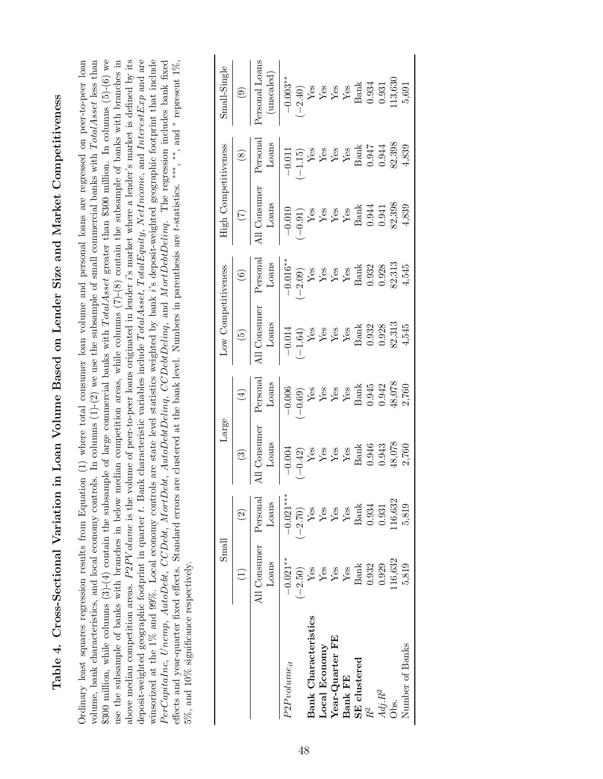Table 4. Cross-Sectional Variation in Loan Volume Based on Lender Size and Market Competitiveness Table 4. Cross-Sectional Variation in Loan Volume Based on Lender Size and Market Competitiveness

\$300 million, while columns (3)-(4) contain the subsample of large commercial banks with TotalAsset greater than \$300 million. In columns (5)-(6) we above median competition areas.  $P2PV$ *olume* is the volume of peer-to-peer loans originated in lender *i*'s market where a lender's market is defined by its deposit-weighted geographic footprint in quarter t. Bank characteristic variables include TotalAsset, TotalEquity, NetIncome, and InterestExp and are Ordinary least squares regression results from Equation (1) where total consumer loan volume and personal loans are regressed on peer-to-peer loan volume, bank characteristics, and local economy controls. In columns  $(1)-(2)$  we use the subsample of small commercial banks with  $Total Asset$  less than use the subsample of banks with branches in below median competition areas, while columns  $(7)-(8)$  contain the subsample of banks with branches in winsorized at the 1% and 99%. Local economy controls are state level statistics weighted by bank  $i$ 's deposit-weighted geographic footprint that include PerCapitaInc, Unemp, AutoDebt, CCDebt, MortDebt, AutoDebtDeling, CCDebtDeling, and MortDebtDeling. The regression includes bank fixed Ordinary least squares regression results from Equation (1) where total consumer loan volume and personal loans are regressed on peer-to-peer loan volume, bank characteristics, and local economy controls. In columns (1)-(2) we use the subsample of small commercial banks with T otalAsset less than \$300 million, while columns (3)-(4) contain the subsample of large commercial banks with T otalAsset greater than \$300 million. In columns (5)-(6) we use the subsample of banks with branches in below median competition areas, while columns (7)-(8) contain the subsample of banks with branches in P2P V olume is the volume of peer-to-peer loans originated in lender i's market where a lender's market is defined by its deposit-weighted geographic footprint in quarter t. Bank characteristic variables include TotalAsset, TotalEquity, NetIncome, and InterestExp and are winsorized at the 1% and 99%. Local economy controls are state level statistics weighted by bank i's deposit-weighted geographic footprint that include PerCapitaInc, Unemp, AutoDebt, CCDebt, MortDebt, AutoDebtDelinq, CCDebtDelinq, and MortDebtDelinq. The regression includes bank fixed \* represent  $1\%$ , ,∗∗, and ∗effects and year-quarter fixed effects. Standard errors are clustered at the bank level. Numbers in parenthesis are t-statistics. ∗∗∗  $5\%$  , and  $10\%$  significance respectively. 5%, and 10% significance respectively. above median competition areas.

|                             | Small                      |                                       | Large                                                                                                                              |                                                                                                                                                               | Low Competitiveness                                                                                                                   |                                                                                                                                                                                                  | High (                                                                                                                                                                                                                                      | Competitiveness                                                                                                                                                                                                                                                                                                                                                                                                                                                                                                     | Small-Single                                                                              |
|-----------------------------|----------------------------|---------------------------------------|------------------------------------------------------------------------------------------------------------------------------------|---------------------------------------------------------------------------------------------------------------------------------------------------------------|---------------------------------------------------------------------------------------------------------------------------------------|--------------------------------------------------------------------------------------------------------------------------------------------------------------------------------------------------|---------------------------------------------------------------------------------------------------------------------------------------------------------------------------------------------------------------------------------------------|---------------------------------------------------------------------------------------------------------------------------------------------------------------------------------------------------------------------------------------------------------------------------------------------------------------------------------------------------------------------------------------------------------------------------------------------------------------------------------------------------------------------|-------------------------------------------------------------------------------------------|
|                             |                            | $\widehat{\Omega}$                    | $\odot$                                                                                                                            | $\begin{pmatrix} \pm \end{pmatrix}$                                                                                                                           | $\boxed{5}$                                                                                                                           |                                                                                                                                                                                                  |                                                                                                                                                                                                                                             | $\circledcirc$                                                                                                                                                                                                                                                                                                                                                                                                                                                                                                      | $\odot$                                                                                   |
|                             | All Consumer<br>Loans      | Personal<br>Loans                     | l Consumer<br>$_{\rm Loans}$                                                                                                       | Persona<br>$_{\rm Loans}$                                                                                                                                     | All Consumer                                                                                                                          | $\begin{tabular}{c} (6) \\ \hline \textbf{Personal} \end{tabular}$                                                                                                                               | ll Consumer                                                                                                                                                                                                                                 | Persona<br>$_{\rm Loans}$                                                                                                                                                                                                                                                                                                                                                                                                                                                                                           | ersonal Loans<br>(unscaled)                                                               |
| $P2P volume_{it}$           | $-0.021***$                | $-0.021***$                           | $-0.004$                                                                                                                           | $\begin{array}{r l} -0.006 & \text{Yes} \\ -0.69) & \text{Yes} \\ \hline Y & \text{Yes} \\ Y & \text{Yes} \\ \hline \text{Band} \\ 0.942 & 0.042 \end{array}$ | $\begin{tabular}{c c} Loans \\ \hline -0.014 \\ (-1.64) \\ Yes \\ Yes \\ Yes \\ Yes \\ 68 \\ 1.63 \\ 0.932 \\ 0.032 \\ \end{tabular}$ | $\begin{array}{r} \text{Loans} \\ \hline -0.016^{**} \\ \text{Yes} \\ \text{Yes} \\ \text{Yes} \\ \text{Yes} \\ \text{Bank} \\ \text{Bank} \\ 0.932 \\ \text{O.313} \\ \text{A.545} \end{array}$ | $\begin{tabular}{c c} Loans \\ \hline -0.010 \\ \hline 9.21 \\ \hline Yes \\ Yes \\ Yes \\ Yes \\ Yes \\ Kes \\ 6.344 \\ 1.41 \\ 6.344 \\ 6.344 \\ 6.344 \\ 6.344 \\ 6.344 \\ 6.344 \\ 7.398 \\ 82,398 \\ 82,398 \\ 4,839 \\ \end{tabular}$ | $\begin{array}{r l} 0.011 \\ -0.15 \\ \hline Y & \hline Y \\ Y & \hline Y \\ Y & \hline \\ Y & \hline \\ Y & \hline \\ Y & \hline \\ Y & \hline \\ Y & \hline \\ Y & \hline \\ Y & \hline \\ Y & \hline \\ Y & \hline \\ Y & \hline \\ Y & \hline \\ Y & \hline \\ Y & \hline \\ Y & \hline \\ Y & \hline \\ Y & \hline \\ Y & \hline \\ Y & \hline \\ Y & \hline \\ Y & \hline \\ Y & \hline \\ Y & \hline \\ Y & \hline \\ Y & \hline \\ Y & \hline \\ Y & \hline \\ Y & \hline \\ Y & \hline \\ Y & \hline \\ Y$ | $-0.003**$<br>$(-2.40)$<br>Yes<br>Yes<br>Yes<br>Yes<br>Next Bank<br>Bank<br>Bank<br>0.934 |
|                             | $-2.50)$                   |                                       |                                                                                                                                    |                                                                                                                                                               |                                                                                                                                       |                                                                                                                                                                                                  |                                                                                                                                                                                                                                             |                                                                                                                                                                                                                                                                                                                                                                                                                                                                                                                     |                                                                                           |
| <b>Bank Characteristics</b> | ${\rm Yes}$                |                                       |                                                                                                                                    |                                                                                                                                                               |                                                                                                                                       |                                                                                                                                                                                                  |                                                                                                                                                                                                                                             |                                                                                                                                                                                                                                                                                                                                                                                                                                                                                                                     |                                                                                           |
| Local Economy               | ${\rm Yes}$                | $(-2.70)$<br>Yes<br>Yes<br>Yes<br>Yes |                                                                                                                                    |                                                                                                                                                               |                                                                                                                                       |                                                                                                                                                                                                  |                                                                                                                                                                                                                                             |                                                                                                                                                                                                                                                                                                                                                                                                                                                                                                                     |                                                                                           |
| Year-Quarter FE             | ${\rm Yes}$                |                                       |                                                                                                                                    |                                                                                                                                                               |                                                                                                                                       |                                                                                                                                                                                                  |                                                                                                                                                                                                                                             |                                                                                                                                                                                                                                                                                                                                                                                                                                                                                                                     |                                                                                           |
| <b>Bank FE</b>              | ${\rm Yes}$                | Yes                                   |                                                                                                                                    |                                                                                                                                                               |                                                                                                                                       |                                                                                                                                                                                                  |                                                                                                                                                                                                                                             |                                                                                                                                                                                                                                                                                                                                                                                                                                                                                                                     |                                                                                           |
| SE clustered                | $\label{eq:1} \text{Bank}$ | $\label{eq:neut} \text{Bank}$         | $\begin{array}{l} ( -0.42)\\ {\rm Yes}\\ {\rm Yes}\\ {\rm Yes}\\ {\rm Yes}\\ {\rm Yes}\\ {\rm Hean} \\ 0.946\\ 0.0343 \end{array}$ |                                                                                                                                                               |                                                                                                                                       |                                                                                                                                                                                                  |                                                                                                                                                                                                                                             |                                                                                                                                                                                                                                                                                                                                                                                                                                                                                                                     |                                                                                           |
| $R^2$                       | 0.932                      | 0.934                                 |                                                                                                                                    |                                                                                                                                                               |                                                                                                                                       |                                                                                                                                                                                                  |                                                                                                                                                                                                                                             |                                                                                                                                                                                                                                                                                                                                                                                                                                                                                                                     |                                                                                           |
| $Adj.R^2$                   | 0.929                      | 0.931                                 |                                                                                                                                    |                                                                                                                                                               |                                                                                                                                       |                                                                                                                                                                                                  |                                                                                                                                                                                                                                             |                                                                                                                                                                                                                                                                                                                                                                                                                                                                                                                     |                                                                                           |
| Obs.                        | .16,632                    | 16,632                                | 48,078<br>2,760                                                                                                                    | $\frac{48,078}{2,760}$                                                                                                                                        | $82,313$<br>4,545                                                                                                                     |                                                                                                                                                                                                  |                                                                                                                                                                                                                                             |                                                                                                                                                                                                                                                                                                                                                                                                                                                                                                                     | 13,630                                                                                    |
| Number of Banks             | 5,819                      | 5,819                                 |                                                                                                                                    |                                                                                                                                                               |                                                                                                                                       |                                                                                                                                                                                                  |                                                                                                                                                                                                                                             |                                                                                                                                                                                                                                                                                                                                                                                                                                                                                                                     | 5,691                                                                                     |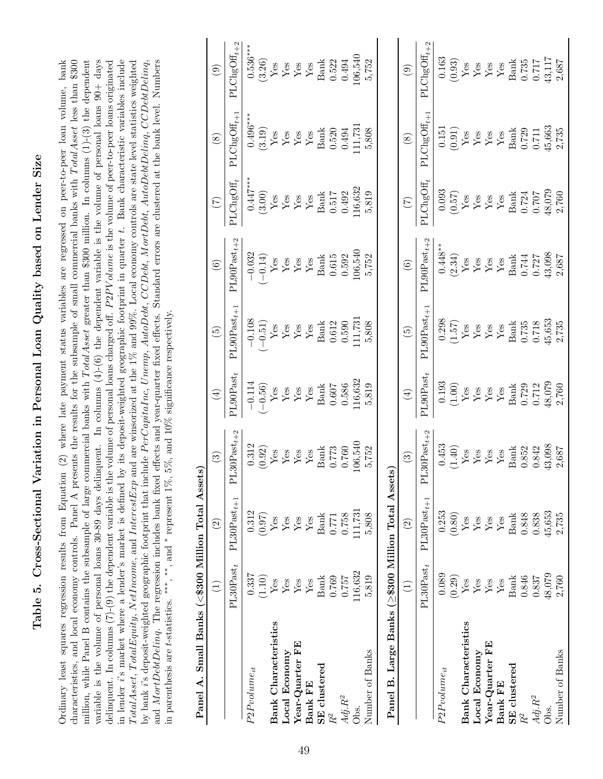Table 5. Cross-Sectional Variation in Personal Loan Quality based on Lender Size Table 5. Cross-Sectional Variation in Personal Loan Quality based on Lender Size

in lender i's market where a lender's market is defined by its deposit-weighted geographic footprint in quarter t. Bank characteristic variables include characteristics, and local economy controls. Panel A presents the results for the subsample of small commercial banks with TotalAsset less than \$300 million, while Panel B contains the subsample of large commercial banks with TotalAsset greater than \$300 million. In columns (1)-(3) the dependent variable is the volume of personal loans 30-89 days delinquent. In columns  $(4)-(6)$  the dependent variable is the volume of personal loans  $90+$  days and MortDettDeling. The regression includes bank fixed effects and year-quarter fixed effects. Standard errors are clustered at the bank level. Numbers Ordinary least squares regression results from Equation (2) where late payment status variables are regressed on peer-to-peer loan volume, bank Ordinary least squares regression results from Equation (2) where late payment status variables are regressed on peer-to-peer loan volume, bank characteristics, and local economy controls. Panel A presents the results for the subsample of small commercial banks with TotalAsset less than \$300 million, while Panel B contains the subsample of large commercial banks with TotalAsset greater than \$300 million. In columns (1)-(3) the dependent delinquent. In columns  $(7)-(9)$  the dependent variable is the volume of personal loans charged off.  $P2PV$  olume is the volume of peer-to-peer loans originated P2PV olume is the volume of peer-to-peer loans originated in lender i's market where a lender's market is defined by its deposit-weighted geographic footprint in quarter t. Bank characteristic variables include Total Asset, Total Equity, NetIncome, and Interest Exp and are winsorized at the 1% and 99%. Local economy controls are state level statistics weighted T otalAsset, T otalEquity, NetIncome, and InterestExp and are winsorized at the 1% and 99%. Local economy controls are state level statistics weighted by bank i's deposit-weighted geographic footprint that include PerCapitaInc, Unemp, AutoDebt, CCDebt, MortDebt, AutoDebtDeling, CCDebtDeling, by bank i's deposit-weighted geographic footprint that include P erCapitaInc, Unemp, AutoDebt, CCDebt, MortDebt, AutoDebtDelinq, CCDebtDelinq, variable is the volume of personal loans 30-89 days delinquent. In columns (4)-(6) the dependent variable is the volume of personal loans 90+ days and MortDebtDelinq. The regression includes bank fixed effects and year-quarter fixed effects. Standard errors are clustered at the bank level. Numbers \* represent 1%, 5%, and 10% significance respectively. delinquent. In columns (7)-(9) the dependent variable is the volume of personal loans charged off. ,∗∗, and ∗in parenthesis are t-statistics. ∗∗∗

|                                                    | $\bigoplus$          | $\widehat{\Omega}$       | $\odot$                                             | $\bigoplus$                                                                                      | $\widetilde{5}$                                                                                             | $\odot$                                                                  | $\widetilde{C}$                                                                                                                                                                  | $\circledS$                                                                                                                                      | $\odot$                                                                                                                                                        |
|----------------------------------------------------|----------------------|--------------------------|-----------------------------------------------------|--------------------------------------------------------------------------------------------------|-------------------------------------------------------------------------------------------------------------|--------------------------------------------------------------------------|----------------------------------------------------------------------------------------------------------------------------------------------------------------------------------|--------------------------------------------------------------------------------------------------------------------------------------------------|----------------------------------------------------------------------------------------------------------------------------------------------------------------|
|                                                    | $\text{PL30Past}_t$  | $PL30Past_{t+1}$         | $PL30Past_{t+1}$                                    | PL90<br>Post <sub>t</sub>                                                                        | $PL90$ Past <sub>t+1</sub>                                                                                  | $PL90$ Past <sub>t+2</sub>                                               | $\texttt{PLChgOff}$                                                                                                                                                              | $\texttt{PLCngOff}_{t+1}$                                                                                                                        | $\text{PLChgOff}_{t+2}$                                                                                                                                        |
| $P2P volume_{it}$                                  | 0.337                | 0.312                    |                                                     | $-0.114$                                                                                         | $\begin{array}{c} -0.108 \\ (-0.51) \\ Y_{\rm CS} \\ Y_{\rm CS} \\ Y_{\rm CS} \\ Y_{\rm CS} \\ \end{array}$ | $-0.032$                                                                 | $0.447***$                                                                                                                                                                       | $0.496***$                                                                                                                                       | $0.536***$<br>(3.26)                                                                                                                                           |
|                                                    | (1.10)               | (0.97)                   | $\frac{0.312}{(0.92)}$                              |                                                                                                  |                                                                                                             |                                                                          |                                                                                                                                                                                  | (3.19)                                                                                                                                           |                                                                                                                                                                |
| <b>Bank Characteristics</b>                        | Yes                  | Yes                      |                                                     |                                                                                                  |                                                                                                             |                                                                          |                                                                                                                                                                                  |                                                                                                                                                  |                                                                                                                                                                |
| Local Economy                                      | ${\rm Yes}$          | Yes                      | ${\rm \frac {Yes} {Yes}}$                           |                                                                                                  |                                                                                                             |                                                                          |                                                                                                                                                                                  |                                                                                                                                                  |                                                                                                                                                                |
| $Year$ -Quarter FE                                 | ${\rm Yes}$          | ${\rm Yes}$              |                                                     |                                                                                                  |                                                                                                             |                                                                          |                                                                                                                                                                                  |                                                                                                                                                  |                                                                                                                                                                |
| <b>Bank FE</b>                                     | $\operatorname{Yes}$ | $\rm Yes$                | ${\rm Yes} \atop {\rm Yes}$ Bank                    |                                                                                                  |                                                                                                             | $\begin{array}{c}(-0.14)\\\text{Yes}\\\text{Yes}\\\text{Yes}\end{array}$ | $\begin{array}{c} \mathrm{(3.00)} \\ \mathrm{Yes} \\ \mathrm{Yes} \\ \mathrm{Yes} \\ \mathrm{Yes} \\ \mathrm{Yes} \\ \mathrm{Yes} \\ \mathrm{Stab} \\ \mathrm{Rank} \end{array}$ | $\begin{array}{l}\mathrm{Yes}\\ \mathrm{Yes}\\ \mathrm{Yes}\\ \mathrm{Yes}\\ \mathrm{Yes}\\ \mathrm{Rank}\end{array}$                            | $\begin{tabular}{l} \hline \text{Yes} \\ \text{Yes} \\ \text{Yes} \\ \text{Yes} \\ \text{Yes} \\ \text{Is} \\ \end{tabular}$                                   |
| SE clustered                                       | <b>Bank</b>          | Bank                     |                                                     |                                                                                                  | <b>Bank</b>                                                                                                 | <b>Bank</b>                                                              |                                                                                                                                                                                  |                                                                                                                                                  |                                                                                                                                                                |
| $R^2$                                              | 0.769                | 0.771                    |                                                     |                                                                                                  | 0.612                                                                                                       |                                                                          | $0.517\,$                                                                                                                                                                        | 0.520                                                                                                                                            | 0.522                                                                                                                                                          |
| $Adj.R^2$                                          | 0.757                | 0.758                    |                                                     |                                                                                                  |                                                                                                             |                                                                          |                                                                                                                                                                                  | 0.494                                                                                                                                            | 0.494                                                                                                                                                          |
| Obs.                                               | 116,632              | 111,731                  | $\frac{0.773}{0.760}$<br>106,540                    | $\frac{0.607}{0.586}$<br>116,632                                                                 | $\frac{0.590}{11,731}$                                                                                      | $\begin{array}{c} 0.615 \\ 0.592 \\ 106,540 \end{array}$                 | $0.492$<br>116,632                                                                                                                                                               | 11,73                                                                                                                                            | 106,540                                                                                                                                                        |
| Number of Banks                                    | 5,819                | 5,808                    | 5,752                                               | 5,819                                                                                            | 5,808                                                                                                       | 5,752                                                                    | 5,819                                                                                                                                                                            | 5,808                                                                                                                                            | 5,752                                                                                                                                                          |
| Panel B. Large Banks (≥\$300 Million Total Assets) |                      |                          |                                                     |                                                                                                  |                                                                                                             |                                                                          |                                                                                                                                                                                  |                                                                                                                                                  |                                                                                                                                                                |
|                                                    | $\widehat{\Xi}$      | $\widehat{\mathfrak{O}}$ | $\odot$                                             | $\bigoplus$                                                                                      | $\widetilde{E}$                                                                                             | $\odot$                                                                  | $\widehat{\Xi}$                                                                                                                                                                  | $\circledast$                                                                                                                                    | $\odot$                                                                                                                                                        |
|                                                    | $\text{PL30Past}_t$  | $PL30Past_{t+1}$         | $L30$ Past <sub>t+</sub><br>$\overline{\mathsf{P}}$ | PL90<br>Post <sub>t</sub>                                                                        | $PL90Pastt+1$                                                                                               | $PL90Past_{t+2}$                                                         | PLChgOff,                                                                                                                                                                        | $\texttt{PLChgOff}_{t+1}$                                                                                                                        | $\mathrm{PLChgOff}_{t+2}$                                                                                                                                      |
| $P2P volume_{it}$                                  | 0.089                | 0.253                    |                                                     | 0.193                                                                                            |                                                                                                             | $0.448**$<br>(2.34)<br>Yes                                               |                                                                                                                                                                                  | 0.151                                                                                                                                            |                                                                                                                                                                |
|                                                    | (0.29)               | (0.80)                   | (1.40)                                              | $\begin{array}{c} (1.00) \\ \text{Yes} \\ \text{Yes} \\ \text{Yes} \\ \text{Yes} \\ \end{array}$ | $\begin{array}{c} 0.298 \\ (1.57) \\ Yes \\ Yes \\ \end{array}$                                             |                                                                          | $\begin{array}{c} 0.093 \\ (0.57) \\ \text{Yes} \\ \text{Yes} \end{array}$                                                                                                       | $\begin{array}{c} \text{(0.91)} \\ \text{Yes} \\ \text{Yes} \\ \text{Yes} \\ \text{Yes} \\ \text{Yes} \\ \text{Yes} \\ \text{Stank} \end{array}$ | $\begin{array}{c} 0.163 \\ (0.93) \\ \text{Yes} \\ \text{Yes} \\ \text{Yes} \\ \text{Yes} \\ \text{Yes} \\ \text{Yes} \\ \text{Yes} \\ \text{Yes} \end{array}$ |
| <b>Bank Characteristics</b>                        | ${\rm Yes}$          | Yes                      | ${\rm \frac {Yes} {Yes}}$                           |                                                                                                  |                                                                                                             |                                                                          |                                                                                                                                                                                  |                                                                                                                                                  |                                                                                                                                                                |
| Local Economy                                      | Yes                  | Yes                      |                                                     |                                                                                                  |                                                                                                             | $\operatorname{Yes}$                                                     |                                                                                                                                                                                  |                                                                                                                                                  |                                                                                                                                                                |
| Year-Quarter FE                                    | ${\rm Yes}$          | ${\rm Yes}$              |                                                     |                                                                                                  |                                                                                                             | ${\rm Yes}$ Yes                                                          |                                                                                                                                                                                  |                                                                                                                                                  |                                                                                                                                                                |
| Bank FE                                            | ${\rm Yes}$          | $\rm Yes$                | ${\rm \textbf{Yes}}\\{\rm \textbf{Yes}}$            |                                                                                                  | $\begin{array}{c}\n\text{Yes} \\ \text{Yes} \\ \text{Vank}\n\end{array}$                                    |                                                                          | $\begin{array}{c}\n\text{Yes} \\ \text{Yes} \\ \text{Bank}\n\end{array}$                                                                                                         |                                                                                                                                                  |                                                                                                                                                                |
| <b>SE</b> clustered                                | <b>Bank</b>          | <b>Bank</b>              | <b>Bank</b>                                         | Bank                                                                                             |                                                                                                             | $\begin{array}{c} {\rm Bank} \\ 0.744 \\ 0.727 \\ 43,098 \end{array}$    |                                                                                                                                                                                  |                                                                                                                                                  |                                                                                                                                                                |
| $R^2$                                              | 0.846                | 0.848                    | 0.852                                               |                                                                                                  | 0.735                                                                                                       |                                                                          | 0.724                                                                                                                                                                            | $0.729$<br>$0.711$                                                                                                                               |                                                                                                                                                                |
| $Adj. R^2$                                         | 0.837                | 0.838                    | 0.842                                               | $\begin{array}{c} 0.729 \\ 0.712 \\ 48,079 \end{array}$                                          | 0.718                                                                                                       |                                                                          | 0.707<br>48,079                                                                                                                                                                  |                                                                                                                                                  | $\frac{0.735}{0.717}$<br>43,117                                                                                                                                |
| Obs.                                               | 48,079               | 45,653                   | 43,098                                              |                                                                                                  | 45,653                                                                                                      |                                                                          |                                                                                                                                                                                  | 45,663                                                                                                                                           |                                                                                                                                                                |
| Number of Banks                                    | 2,760                | 2,735                    | 2,687                                               | 2,760                                                                                            | 2,735                                                                                                       | 2,687                                                                    | 2,760                                                                                                                                                                            | 2,735                                                                                                                                            | 2,687                                                                                                                                                          |
|                                                    |                      |                          |                                                     |                                                                                                  |                                                                                                             |                                                                          |                                                                                                                                                                                  |                                                                                                                                                  |                                                                                                                                                                |

Panel A Small Banke ( $\angle$ \$300 Million Total Assets)  $<$  \$300 Million Total Assets)  $P$ anel A. Small Banks ( $\overline{\phantom{a}}$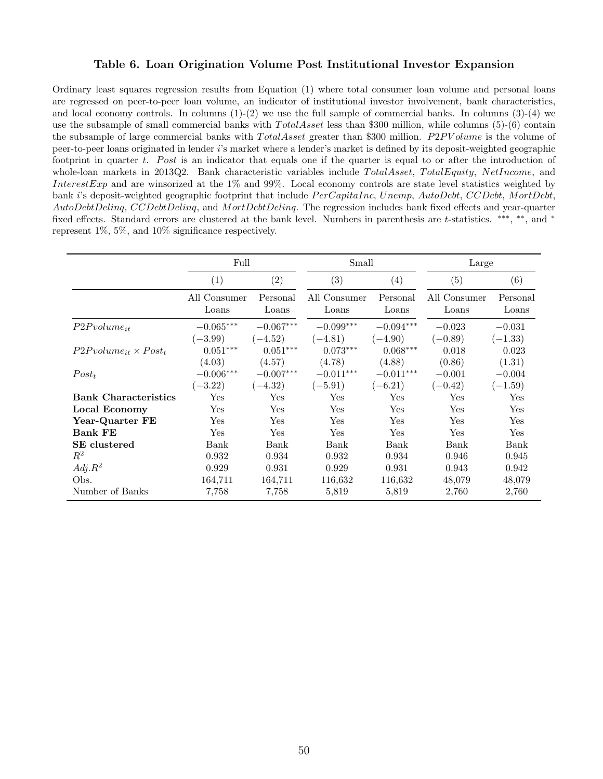### Table 6. Loan Origination Volume Post Institutional Investor Expansion

Ordinary least squares regression results from Equation (1) where total consumer loan volume and personal loans are regressed on peer-to-peer loan volume, an indicator of institutional investor involvement, bank characteristics, and local economy controls. In columns  $(1)-(2)$  we use the full sample of commercial banks. In columns  $(3)-(4)$  we use the subsample of small commercial banks with  $Total Asset$  less than \$300 million, while columns (5)-(6) contain the subsample of large commercial banks with  $Total Asset$  greater than \$300 million.  $P2PVolume$  is the volume of peer-to-peer loans originated in lender i's market where a lender's market is defined by its deposit-weighted geographic footprint in quarter t. Post is an indicator that equals one if the quarter is equal to or after the introduction of whole-loan markets in 2013Q2. Bank characteristic variables include TotalAsset, TotalEquity, NetIncome, and InterestExp and are winsorized at the 1% and 99%. Local economy controls are state level statistics weighted by bank i's deposit-weighted geographic footprint that include  $PerCapitalInc$ , Unemp,  $AutoDebt$ , CCDebt, MortDebt, AutoDebtDeling, CCDebtDeling, and MortDebtDeling. The regression includes bank fixed effects and year-quarter fixed effects. Standard errors are clustered at the bank level. Numbers in parenthesis are t-statistics. \*\*\*, \*\*, and \* represent 1%, 5%, and 10% significance respectively.

|                                 | Full                 |                         | Small        |             | Large        |           |
|---------------------------------|----------------------|-------------------------|--------------|-------------|--------------|-----------|
|                                 | $\left( 1\right)$    | (2)                     | (3)          | (4)         | (5)          | (6)       |
|                                 | All Consumer         | Personal                | All Consumer | Personal    | All Consumer | Personal  |
|                                 | Loans                | Loans                   | Loans        | Loans       | Loans        | Loans     |
| $P2P volume_{it}$               | $-0.065***$          | $-0.067^{\ast\ast\ast}$ | $-0.099***$  | $-0.094***$ | $-0.023$     | $-0.031$  |
|                                 | $(-3.99)$            | $(-4.52)$               | $(-4.81)$    | $(-4.90)$   | $(-0.89)$    | $(-1.33)$ |
| $P2P volume_{it} \times Post_t$ | $0.051***$           | $0.051***$              | $0.073***$   | $0.068***$  | 0.018        | 0.023     |
|                                 | (4.03)               | (4.57)                  | (4.78)       | (4.88)      | (0.86)       | (1.31)    |
| $Post_t$                        | $-0.006***$          | $-0.007***$             | $-0.011***$  | $-0.011***$ | $-0.001$     | $-0.004$  |
|                                 | $(-3.22)$            | $(-4.32)$               | $(-5.91)$    | $(-6.21)$   | $(-0.42)$    | $(-1.59)$ |
| <b>Bank Characteristics</b>     | $\operatorname{Yes}$ | Yes                     | Yes          | Yes         | Yes          | Yes       |
| Local Economy                   | Yes                  | Yes                     | Yes          | Yes         | Yes          | Yes       |
| Year-Quarter FE                 | Yes                  | Yes                     | Yes          | Yes         | Yes          | Yes       |
| <b>Bank FE</b>                  | Yes                  | Yes                     | Yes          | Yes         | Yes          | Yes       |
| SE clustered                    | Bank                 | Bank                    | Bank         | Bank        | Bank         | Bank      |
| $R^2$                           | 0.932                | 0.934                   | 0.932        | 0.934       | 0.946        | 0.945     |
| $Adj.R^2$                       | 0.929                | 0.931                   | 0.929        | 0.931       | 0.943        | 0.942     |
| Obs.                            | 164,711              | 164,711                 | 116,632      | 116,632     | 48,079       | 48,079    |
| Number of Banks                 | 7,758                | 7,758                   | 5,819        | 5,819       | 2,760        | 2,760     |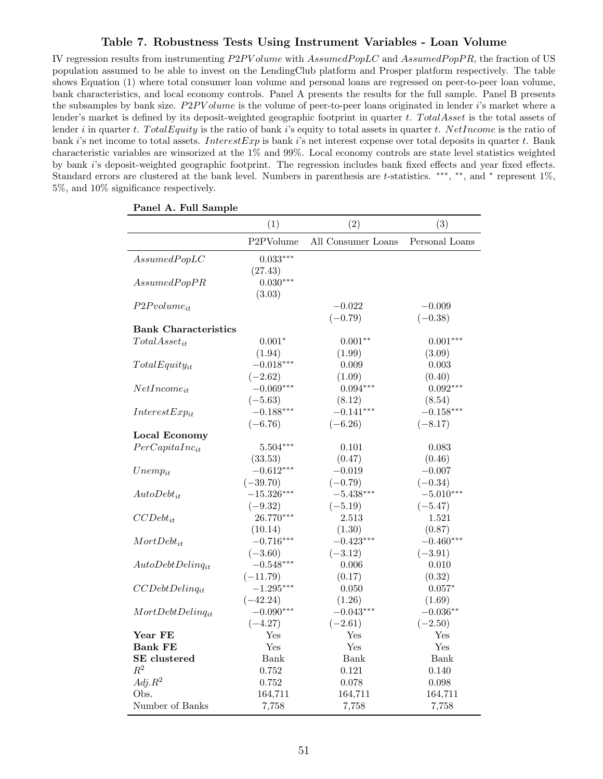### Table 7. Robustness Tests Using Instrument Variables - Loan Volume

IV regression results from instrumenting P2PV olume with AssumedPopLC and AssumedPopPR, the fraction of US population assumed to be able to invest on the LendingClub platform and Prosper platform respectively. The table shows Equation (1) where total consumer loan volume and personal loans are regressed on peer-to-peer loan volume, bank characteristics, and local economy controls. Panel A presents the results for the full sample. Panel B presents the subsamples by bank size.  $P2PVolume$  is the volume of peer-to-peer loans originated in lender i's market where a lender's market is defined by its deposit-weighted geographic footprint in quarter  $t$ . TotalAsset is the total assets of lender i in quarter t. Total Equity is the ratio of bank i's equity to total assets in quarter t. NetIncome is the ratio of bank i's net income to total assets. InterestExp is bank i's net interest expense over total deposits in quarter t. Bank characteristic variables are winsorized at the 1% and 99%. Local economy controls are state level statistics weighted by bank i's deposit-weighted geographic footprint. The regression includes bank fixed effects and year fixed effects. Standard errors are clustered at the bank level. Numbers in parenthesis are t-statistics. \*\*\*, \*\*, and \* represent 1%, 5%, and 10% significance respectively.

|                             | (1)                    | (2)                | (3)            |
|-----------------------------|------------------------|--------------------|----------------|
|                             | P <sub>2</sub> PVolume | All Consumer Loans | Personal Loans |
| AssumedPopLC                | $0.033***$             |                    |                |
|                             | (27.43)                |                    |                |
| AssumedPopPR                | $0.030***$             |                    |                |
|                             | (3.03)                 |                    |                |
| $P2P volume_{it}$           |                        | $-0.022$           | $-0.009$       |
|                             |                        | $(-0.79)$          | $(-0.38)$      |
| <b>Bank Characteristics</b> |                        |                    |                |
| $Total Asset_{it}$          | $0.001*$               | $0.001**$          | $0.001***$     |
|                             | (1.94)                 | (1.99)             | (3.09)         |
| $TotalEquity_{it}$          | $-0.018***$            | 0.009              | 0.003          |
|                             | $(-2.62)$              | (1.09)             | (0.40)         |
| $NetIncome_{it}$            | $-0.069***$            | $0.094***$         | $0.092***$     |
|                             | $(-5.63)$              | (8.12)             | (8.54)         |
| $InterestExp_{it}$          | $-0.188***$            | $-0.141***$        | $-0.158***$    |
|                             | $(-6.76)$              | $(-6.26)$          | $(-8.17)$      |
| <b>Local Economy</b>        |                        |                    |                |
| $PerCapitaInc_{it}$         | $5.504***$             | 0.101              | 0.083          |
|                             | (33.53)                | (0.47)             | (0.46)         |
| $Unemp_{it}$                | $-0.612***$            | $-0.019$           | $-0.007$       |
|                             | $(-39.70)$             | $(-0.79)$          | $(-0.34)$      |
| $AutoDebt_{it}$             | $-15.326***$           | $-5.438***$        | $-5.010***$    |
|                             | $(-9.32)$              | $(-5.19)$          | $(-5.47)$      |
| $CCDebt_{it}$               | 26.770***              | 2.513              | 1.521          |
|                             | (10.14)                | (1.30)             | (0.87)         |
| $MortDebt_{it}$             | $-0.716***$            | $-0.423***$        | $-0.460***$    |
|                             | $(-3.60)$              | $(-3.12)$          | $(-3.91)$      |
| $AutoDebtDelinq_{it}$       | $-0.548***$            | 0.006              | 0.010          |
|                             | $(-11.79)$             | (0.17)             | (0.32)         |
| $CCDebtDelinq_{it}$         | $-1.295***$            | 0.050              | $0.057*$       |
|                             | $(-42.24)$             | (1.26)             | (1.69)         |
| $MortDebtDelinq_{it}$       | $-0.090***$            | $-0.043***$        | $-0.036**$     |
|                             | $(-4.27)$              | $(-2.61)$          | $(-2.50)$      |
| Year FE                     | Yes                    | Yes                | Yes            |
| <b>Bank FE</b>              | Yes                    | Yes                | Yes            |
| SE clustered                | Bank                   | Bank               | Bank           |
| $R^2$                       | 0.752                  | 0.121              | 0.140          |
| $Adj.R^2$                   | 0.752                  | 0.078              | 0.098          |
| Obs.                        | 164,711                | 164,711            | 164,711        |
| Number of Banks             | 7,758                  | 7,758              | 7,758          |

### Panel A. Full Sample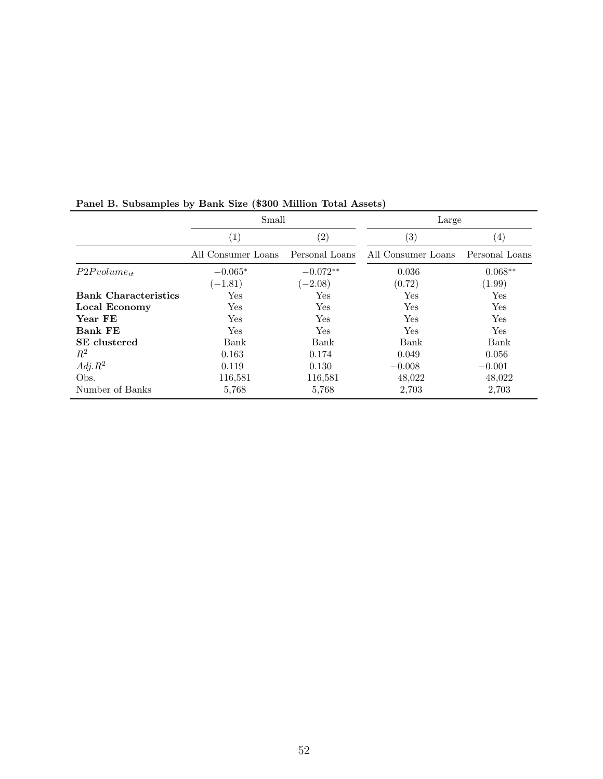|                             | Small              |                | Large              |                   |
|-----------------------------|--------------------|----------------|--------------------|-------------------|
|                             | $\left( 1\right)$  | (2)            | $\left( 3\right)$  | $\left( 4\right)$ |
|                             | All Consumer Loans | Personal Loans | All Consumer Loans | Personal Loans    |
| $P2P volume_{it}$           | $-0.065*$          | $-0.072**$     | 0.036              | $0.068**$         |
|                             | $(-1.81)$          | $(-2.08)$      | (0.72)             | (1.99)            |
| <b>Bank Characteristics</b> | Yes                | Yes            | Yes                | Yes               |
| Local Economy               | Yes                | Yes            | Yes                | Yes               |
| Year FE                     | Yes                | Yes            | Yes                | Yes               |
| <b>Bank FE</b>              | Yes                | Yes            | Yes                | Yes               |
| <b>SE</b> clustered         | Bank               | Bank           | Bank               | Bank              |
| $R^2$                       | 0.163              | 0.174          | 0.049              | 0.056             |
| $Adj.R^2$                   | 0.119              | 0.130          | $-0.008$           | $-0.001$          |
| Obs.                        | 116,581            | 116,581        | 48,022             | 48,022            |
| Number of Banks             | 5,768              | 5,768          | 2,703              | 2,703             |

# Panel B. Subsamples by Bank Size (\$300 Million Total Assets)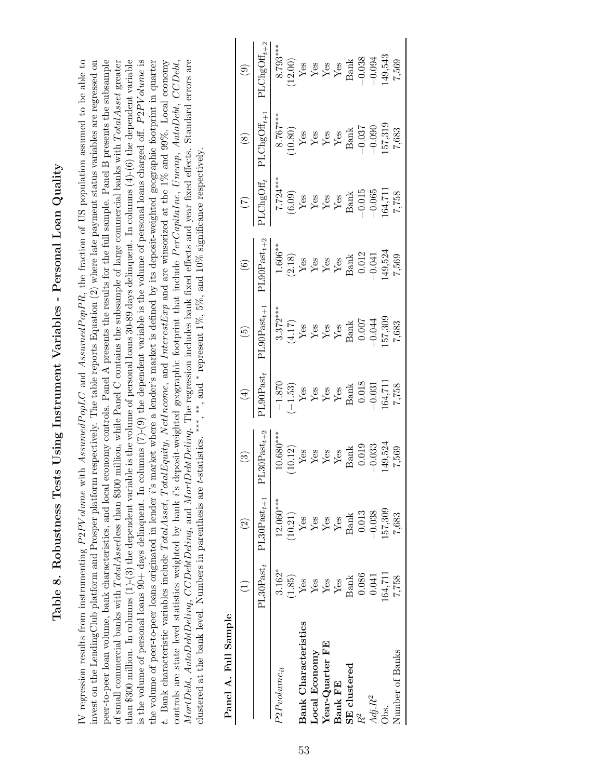| <br> <br> <br>I<br>)<br>)<br>)<br>$\bigg\{$<br>ׇ֘֒ |
|----------------------------------------------------|
| $-12$ , $-12$                                      |
| <br> <br> <br> <br>֘֒                              |
| )<br>ו<br>ו                                        |
| į<br>I                                             |
|                                                    |
|                                                    |
| I                                                  |

IV regression results from instrumenting  $P2PV$ *olume* with AssumedPopLC and AssumedPopPR, the fraction of US population assumed to be able to invest on the LendingClub platform and Prosper platform respectively. The table reports Equation (2) where late payment status variables are regressed on peer-to-peer loan volume, bank characteristics, and local economy controls. Panel A presents the results for the full sample. Panel B presents the subsample of small commercial banks with TotalAssetless than \$300 million, while Panel C contains the subsample of large commercial banks with TotalAsset greater than \$300 million. In columns  $(1)-(3)$  the dependent variable is the volume of personal loans 30-89 days delinquent. In columns  $(4)-(6)$  the dependent variable is the volume of personal loans  $90+$  days delinquent. In columns  $(7)-(9)$  the dependent variable is the volume of personal loans charged off. P2PV olume is the volume of peer-to-peer loans originated in lender i's market where a lender's market is defined by its deposit-weighted geographic footprint in quarter P2PV olume with AssumedP opLC and AssumedP opPR, the fraction of US population assumed to be able to invest on the LendingClub platform and Prosper platform respectively. The table reports Equation (2) where late payment status variables are regressed on of small commercial banks with T otalAssetless than \$300 million, while Panel C contains the subsample of large commercial banks with T otalAsset greater P2PV olume is the volume of peer-to-peer loans originated in lender i's market where a lender's market is defined by its deposit-weighted geographic footprint in quarter t. Bank characteristic variables include TotalAsset, TotalEquity, NetIncome, and InterestExp and are winsorized at the 1% and 99%. Local economy t. Bank characteristic variables include  $Total Asset$ ,  $TotalEquity$ ,  $Net Income$ , and InterestExp and are winsorized at the 1% and 99%. Local economy controls are state level statistics weighted by bank i's deposit-weighted geographic footprint that include PerCapitaInc, Unemp, AutoDebt, CCDebt, controls are state level statistics weighted by bank i's deposit-weighted geographic footprint that include PerCapitaInc, Unemp, AutoDebt, CCDebt, MortDebt, AutoDebtDeling, CCDebtDeling, and MortDebtDeling. The regression includes bank fixed effects and year fixed effects. Standard errors are MortDebt, AutoDebtDelinq, CCDebtDelinq, and MortDebtDelinq. The regression includes bank fixed effects and year fixed effects. Standard errors are peer-to-peer loan volume, bank characteristics, and local economy controls. Panel A presents the results for the full sample. Panel B presents the subsample than \$300 million. In columns (1)-(3) the dependent variable is the volume of personal loans 30-89 days delinquent. In columns (4)-(6) the dependent variable is the volume of personal loans 90+ days delinquent. In columns (7)-(9) the dependent variable is the volume of personal loans charged off. \* represent 1%, 5%, and 10% significance respectively. ,∗∗, and ∗clustered at the bank level. Numbers in parenthesis are t-statistics. ∗∗∗ IV regression results from instrumenting

| Panel A. Full Sample        |                                |                                                     |                                                                                                                                                                            |                                                                                                                                                                                                                                      |                                                                                                                                                                                                                |                                                                                                                                                                                                                                                                                                                                                                                                                                                                             |                                                                                                                                                                                                                                                 |                                                                                                                                                                                                                                                       |                                                                                                                                                                                                                          |
|-----------------------------|--------------------------------|-----------------------------------------------------|----------------------------------------------------------------------------------------------------------------------------------------------------------------------------|--------------------------------------------------------------------------------------------------------------------------------------------------------------------------------------------------------------------------------------|----------------------------------------------------------------------------------------------------------------------------------------------------------------------------------------------------------------|-----------------------------------------------------------------------------------------------------------------------------------------------------------------------------------------------------------------------------------------------------------------------------------------------------------------------------------------------------------------------------------------------------------------------------------------------------------------------------|-------------------------------------------------------------------------------------------------------------------------------------------------------------------------------------------------------------------------------------------------|-------------------------------------------------------------------------------------------------------------------------------------------------------------------------------------------------------------------------------------------------------|--------------------------------------------------------------------------------------------------------------------------------------------------------------------------------------------------------------------------|
|                             |                                |                                                     | $\binom{3}{2}$                                                                                                                                                             | $(4)$                                                                                                                                                                                                                                | $\boxed{5}$                                                                                                                                                                                                    |                                                                                                                                                                                                                                                                                                                                                                                                                                                                             |                                                                                                                                                                                                                                                 |                                                                                                                                                                                                                                                       |                                                                                                                                                                                                                          |
|                             |                                | $PL30$ Past <sub>t</sub> $PL30$ Past <sub>t+1</sub> | $\mathsf{PL30Past}_{t+2}$                                                                                                                                                  | $\begin{array}{r} \text{130Pa} \pm 1 \\ -1.870 \\ \text{Yes} \\ \text{Yes} \\ \text{Yes} \\ \text{Yes} \\ \text{164}, 711 \\ \text{164}, 711 \\ \text{1711} \\ \text{1821} \\ \text{1733} \\ \text{1743} \\ \text{1758} \end{array}$ | $\begin{array}{l} \text{PL90Pa} \text{stat}_{t+1} \\ 3.372^{***} \\ \text{Yes} \\ \text{Yes} \\ \text{Yes} \\ \text{Yes} \\ \text{Isank} \\ \text{Bank} \\ 0.007 \\ -0.044 \\ 157,309 \\ 7,683 \\ \end{array}$ | $\begin{array}{r} (6)\\[1mm] \text{LOOPast}_{t+2}\\[1mm] 1.606^{**}\\[1mm] \text{Yes}\\[1mm] \text{Yes}\\[1mm] \text{Yes}\\[1mm] \text{Yes}\\[1mm] \text{Yes}\\[1mm] \text{Yes}\\[1mm] \text{Final}\\[1mm] \text{Final}\\[1mm] \text{Final}\\[1mm] \text{Final}\\[1mm] \text{Final}\\[1mm] \text{Final}\\[1mm] \text{Final}\\[1mm] \text{Final}\\[1mm] \text{Final}\\[1mm] \text{Final}\\[1mm] \text{Final}\\[1mm] \text{Final}\\[1mm] \text{Final}\\[1mm] \text{Final}\\[$ | $\begin{array}{r} \text{(7)} \\ \text{1CngOff}_t \\ \text{7.724***} \\ \text{(6.09)} \\ \text{Yes} \\ \text{Yes} \\ \text{Yes} \\ \text{Yes} \\ \text{164,711} \\ \text{164,711} \\ \text{(165)} \\ \text{164,711} \\ \text{7.758} \end{array}$ | $\begin{array}{r l} (8)\\ \hline \text{PLChgOff}_{t+1}\\ \hline 8.767^{***}\\ (10.80)\\ \text{Yes}\\ \text{Yes}\\ Y\text{es}\\ Y\text{es}\\ Y\text{es}\\ \text{Bank}\\ \text{Bank}\\ 157,319\\ 157,319\\ 7,683\\ 7,683\\ 7,683\\ 7,683\\ \end{array}$ | $\begin{array}{r} (9)\\ {\rm 1IChgOff}_{t+2}\\ \hline 8.793***\\ (12.00)\\ {\rm Yes}\\ {\rm Yes}\\ {\rm Yes}\\ {\rm Yes}\\ {\rm Yes}\\ {\rm Hean} \\ {\rm Hanh}\\ -0.038\\ -0.038\\ 7,543\\ 7,569\\ 7,569\\ \end{array}$ |
| $P2P volume_{it}$           | $3.162*$                       | $12.060***$                                         | $\begin{array}{l} 10.680^{***} \ (10.12) \ \text{Yes} \ \text{Yes} \ \text{Yes} \ \text{Yes} \ \text{Yes} \ \text{Banh} \ \text{149,524} \ -0.033 \ 149,524 \ \end{array}$ |                                                                                                                                                                                                                                      |                                                                                                                                                                                                                |                                                                                                                                                                                                                                                                                                                                                                                                                                                                             |                                                                                                                                                                                                                                                 |                                                                                                                                                                                                                                                       |                                                                                                                                                                                                                          |
|                             | 1.85)                          |                                                     |                                                                                                                                                                            |                                                                                                                                                                                                                                      |                                                                                                                                                                                                                |                                                                                                                                                                                                                                                                                                                                                                                                                                                                             |                                                                                                                                                                                                                                                 |                                                                                                                                                                                                                                                       |                                                                                                                                                                                                                          |
| <b>Bank Characteristics</b> | Yes                            | $\frac{10.21}{\text{Yes}}$                          |                                                                                                                                                                            |                                                                                                                                                                                                                                      |                                                                                                                                                                                                                |                                                                                                                                                                                                                                                                                                                                                                                                                                                                             |                                                                                                                                                                                                                                                 |                                                                                                                                                                                                                                                       |                                                                                                                                                                                                                          |
| Local Economy               |                                | ${\rm Yes}$                                         |                                                                                                                                                                            |                                                                                                                                                                                                                                      |                                                                                                                                                                                                                |                                                                                                                                                                                                                                                                                                                                                                                                                                                                             |                                                                                                                                                                                                                                                 |                                                                                                                                                                                                                                                       |                                                                                                                                                                                                                          |
| Year-Quarter FE             | $\frac{1}{2}$ es $\frac{1}{2}$ | $Yes$<br>Yes                                        |                                                                                                                                                                            |                                                                                                                                                                                                                                      |                                                                                                                                                                                                                |                                                                                                                                                                                                                                                                                                                                                                                                                                                                             |                                                                                                                                                                                                                                                 |                                                                                                                                                                                                                                                       |                                                                                                                                                                                                                          |
| <b>Bank FE</b>              |                                |                                                     |                                                                                                                                                                            |                                                                                                                                                                                                                                      |                                                                                                                                                                                                                |                                                                                                                                                                                                                                                                                                                                                                                                                                                                             |                                                                                                                                                                                                                                                 |                                                                                                                                                                                                                                                       |                                                                                                                                                                                                                          |
| <b>SE</b> clustered         | $\label{eq:neut} \text{Bank}$  | <b>Bank</b>                                         |                                                                                                                                                                            |                                                                                                                                                                                                                                      |                                                                                                                                                                                                                |                                                                                                                                                                                                                                                                                                                                                                                                                                                                             |                                                                                                                                                                                                                                                 |                                                                                                                                                                                                                                                       |                                                                                                                                                                                                                          |
| $\mathbb{R}^2$              | 0.086                          | 0.013                                               |                                                                                                                                                                            |                                                                                                                                                                                                                                      |                                                                                                                                                                                                                |                                                                                                                                                                                                                                                                                                                                                                                                                                                                             |                                                                                                                                                                                                                                                 |                                                                                                                                                                                                                                                       |                                                                                                                                                                                                                          |
| $Adj.R^2$                   | 0.041                          | $-0.038$                                            |                                                                                                                                                                            |                                                                                                                                                                                                                                      |                                                                                                                                                                                                                |                                                                                                                                                                                                                                                                                                                                                                                                                                                                             |                                                                                                                                                                                                                                                 |                                                                                                                                                                                                                                                       |                                                                                                                                                                                                                          |
| Dbs.                        | 164,711                        | 57,309                                              |                                                                                                                                                                            |                                                                                                                                                                                                                                      |                                                                                                                                                                                                                |                                                                                                                                                                                                                                                                                                                                                                                                                                                                             |                                                                                                                                                                                                                                                 |                                                                                                                                                                                                                                                       |                                                                                                                                                                                                                          |
| Number of Banks             | 7,758                          | 7,683                                               |                                                                                                                                                                            |                                                                                                                                                                                                                                      |                                                                                                                                                                                                                |                                                                                                                                                                                                                                                                                                                                                                                                                                                                             |                                                                                                                                                                                                                                                 |                                                                                                                                                                                                                                                       |                                                                                                                                                                                                                          |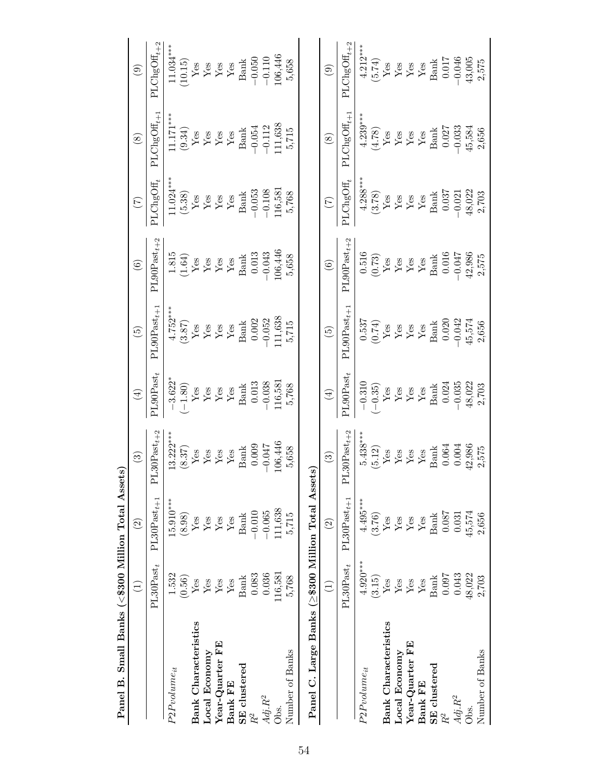| <b>Expect TP: Diffusion Depth Cooper Training Transferred</b> |                           |                               |                                                                                                                                                            |                                                                                                                                                                                                                                                                                                                                                                                                                                                                                                                         |                                                                                                                                                                                                                                |                                                                                                                                                                                                                    |                                                                                                                                             |                                                                                                                                                                                                                                                                                                                          |                                                                                     |
|---------------------------------------------------------------|---------------------------|-------------------------------|------------------------------------------------------------------------------------------------------------------------------------------------------------|-------------------------------------------------------------------------------------------------------------------------------------------------------------------------------------------------------------------------------------------------------------------------------------------------------------------------------------------------------------------------------------------------------------------------------------------------------------------------------------------------------------------------|--------------------------------------------------------------------------------------------------------------------------------------------------------------------------------------------------------------------------------|--------------------------------------------------------------------------------------------------------------------------------------------------------------------------------------------------------------------|---------------------------------------------------------------------------------------------------------------------------------------------|--------------------------------------------------------------------------------------------------------------------------------------------------------------------------------------------------------------------------------------------------------------------------------------------------------------------------|-------------------------------------------------------------------------------------|
|                                                               | $\widehat{\Xi}$           | $\widehat{c}$                 | $\odot$                                                                                                                                                    | $\left( \pm \right)$                                                                                                                                                                                                                                                                                                                                                                                                                                                                                                    | $\widetilde{\Theta}$                                                                                                                                                                                                           | $\circledcirc$                                                                                                                                                                                                     | $\sum_{i=1}^{n}$                                                                                                                            | $\circledS$                                                                                                                                                                                                                                                                                                              | $\odot$                                                                             |
|                                                               | $\text{PL30Past}_t$       | $\text{PL30Past}_{t+1}$       | $L30Past_{t+2}$<br>⊢                                                                                                                                       | $\texttt{PLOPast}_t$                                                                                                                                                                                                                                                                                                                                                                                                                                                                                                    | $PL90Pastt+1$                                                                                                                                                                                                                  | $PL90$ Past $_{t+2}$                                                                                                                                                                                               | PLChgOff                                                                                                                                    | $\texttt{PLChgOff}_{t+1}$                                                                                                                                                                                                                                                                                                | $PLChgOH_{t+2}$                                                                     |
| $P2P volume_{it}$                                             | 1.532                     | $15.910***$                   | $13.222***$                                                                                                                                                | $-3.622$<br>$(-1.80)$<br>Yes<br>Yes<br>Yes<br>Yes<br>Bank<br>Bank<br>Bank                                                                                                                                                                                                                                                                                                                                                                                                                                               | 4.752***<br>(3.87)<br>Yes<br>Yes<br>Yes<br>Namk<br>Bank<br>Bool<br>0.052<br>-0.052                                                                                                                                             | $\begin{array}{c} 1.815\\ (1.64)\\ Y\,\mathrm{es}\\ Y\,\mathrm{es}\\ Y\,\mathrm{es}\\ Y\,\mathrm{es}\\ Y\,\mathrm{es}\\ \mathrm{Bank} \end{array}$                                                                 | $11.024***$                                                                                                                                 | 11.17 <sup>***</sup><br>(9.34)<br>Yes<br>Yes<br>Yes<br>Sank<br>Bank<br>-0.054<br>-0.112<br>111,638                                                                                                                                                                                                                       | $\frac{11.034***}{11.034***}$<br>Yes<br>Yes<br>Yes<br>Yes<br>Yes<br>Nes<br>Bank     |
|                                                               | (0.56)                    | $(8.98)$                      | $\begin{array}{c} (8.37) \\ \text{Yes} \\ \text{Yes} \\ \text{Yes} \\ \text{Yes} \\ \text{Yes} \\ \text{Stash} \\ \end{array}$                             |                                                                                                                                                                                                                                                                                                                                                                                                                                                                                                                         |                                                                                                                                                                                                                                |                                                                                                                                                                                                                    | $\begin{array}{c} \textbf{(5.38)}\\ \textbf{Yes}\\ \textbf{Yes}\\ \textbf{Yes}\\ \textbf{Yes}\\ \textbf{Yes}\\ \textbf{Bank}\\ \end{array}$ |                                                                                                                                                                                                                                                                                                                          |                                                                                     |
| <b>Bank Characteristics</b>                                   | Yes                       | $\rm Yes$                     |                                                                                                                                                            |                                                                                                                                                                                                                                                                                                                                                                                                                                                                                                                         |                                                                                                                                                                                                                                |                                                                                                                                                                                                                    |                                                                                                                                             |                                                                                                                                                                                                                                                                                                                          |                                                                                     |
| Local Economy                                                 | ${\rm Yes}$               | ${\rm Yes}$                   |                                                                                                                                                            |                                                                                                                                                                                                                                                                                                                                                                                                                                                                                                                         |                                                                                                                                                                                                                                |                                                                                                                                                                                                                    |                                                                                                                                             |                                                                                                                                                                                                                                                                                                                          |                                                                                     |
| Year-Quarter FE                                               | ${\rm Yes}$               | ${\rm Yes}$                   |                                                                                                                                                            |                                                                                                                                                                                                                                                                                                                                                                                                                                                                                                                         |                                                                                                                                                                                                                                |                                                                                                                                                                                                                    |                                                                                                                                             |                                                                                                                                                                                                                                                                                                                          |                                                                                     |
| Bank FE                                                       | ${\rm Yes}$               | ${\rm Yes}$                   |                                                                                                                                                            |                                                                                                                                                                                                                                                                                                                                                                                                                                                                                                                         |                                                                                                                                                                                                                                |                                                                                                                                                                                                                    |                                                                                                                                             |                                                                                                                                                                                                                                                                                                                          |                                                                                     |
| SE clustered                                                  | <b>Bank</b>               | <b>Bank</b>                   |                                                                                                                                                            |                                                                                                                                                                                                                                                                                                                                                                                                                                                                                                                         |                                                                                                                                                                                                                                |                                                                                                                                                                                                                    |                                                                                                                                             |                                                                                                                                                                                                                                                                                                                          |                                                                                     |
| $R^2$                                                         | 0.083                     | $-0.010$                      | 0.009                                                                                                                                                      |                                                                                                                                                                                                                                                                                                                                                                                                                                                                                                                         |                                                                                                                                                                                                                                |                                                                                                                                                                                                                    | $-0.053$                                                                                                                                    |                                                                                                                                                                                                                                                                                                                          | $-0.050$<br>$-0.110$                                                                |
| $Adj.R^2$                                                     | 0.036                     | $-0.065$                      | $-0.047$                                                                                                                                                   | $-0.038$<br>116,581                                                                                                                                                                                                                                                                                                                                                                                                                                                                                                     |                                                                                                                                                                                                                                | $\begin{array}{c} 0.013 \\ -0.043 \\ 106,446 \end{array}$                                                                                                                                                          | $-0.108$<br>116,581                                                                                                                         |                                                                                                                                                                                                                                                                                                                          |                                                                                     |
| Obs.                                                          | 116,581                   | 11,638                        | 106,446                                                                                                                                                    |                                                                                                                                                                                                                                                                                                                                                                                                                                                                                                                         | 11,638                                                                                                                                                                                                                         |                                                                                                                                                                                                                    |                                                                                                                                             |                                                                                                                                                                                                                                                                                                                          | 106,446                                                                             |
| Number of Banks                                               | 5,768                     | 5,715                         | 5,658                                                                                                                                                      | 5,768                                                                                                                                                                                                                                                                                                                                                                                                                                                                                                                   | 5,715                                                                                                                                                                                                                          | 5,658                                                                                                                                                                                                              | 5,768                                                                                                                                       | 5,715                                                                                                                                                                                                                                                                                                                    | 5,658                                                                               |
| Panel C. Large Banks (≥\$300 Million Total Assets)            |                           |                               |                                                                                                                                                            |                                                                                                                                                                                                                                                                                                                                                                                                                                                                                                                         |                                                                                                                                                                                                                                |                                                                                                                                                                                                                    |                                                                                                                                             |                                                                                                                                                                                                                                                                                                                          |                                                                                     |
|                                                               | $\widehat{\Xi}$           | $\widehat{2}$                 | $\odot$                                                                                                                                                    | $\left( \pm \right)$                                                                                                                                                                                                                                                                                                                                                                                                                                                                                                    | $\widetilde{E}$                                                                                                                                                                                                                | $\odot$                                                                                                                                                                                                            | $\left( \sum_{i=1}^{n} \tilde{a}_i \right)$                                                                                                 | $\circledS$                                                                                                                                                                                                                                                                                                              | $\odot$                                                                             |
|                                                               | PL30<br>Past <sub>t</sub> | $PL30Past_{t+1}$              | $PL30Past_{t+2}$                                                                                                                                           | PL90<br>Post <sub>t</sub>                                                                                                                                                                                                                                                                                                                                                                                                                                                                                               | $\text{PL90Past}_{t+}$                                                                                                                                                                                                         | $PL90$ Past $_{t+2}$                                                                                                                                                                                               | PLChgOff                                                                                                                                    | $\mathrm{PLChgOff}_{t+}$                                                                                                                                                                                                                                                                                                 | $\mathrm{PLChgOff}_{t+2}$                                                           |
| $P2P volume_{it}$                                             | $4.920***$                | $4.495***$                    | $5.438***$                                                                                                                                                 |                                                                                                                                                                                                                                                                                                                                                                                                                                                                                                                         | $\begin{array}{c} 0.537 \\ (0.74) \\ \text{Yes} \\ \text{Yes} \\ \text{Yes} \\ \text{Yes} \\ \text{Yes} \\ \text{Yes} \\ \text{No} \\ \text{Bank} \\ \text{10.020} \\ -0.042 \\ \text{45,574} \\ \text{45,574} \\ \end{array}$ | $\begin{array}{c} 0.516 \\ (0.73) \\ \text{Yes} \\ \text{Yes} \\ \text{Yes} \\ \text{Yes} \\ \text{Yes} \\ \text{Yes} \\ \text{As} \\ \text{Yes} \\ 0.016 \\ -0.047 \\ 42,986 \\ \text{Si} \\ 75 \\ 2 \end{array}$ | 4.288***<br>(3.78)<br>Yes<br>Yes<br>Yes<br>Yes<br>Sank<br>Den CO21<br>48,022<br>48,022<br>2,703                                             | $\frac{4.239***}{178}$<br>$\frac{178}{178}$<br>$\frac{178}{168}$<br>$\frac{178}{168}$<br>$\frac{178}{168}$<br>$\frac{178}{168}$<br>$\frac{178}{168}$<br>$\frac{177}{168}$<br>$\frac{177}{168}$<br>$\frac{177}{168}$<br>$\frac{177}{168}$<br>$\frac{177}{168}$<br>$\frac{177}{168}$<br>$\frac{177}{168}$<br>$\frac{177}{$ |                                                                                     |
|                                                               | (3.15)                    | $\frac{\text{V}}{\text{Yes}}$ |                                                                                                                                                            |                                                                                                                                                                                                                                                                                                                                                                                                                                                                                                                         |                                                                                                                                                                                                                                |                                                                                                                                                                                                                    |                                                                                                                                             |                                                                                                                                                                                                                                                                                                                          |                                                                                     |
| <b>Bank Characteristics</b>                                   | Yes                       |                               |                                                                                                                                                            |                                                                                                                                                                                                                                                                                                                                                                                                                                                                                                                         |                                                                                                                                                                                                                                |                                                                                                                                                                                                                    |                                                                                                                                             |                                                                                                                                                                                                                                                                                                                          |                                                                                     |
| Local Economy                                                 | ${\rm Yes}$               | $\mathbf{Yes}$                | $\begin{array}{l} \mathrm{(5.12)} \\ \mathrm{Yes} \\ \mathrm{Yes} \\ \mathrm{Yes} \\ \mathrm{Yes} \\ \mathrm{Stanh} \\ \mathrm{Banh} \\ 0.064 \end{array}$ | $\begin{array}{c} -0.310 \\ (-0.35) \\ \text{Yes} \\ \text{Yes} \\ \text{Yes} \\ \text{Yes} \\ \text{Yes} \\ \text{Yes} \\ \text{Yes} \\ \text{Yes} \\ \text{Yes} \\ \text{Yes} \\ \text{Yes} \\ \text{Yes} \\ \text{Yes} \\ \text{Yes} \\ \text{Yes} \\ \text{Yes} \\ \text{Yes} \\ \text{Yes} \\ \text{Yes} \\ \text{Yes} \\ \text{Yes} \\ \text{Yes} \\ \text{Yes} \\ \text{Yes} \\ \text{Yes} \\ \text{Yes} \\ \text{Yes} \\ \text{Yes} \\ \text{Yes} \\ \text{Yes} \\ \text{Yes} \\ \text{Yes} \\ \text{Yes} \\ \$ |                                                                                                                                                                                                                                |                                                                                                                                                                                                                    |                                                                                                                                             |                                                                                                                                                                                                                                                                                                                          |                                                                                     |
| $Year$ -Quarter $FE$                                          | ${\rm Yes}$               | ${\rm Yes}$                   |                                                                                                                                                            |                                                                                                                                                                                                                                                                                                                                                                                                                                                                                                                         |                                                                                                                                                                                                                                |                                                                                                                                                                                                                    |                                                                                                                                             |                                                                                                                                                                                                                                                                                                                          |                                                                                     |
| Bank FE                                                       | ${\rm Yes}$               | ${\rm Yes}$                   |                                                                                                                                                            |                                                                                                                                                                                                                                                                                                                                                                                                                                                                                                                         |                                                                                                                                                                                                                                |                                                                                                                                                                                                                    |                                                                                                                                             |                                                                                                                                                                                                                                                                                                                          |                                                                                     |
| SE clustered                                                  | <b>Bank</b>               | <b>Bank</b>                   |                                                                                                                                                            |                                                                                                                                                                                                                                                                                                                                                                                                                                                                                                                         |                                                                                                                                                                                                                                |                                                                                                                                                                                                                    |                                                                                                                                             |                                                                                                                                                                                                                                                                                                                          |                                                                                     |
| $\mathbb{R}^2$                                                | 0.097                     | 0.087                         |                                                                                                                                                            |                                                                                                                                                                                                                                                                                                                                                                                                                                                                                                                         |                                                                                                                                                                                                                                |                                                                                                                                                                                                                    |                                                                                                                                             |                                                                                                                                                                                                                                                                                                                          |                                                                                     |
| $Adj.R^2$                                                     | 0.043                     | 0.031                         | 0.004                                                                                                                                                      | $-0.035$<br>48,022<br>2,703                                                                                                                                                                                                                                                                                                                                                                                                                                                                                             |                                                                                                                                                                                                                                |                                                                                                                                                                                                                    |                                                                                                                                             |                                                                                                                                                                                                                                                                                                                          |                                                                                     |
| Obs.                                                          | 48,022                    | 45,574                        | 12,986                                                                                                                                                     |                                                                                                                                                                                                                                                                                                                                                                                                                                                                                                                         |                                                                                                                                                                                                                                |                                                                                                                                                                                                                    |                                                                                                                                             |                                                                                                                                                                                                                                                                                                                          |                                                                                     |
| Number of Banks                                               | 2,703                     | 2,656                         | 2,575                                                                                                                                                      |                                                                                                                                                                                                                                                                                                                                                                                                                                                                                                                         |                                                                                                                                                                                                                                |                                                                                                                                                                                                                    |                                                                                                                                             |                                                                                                                                                                                                                                                                                                                          | 4.212***<br>(5.74)<br>Yes<br>Yes<br>Yes<br>Yes<br>Sank<br>Coloff<br>43,005<br>2,575 |

Panel B. Small Banks  $(\langle$ \$300 Million Total Assets)  $\rm P$ anel B. Small Banks ( $<\!\! \$300$  Million Total Assets)